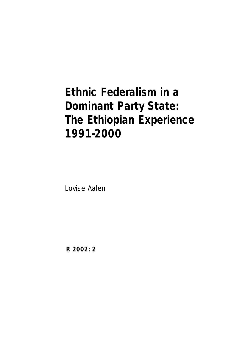# **Ethnic Federalism in a Dominant Party State: The Ethiopian Experience 1991-2000**

Lovise Aalen

**R 2002: 2**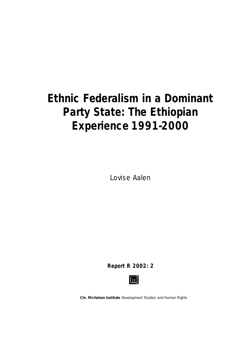# **Ethnic Federalism in a Dominant Party State: The Ethiopian Experience 1991-2000**

Lovise Aalen

**Report R 2002: 2**



**Chr. Michelsen Institute** *Development Studies and Human Rights*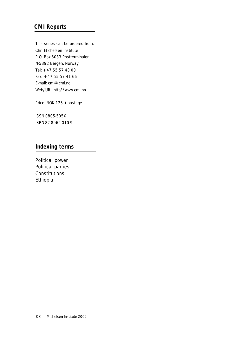### **CMI Reports**

This series can be ordered from: Chr. Michelsen Institute P.O. Box 6033 Postterminalen, N-5892 Bergen, Norway Tel: + 47 55 57 40 00 Fax: + 47 55 57 41 66 E-mail: cmi@.cmi.no Web/URL:http//www.cmi.no

Price: NOK 125 + postage

ISSN 0805-505X ISBN 82-8062-010-9

### **Indexing terms**

Political power Political parties Constitutions Ethiopia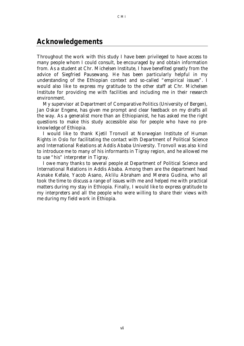## **Acknowledgements**

Throughout the work with this study I have been privileged to have access to many people whom I could consult, be encouraged by and obtain information from. As a student at Chr. Michelsen Institute, I have benefited greatly from the advice of Siegfried Pausewang. He has been particularly helpful in my understanding of the Ethiopian context and so-called "empirical issues". I would also like to express my gratitude to the other staff at Chr. Michelsen Institute for providing me with facilities and including me in their research environment.

My supervisor at Department of Comparative Politics (University of Bergen), Jan Oskar Engene, has given me prompt and clear feedback on my drafts all the way. As a generalist more than an Ethiopianist, he has asked me the right questions to make this study accessible also for people who have no preknowledge of Ethiopia.

I would like to thank Kjetil Tronvoll at Norwegian Institute of Human Rights in Oslo for facilitating the contact with Department of Political Science and International Relations at Addis Ababa University. Tronvoll was also kind to introduce me to many of his informants in Tigray region, and he allowed me to use "his" interpreter in Tigray.

I owe many thanks to several people at Department of Political Science and International Relations in Addis Ababa. Among them are the department head Asnake Kefale, Yacob Asano, Aklilu Abraham and Merera Gudina, who all took the time to discuss a range of issues with me and helped me with practical matters during my stay in Ethiopia. Finally, I would like to express gratitude to my interpreters and all the people who were willing to share their views with me during my field work in Ethiopia.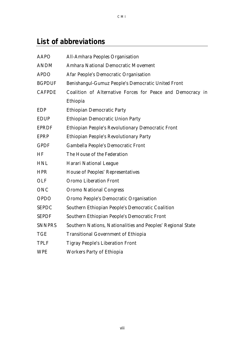# **List of abbreviations**

| All-Amhara Peoples Organisation                             |  |  |
|-------------------------------------------------------------|--|--|
| <b>Amhara National Democratic Movement</b>                  |  |  |
| Afar People's Democratic Organisation                       |  |  |
| Benishangul-Gumuz People's Democratic United Front          |  |  |
| Coalition of Alternative Forces for Peace and Democracy in  |  |  |
| Ethiopia                                                    |  |  |
| <b>Ethiopian Democratic Party</b>                           |  |  |
| Ethiopian Democratic Union Party                            |  |  |
| Ethiopian People's Revolutionary Democratic Front           |  |  |
| Ethiopian People's Revolutionary Party                      |  |  |
| Gambella People's Democratic Front                          |  |  |
| The House of the Federation                                 |  |  |
| Harari National League                                      |  |  |
| <b>House of Peoples' Representatives</b>                    |  |  |
| <b>Oromo Liberation Front</b>                               |  |  |
| <b>Oromo National Congress</b>                              |  |  |
| Oromo People's Democratic Organisation                      |  |  |
| Southern Ethiopian People's Democratic Coalition            |  |  |
| Southern Ethiopian People's Democratic Front                |  |  |
| Southern Nations, Nationalities and Peoples' Regional State |  |  |
| <b>Transitional Government of Ethiopia</b>                  |  |  |
| <b>Tigray People's Liberation Front</b>                     |  |  |
| <b>Workers Party of Ethiopia</b>                            |  |  |
|                                                             |  |  |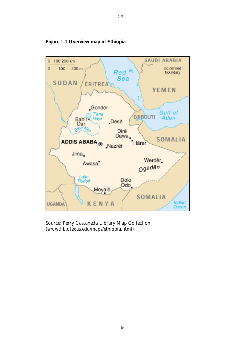

**Figure 1.1 Overview map of Ethiopia**

Source: Perry Castaneda Library Map Collection (www.lib.utexas.edu/maps/ethiopia.html)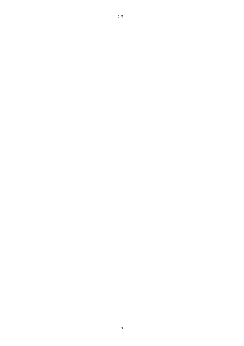CMI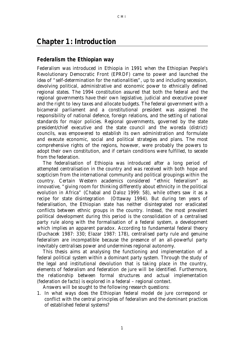## **Chapter 1: Introduction**

#### **Federalism the Ethiopian way**

Federalism was introduced in Ethiopia in 1991 when the Ethiopian People's Revolutionary Democratic Front (EPRDF) came to power and launched the idea of "self-determination for the nationalities", up to and including secession, devolving political, administrative and economic power to ethnically defined regional states. The 1994 constitution assured that both the federal and the regional governments have their own legislative, judicial and executive power and the right to levy taxes and allocate budgets. The federal government with a bicameral parliament and a constitutional president was assigned the responsibility of national defence, foreign relations, and the setting of national standards for major policies. Regional governments, governed by the state president/chief executive and the state council and the woreda (district) councils, was empowered to establish its own administration and formulate and execute economic, social and political strategies and plans. The most comprehensive rights of the regions, however, were probably the powers to adopt their own constitution, and if certain conditions were fulfilled, to secede from the federation.

The federalisation of Ethiopia was introduced after a long period of attempted centralisation in the country and was received with both hope and scepticism from the international community and political groupings within the country. Certain Western academics considered "ethnic federalism" as innovative, "giving room for thinking differently about ethnicity in the political evolution in Africa" (Chabal and Daloz 1999: 58), while others saw it as a recipe for state disintegration (Ottaway 1994). But during ten years of federalisation, the Ethiopian state has neither disintegrated nor eradicated conflicts between ethnic groups in the country. Instead, the most prevalent political development during this period is the consolidation of a centralised party rule along with the formalisation of a federal system, a development which implies an apparent paradox. According to fundamental federal theory (Duchacek 1987: 330; Elazar 1987: 178), centralised party rule and genuine federalism are incompatible because the presence of an all-powerful party inevitably centralises power and undermines regional autonomy.

This thesis aims at analysing the functioning and implementation of a federal political system within a dominant party system. Through the study of the legal and institutional devolution that is taking place in the country, elements of federalism and federation *de jure* will be identified. Furthermore, the relationship between formal structures and actual implementation (federation *de facto*) is explored in a federal – regional context.

Answers will be sought to the following research questions:

1. In what ways does the Ethiopian federal model *de jure* correspond or conflict with the central principles of federalism and the dominant practices of established federal systems?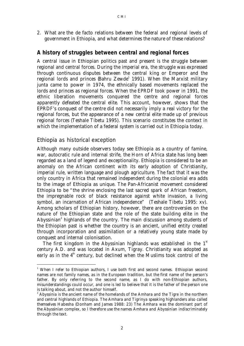2. What are the *de facto* relations between the federal and regional levels of government in Ethiopia, and what determines the nature of these relations?

#### **A history of struggles between central and regional forces**

A central issue in Ethiopian politics past and present is the struggle between regional and central forces. During the imperial era, the struggle was expressed through continuous disputes between the central king or Emperor and the regional lords and princes (Bahru Zewde<sup>1</sup> 1991). When the Marxist military junta came to power in 1974, the ethnically based movements replaced the lords and princes as regional forces. When the EPRDF took power in 1991, the ethnic liberation movements conquered the centre and regional forces apparently defeated the central elite. This account, however, shows that the EPRDF's conquest of the centre did not necessarily imply a real victory for the regional forces, but the appearance of a new central elite made up of previous regional forces (Teshale Tibetu 1995). This scenario constitutes the context in which the implementation of a federal system is carried out in Ethiopia today.

#### *Ethiopia as historical exception*

Although many outside observers today see Ethiopia as a country of famine, war, autocratic rule and internal strife, the Horn of Africa state has long been regarded as a land of legend and exceptionality. Ethiopia is considered to be an anomaly on the African continent with its early adoption of Christianity, imperial rule, written language and plough agriculture. The fact that it was the only country in Africa that remained independent during the colonial era adds to the image of Ethiopia as unique. The Pan-Africanist movement considered Ethiopia to be "the shrine enclosing the last sacred spark of African freedom, the impregnable rock of black resistance against white invasion, a living symbol, an incarnation of African independence" (Teshale Tibetu 1995: xv). Among scholars of Ethiopian history, however, there are controversies on the nature of the Ethiopian state and the role of the state building elite in the Abyssinian<sup>2</sup> highlands of the country. The main discussion among students of the Ethiopian past is whether the country is an ancient, unified entity created through incorporation and assimilation or a relatively young state made by conquest and internal colonisation.

The first kingdom in the Abyssinian highlands was established in the  $1<sup>st</sup>$ century A.D. and was located in Axum, Tigray. Christianity was adopted as early as in the  $4<sup>th</sup>$  century, but declined when the Muslims took control of the

<sup>&</sup>lt;sup>1</sup> When I refer to Ethiopian authors, I use both first and second names. Ethiopian second names are not family names, as in the European tradition, but the first name of the person's father. By only referring to the second name, as I do with non-Ethiopian authors, misunderstandings could occur, and one is led to believe that it is the father of the person one is talking about, and not the author himself.

 $2^{2}$  Abyssinia is the ancient name of the homelands of the Amhara and the Tigre in the northern and central highlands of Ethiopia. The Amhara and Tigrinya speaking highlanders also called themselves Habesha (Donham and James 1988: 23) The Amhara was the dominant part of the Abyssinian complex, so I therefore use the names Amhara and Abyssinian indiscriminately through the text.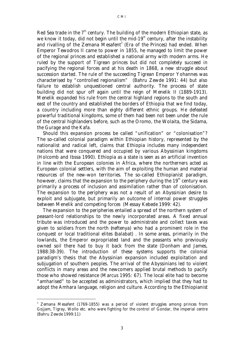Red Sea trade in the  $7<sup>th</sup>$  century. The building of the modern Ethiopian state, as we know it today, did not begin until the mid-19<sup>th</sup> century, after the instability and rivalling of the Zemana Mesafent $3$  (Era of the Princes) had ended. When Emperor Tewodros II came to power in 1855, he managed to limit the power of the regional princes and established a national army with modern arms. He ruled by the support of Tigrean princes but did not completely succeed in pacifying the regional forces and at his death in 1868, a new struggle about succession started. The rule of the succeeding Tigrean Emperor Yohannes was characterised by "controlled regionalism" (Bahru Zewde 1991: 44) but also failure to establish unquestioned central authority. The process of state building did not spur off again until the reign of Menelik II (1889-1913). Menelik expanded his rule from the central highland regions to the south and east of the country and established the borders of Ethiopia that we find today, a country including more than eighty different ethnic groups. He defeated powerful traditional kingdoms, some of them had been not been under the rule of the central highlanders before, such as the Oromo, the Wolaita, the Sidama, the Gurage and the Kafa.

Should this expansion process be called "unification" or "colonisation"? The so-called colonial paradigm within Ethiopian history, represented by the nationalist and radical left, claims that Ethiopia includes many independent nations that were conquered and occupied by various Abyssinian kingdoms (Holcomb and Ibssa 1990). Ethiopia as a state is seen as an artificial invention in line with the European colonies in Africa, where the northerners acted as European colonial settlers, with the aim of exploiting the human and material resources of the new-won territories. The so-called Ethiopianist paradigm, however, claims that the expansion to the periphery during the  $19<sup>th</sup>$  century was primarily a process of inclusion and assimilation rather than of colonisation. The expansion to the periphery was not a result of an Abyssinian desire to exploit and subjugate, but primarily an outcome of internal power struggles between Menelik and competing forces (Messay Kebede 1999: 42).

The expansion to the peripheries entailed a spread of the northern system of peasant-lord relationships to the newly incorporated areas. A fixed annual tribute was introduced and the power to administrate and collect taxes was given to soldiers from the north (*neftenya*) who had a prominent role in the conquest or local traditional elites (*balabat*) . In some areas, primarily in the lowlands, the Emperor expropriated land and the peasants who previously owned soil there had to buy it back from the state (Donham and James, 1988:38-39). The introduction of these systems supports the colonial paradigm's thesis that the Abyssinian expansion included exploitation and subjugation of southern peoples. The arrival of the Abyssinians led to violent conflicts in many areas and the newcomers applied brutal methods to pacify those who showed resistance (Marcus 1995: 67). The local elite had to become "amharised" to be accepted as administrators, which implied that they had to adopt the Amhara language, religion and culture. According to the Ethiopianist

<sup>&</sup>lt;sup>3</sup> Zemana Mesafent (1769-1855) was a period of violent struggles among princes from Gojjam, Tigray, Wollo etc. who were fighting for the control of Gondar, the imperial centre (Bahru Zewde 1999:11)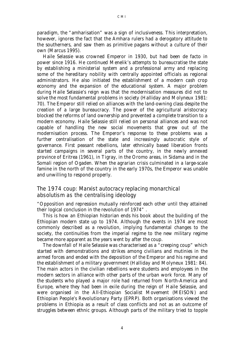paradigm, the "amharisation" was a sign of inclusiveness. This interpretation, however, ignores the fact that the Amhara rulers had a derogatory attitude to the southerners, and saw them as primitive pagans without a culture of their own (Marcus 1995).

Haile Selassie was crowned Emperor in 1930, but had been *de facto* in power since 1916. He continued Menelik's attempts to bureaucratise the state by establishing a ministerial system and a professional army and replacing some of the hereditary nobility with centrally appointed officials as regional administrators. He also initiated the establishment of a modern cash crop economy and the expansion of the educational system. A major problem during Haile Selassie's reign was that the modernisation measures did not to solve the most fundamental problems in society (Halliday and Molyneux 1981: 70). The Emperor still relied on alliances with the land-owning class despite the creation of a large bureaucracy. The power of the agricultural aristocracy blocked the reforms of land ownership and prevented a complete transition to a modern economy. Haile Selassie still relied on personal alliances and was not capable of handling the new social movements that grew out of the modernisation process. The Emperor's response to these problems was a further centralisation of the state and increasingly autocratic style of governance. First peasant rebellions, later ethnically based liberation fronts started campaigns in several parts of the country, in the newly annexed province of Eritrea (1961), in Tigray, in the Oromo areas, in Sidama and in the Somali region of Ogaden. When the agrarian crisis culminated in a large-scale famine in the north of the country in the early 1970s, the Emperor was unable and unwilling to respond properly.

#### *The 1974 coup: Marxist autocracy replacing monarchical absolutism as the centralising ideology*

"Opposition and repression mutually reinforced each other until they attained their logical conclusion in the revolution of 1974" .

This is how an Ethiopian historian ends his book about the building of the Ethiopian modern state up to 1974. Although the events in 1974 are most commonly described as a revolution, implying fundamental changes to the society, the continuities from the imperial regime to the new military regime became more apparent as the years went by after the coup.

The downfall of Haile Selassie was characterised as a "creeping coup" which started with demonstrations and strikes among civilians and mutinies in the armed forces and ended with the deposition of the Emperor and his regime and the establishment of a military government (Halliday and Molyneux 1981: 84). The main actors in the civilian rebellions were students and employees in the modern sectors in alliance with other parts of the urban work force. Many of the students who played a major role had returned from North-America and Europe, where they had been in exile during the reign of Haile Selassie, and were organised in the All-Ethiopian Socialist Movement (MEISON) and Ethiopian People's Revolutionary Party (EPRP). Both organisations viewed the problems in Ethiopia as a result of class conflicts and not as an outcome of struggles between ethnic groups. Although parts of the military tried to topple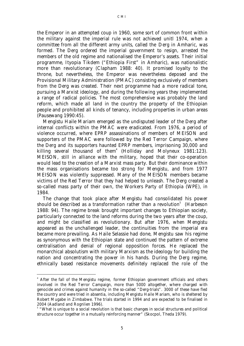the Emperor in an attempted coup in 1960, some sort of common front within the military against the imperial rule was not achieved unitl 1974, when a committee from all the different army units, called the *Derg* in Amharic, was formed. The Derg ordered the imperial government to resign, arrested the members of the old regime and nationalised the Emperor's assets. Their initial programme, *Ityopia Tikdem* ("Ethiopia First" in Amharic), was nationalistic more than revolutionary (Clapham 1988: 40). It promised loyalty to the throne, but nevertheless, the Emperor was nevertheless deposed and the Provisional Military Administration (PMAC) consisting exclusively of members from the Derg was created. Their next programme had a more radical tone, pursuing a Marxist ideology, and during the following years they implemented a range of radical policies. The most comprehensive was probably the land reform, which made all land in the country the property of the Ethiopian people and prohibited all kinds of tenancy, including properties in urban areas (Pausewang 1990:45).

Mengistu Haile Mariam emerged as the undisputed leader of the Derg after internal conflicts within the PMAC were eradicated. From 1976, a period of violence occurred, where EPRP assassinations of members of MEISON and supporters of the PMAC were followed by the Red Terror Campaign, where the Derg and its supporters haunted EPRP members, imprisoning 30,000 and killing several thousand of them<sup>4</sup> (Holliday and Molyneux 1981:123). MEISON, still in alliance with the military, hoped that their co-operation would lead to the creation of a Marxist mass party. But their dominance within the mass organisations became too strong for Mengistu, and from 1977 MEISON was violently suppressed. Many of the MEISON members became victims of the Red Terror that they had helped to unleash. The Derg created a so-called mass party of their own, the Workers Party of Ethiopia (WPE), in 1984.

The change that took place after Mengistu had consolidated his power should be described as a transformation rather than a revolution<sup>5</sup> (Harbeson 1988: 94). The regime break brought important changes to Ethiopian society, particularly connected to the land reforms during the two years after the coup, and might be classified as revolutionary. But after 1976, when Mengistu appeared as the unchallenged leader, the continuities from the imperial era became more prevailing. As Haile Selassie had done, Mengistu saw his regime as synonymous with the Ethiopian state and continued the pattern of extreme centralisation and denial of regional opposition forces. He replaced the monarchical absolutism with military Marxism as the ideology for building the nation and concentrating the power in his hands. During the Derg regime, ethnically based resistance movements definitely replaced the role of the

<sup>&</sup>lt;sup>4</sup> After the fall of the Mengistu regime, former Ethiopian government officials and others involved in the Red Terror Campaign, more than 5000 altogether, where charged with genocide and crimes against humanity in the so-called "Derg-trials". 3000 of these have fled the country and were tried *in absentia*, including Mengistu Haile Mariam, who is sheltered by Robert Mugabe in Zimbabwe. The trials started in 1994 and are expected to be finalised in 2004 (Aadland and Rognlien 1996).

<sup>&</sup>lt;sup>5</sup> "What is unique to a social revolution is that basic changes in social structures and political structure occur together in a mutually reinforcing manner" (Skocpol, Theda 1979).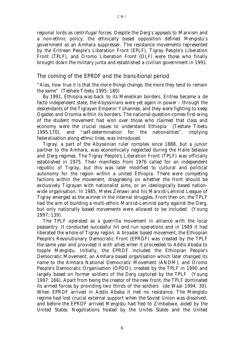regional lords as centrifugal forces. Despite the Derg's appeals to Marxism and a non-ethnic policy, the ethnically based opposition defined Mengistu's government as an Amhara suppresser. The resistance movements represented by the Eritrean People's Liberation Front (EPLF), Tigray People's Liberation Front (TPLF), and Oromo Liberation Front (OLF) were those who finally brought down the military junta and established a civilian government in 1991.

#### *The coming of the EPRDF and the transitional period*

"Alas, how true it is that the more things change, the more they tend to remain the same" (Teshale Tibetu 1995: 180)

By 1991, Ethiopia was back to its Menelikan borders. Eritrea became a *de facto* independent state, the Abyssinians were yet again in power – through the descendants of the Tigrayan Emperor Yohannes, and they were fighting to keep Ogaden and Oromia within its borders. The national-question-comes-first-wing of the student movement had won over those who claimed that class and economy were the crucial issues to understand Ethiopia (Teshale Tibetu 1995:170), and "self-determination for the nationalities", implying federalisation along ethnic lines, was introduced.

Tigray, a part of the Abyssinian ruler complex since 1888, but a junior partner to the Amhara, was economically neglected during the Haile Selassie and Derg regimes. The Tigray People's Liberation Front (TPLF) was officially established in 1975. Their manifesto from 1976 called for an independent republic of Tigray, but this was later modified to cultural and political autonomy for the region within a united Ethiopia. There were competing factions within the movement, disagreeing on whether the front should be exclusively Tigrayan with nationalist aims, or an ideologically based nationwide organisation. In 1985, Meles Zenawi and his Marxist-Leninist League of Tigray emerged as the winner in the internal struggles. From then on, the TPLF had the aim of building a multi-ethnic Marxist-Leninist party against the Derg, but only nationally based movements were allowed to be included (Young 1997: 139).

The TPLF operated as a guerrilla movement in alliance with the local peasantry. It conducted successful hit and run operations and in 1989 it had liberated the whole of Tigray region. A broader based movement, the Ethiopian People's Revolutionary Democratic Front (EPRDF) was created by the TPLF the same year and provided it with allies when it proceeded to Addis Ababa to topple Mengistu. Initially, the EPRDF included the Ethiopian People's Democratic Movement, an Amhara based organisation which later changed its name to the Amhara National Democratic Movement (ANDM), and Oromo People's Democratic Organisation (OPDO), created by the TPLF in 1990 and largely based on former soldiers of the Derg captured by the TPLF (Young 1997: 166). Apart from being the creator of the new front, the TPLF dominated its armed forces by providing two thirds of the soldiers (de Waal 1994: 30). When EPRDF arrived in Addis Ababa it met no resistance. The Mengistu regime had lost crucial external support when the Soviet Union was dissolved, and before the EPRDF arrived Mengistu had fled to Zimbabwe, aided by the United States. Negotiations hosted by the Unites States and the United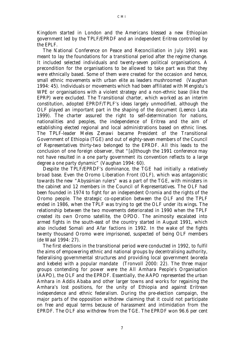Kingdom started in London and the Americans blessed a new Ethiopian government led by the TPLF/EPRDF and an independent Eritrea controlled by the EPLF.

The National Conference on Peace and Reconciliation in July 1991 was meant to lay the foundations for a transitional period after the regime change. It included selected individuals and twenty-seven political organisations. A precondition for the organisations to be allowed to take part was that they were ethnically based. Some of them were created for the occasion and hence, small ethnic movements with urban elite as leaders mushroomed (Vaughan 1994: 45). Individuals or movements which had been affiliated with Mengistu's WPE or organisations with a violent strategy and a non-ethnic base (like the EPRP) were excluded. The Transitional charter, which worked as an interim constitution, adopted EPRDF/TPLF's ideas largely unmodified, although the OLF played an important part in the shaping of the document (Leenco Lata 1999). The charter assured the right to self-determination for nations, nationalities and peoples, the independence of Eritrea and the aim of establishing elected regional and local administrations based on ethnic lines. The TPLF-leader Meles Zenawi became President of the Transitional Government of Ethiopia (TGE) and out of eighty-seven members of the Council of Representatives thirty-two belonged to the EPRDF. All this leads to the conclusion of one foreign observer, that "[a]lthough the 1991 conference may not have resulted in a one party government its convention reflects to a large degree a one party dynamic" (Vaughan 1994: 60).

Despite the TPLF/EPRDF's dominance, the TGE had initially a relatively broad base. Even the Oromo Liberation Front (OLF), which was antagonistic towards the new "Abyssinian rulers" was a part of the TGE, with ministers in the cabinet and 12 members in the Council of Representatives. The OLF had been founded in 1974 to fight for an independent Oromia and the rights of the Oromo people. The strategic co-operation between the OLF and the TPLF ended in 1986, when the TPLF was trying to get the OLF under its wings. The relationship between the two movements deteriorated in 1990 when the TPLF created its own Oromo satellite, the OPDO. The animosity escalated into armed fights in the south-east of the country started in August 1991, which also included Somali and Afar factions in 1992. In the wake of the fights twenty thousand Oromo were imprisoned, suspected of being OLF members (de Waal 1994: 27).

The first elections in the transitional period were conducted in 1992, to fulfil the aims of empowering ethnic and national groups by decentralising authority, federalising governmental structures and providing local government (*woreda* and *kebele*) with a popular mandate (Tronvoll 2000: 22). The three major groups contending for power were the All Amhara People's Organisation (AAPO), the OLF and the EPRDF. Essentially, the AAPO represented the urban Amhara in Addis Ababa and other larger towns and works for regaining the Amhara's lost positions, for the unity of Ethiopia and against Eritrean independence and ethnic federalism. During the pre-election campaign, the major parts of the opposition withdrew claiming that it could not participate on free and equal terms because of harassment and intimidation from the EPRDF. The OLF also withdrew from the TGE. The EPRDF won 96.6 per cent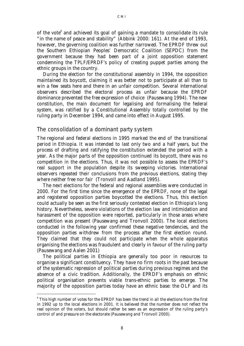of the vote<sup>6</sup> and achieved its goal of gaining a mandate to consolidate its rule "in the name of peace and stability" (Abbink 2000: 161). At the end of 1993, however, the governing coalition was further narrowed. The EPRDF threw out the Southern Ethiopian Peoples' Democratic Coalition (SEPDC) from the government because they had been part of a joint opposition statement condemning the TPLF/EPRDF's policy of creating puppet parties among the ethnic groups in the country.

During the election for the constitutional assembly in 1994, the opposition maintained its boycott, claiming it was better not to participate at all than to win a few seats here and there in an unfair competition. Several international observers described the electoral process as unfair because the EPRDF dominance prevented the free expression of choice (Pausewang 1994). The new constitution, the main document for legalising and formalising the federal system, was ratified by a Constitutional Assembly totally controlled by the ruling party in December 1994, and came into effect in August 1995.

#### *The consolidation of a dominant party system*

The regional and federal elections in 1995 marked the end of the transitional period in Ethiopia. It was intended to last only two and a half years, but the process of drafting and ratifying the constitution extended the period with a year. As the major parts of the opposition continued its boycott, there was no competition in the elections. Thus, it was not possible to assess the EPRDF's real support in the population despite its sweeping victories. International observers repeated their conclusions from the previous elections, stating they where neither free nor fair (Tronvoll and Aadland 1995).

The next elections for the federal and regional assemblies were conducted in 2000. For the first time since the emergence of the EPRDF, none of the legal and registered opposition parties boycotted the elections. Thus, this election could actually be seen as the first seriously contested election in Ethiopia's long history. Nevertheless, severe violations of the election law and intimidation and harassment of the opposition were reported, particularly in those areas where competition was present (Pausewang and Tronvoll 2000). The local elections conducted in the following year confirmed these negative tendencies, and the opposition parties withdrew from the process after the first election round. They claimed that they could not participate when the whole apparatus organising the elections was fraudulent and clearly in favour of the ruling party (Pausewang and Aalen 2001)

The political parties in Ethiopia are generally too poor in resources to organise a significant constituency. They have no firm roots in the past because of the systematic repression of political parties during previous regimes and the absence of a civic tradition. Additionally, the EPRDF's emphasis on ethnic political organisation prevents viable trans-ethnic parties to emerge. The majority of the opposition parties today have an ethnic base: the OLF and its

 $6$  This high number of votes for the EPRDF has been the trend in all the elections from the first in 1992 up to the local elections in 2001. It is believed that the number does not reflect the real opinion of the voters, but should rather be seen as an expression of the ruling party's control of and pressure on the electorate (Pausewang and Tronvoll 2000).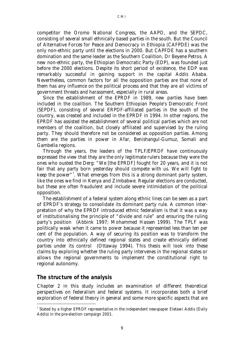competitor the Oromo National Congress, the AAPO, and the SEPDC, consisting of several small ethnically based parties in the south. But the Council of Alternative Forces for Peace and Democracy in Ethiopia (CAFPDE) was the only non-ethnic party until the elections in 2000. But CAPFDE has a southern domination and the same leader as the Southern Coalition, Dr Beyene Petros. A new non-ethnic party, the Ethiopian Democratic Party (EDP), was founded just before the 2000 elections. Despite its short period of existence, the EDP was remarkably successful in gaining support in the capital Addis Ababa. Nevertheless, common factors for all the opposition parties are that none of them has any influence on the political process and that they are all victims of government threats and harassment, especially in rural areas.

Since the establishment of the EPRDF in 1989, new parties have been included in the coalition. The Southern Ethiopian People's Democratic Front (SEPDF), consisting of several ERPDF-affiliated parties in the south of the country, was created and included in the EPRDF in 1994. In other regions, the EPRDF has assisted the establishment of several political parties which are not members of the coalition, but closely affiliated and supervised by the ruling party. They should therefore not be considered as opposition parties. Among them are the parties in power in Afar, Benishangul-Gumuz, Somali and Gambella regions.

Through the years, the leaders of the TPLF/EPRDF have continuously expressed the view that they are the only legitimate rulers because they were the ones who ousted the Derg: "We [the EPRDF] fought for 20 years, and it is not fair that any party born yesterday should compete with us. We will fight to keep the power"<sup>7</sup>. What emerges from this is a strong dominant party system, like the ones we find in Kenya and Zimbabwe. Regular elections are conducted, but these are often fraudulent and include severe intimidation of the political opposition.

The establishment of a federal system along ethnic lines can be seen as a part of EPRDF's strategy to consolidate its dominant party rule. A common interpretation of why the EPRDF introduced ethnic federalism is that it was a way of institutionalising the principle of "divide and rule" and ensuring the ruling party's position (Abbink 1997; Mohammed Hassen 1999). The TPLF was politically weak when it came to power because it represented less than ten per cent of the population. A way of securing its position was to transform the country into ethnically defined regional states and create ethnically defined parties under its control (Ottaway 1994). This thesis will look into these claims by exploring whether the ruling party intervenes in the regional states or allows the regional governments to implement the constitutional right to regional autonomy.

#### **The structure of the analysis**

Chapter 2 in this study includes an examination of different theoretical perspectives on federalism and federal systems. It incorporates both a brief exploration of federal theory in general and some more specific aspects that are

 $^7$  Stated by a higher EPRDF representative in the independent newspaper Eletawi Addis (Daily Addis) in the pre-election campaign 2001.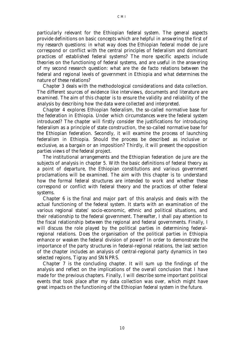particularly relevant for the Ethiopian federal system. The general aspects provide definitions on basic concepts which are helpful in answering the first of my research questions: in what way does the Ethiopian federal model *de jure* correspond or conflict with the central principles of federalism and dominant practices of established federal systems? The more specific aspects include theories on the functioning of federal systems, and are useful in the answering of my second research question: what are the *de facto* relations between the federal and regional levels of government in Ethiopia and what determines the nature of these relations?

Chapter 3 deals with the methodological considerations and data collection. The different sources of evidence like interviews, documents and literature are examined. The aim of this chapter is to ensure the validity and reliability of the analysis by describing how the data were collected and interpreted.

Chapter 4 explores Ethiopian federalism, the so-called normative base for the federation in Ethiopia. Under which circumstances were the federal system introduced? The chapter will firstly consider the justifications for introducing federalism as a principle of state construction, the so-called normative base for the Ethiopian federation. Secondly, it will examine the process of launching federalism in Ethiopia. Should the process be described as inclusive or exclusive, as a bargain or an imposition? Thirdly, it will present the opposition parties views of the federal project.

The institutional arrangements and the Ethiopian federation *de jure* are the subjects of analysis in chapter 5. With the basic definitions of federal theory as a point of departure, the Ethiopian constitutions and various government proclamations will be examined. The aim with this chapter is to understand how the formal federal structures are intended to work and whether these correspond or conflict with federal theory and the practices of other federal systems.

Chapter 6 is the final and major part of this analysis and deals with the actual functioning of the federal system. It starts with an examination of the various regional states' socio-economic, ethnic and political situations, and their relationship to the federal government. Thereafter, I shall pay attention to the fiscal relationship between the regional and federal governments. Finally, I will discuss the role played by the political parties in determining federalregional relations. Does the organisation of the political parties in Ethiopia enhance or weaken the federal division of power? In order to demonstrate the importance of the party structures in federal-regional relations, the last section of the chapter includes an analysis of central-regional party dynamics in two selected regions, Tigray and SNNPRS.

Chapter 7 is the concluding chapter. It will sum up the findings of the analysis and reflect on the implications of the overall conclusion that I have made for the previous chapters. Finally, I will describe some important political events that took place after my data collection was over, which might have great impacts on the functioning of the Ethiopian federal system in the future.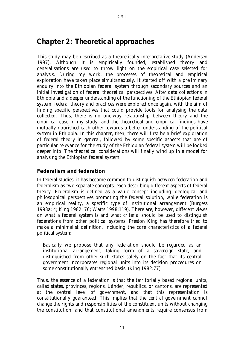# **Chapter 2: Theoretical approaches**

This study may be described as a theoretically interpretative study (Andersen 1997). Although it is empirically founded, established theory and generalisations are used to throw light on the empirical case selected for analysis. During my work, the processes of theoretical and empirical exploration have taken place simultaneously. It started off with a preliminary enquiry into the Ethiopian federal system through secondary sources and an initial investigation of federal theoretical perspectives. After data collections in Ethiopia and a deeper understanding of the functioning of the Ethiopian federal system, federal theory and practices were explored once again, with the aim of finding specific perspectives that could provide tools for analysing the data collected. Thus, there is no one-way relationship between theory and the empirical case in my study, and the theoretical and empirical findings have mutually nourished each other towards a better understanding of the political system in Ethiopia. In this chapter, then, there will first be a brief exploration of federal theory in general, followed by some specific aspects that are of particular relevance for the study of the Ethiopian federal system will be looked deeper into. The theoretical considerations will finally wind up in a model for analysing the Ethiopian federal system.

#### **Federalism and federation**

In federal studies, it has become common to distinguish between federation and federalism as two separate concepts, each describing different aspects of federal theory. Federalism is defined as a value concept including ideological and philosophical perspectives promoting the federal solution, while federation is an empirical reality, a specific type of institutional arrangement (Burgess 1993a: 4; King 1982: 76; Watts 1998:119). There are, however, different views on what a federal system is and what criteria should be used to distinguish federations from other political systems. Preston King has therefore tried to make a minimalist definition, including the core characteristics of a federal political system:

Basically we propose that any federation should be regarded as an institutional arrangement, taking form of a sovereign state, and distinguished from other such states solely on the fact that its central government incorporates regional units into its decision procedures on some constitutionally entrenched basis. (King 1982:77)

Thus, the essence of a federation is that the territorially based regional units, called states, provinces, regions, *Länder*, republics, or cantons, are represented at the central level of government, and that this representation is constitutionally guaranteed. This implies that the central government cannot change the rights and responsibilities of the constituent units without changing the constitution, and that constitutional amendments require consensus from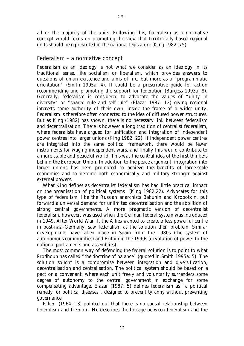all or the majority of the units. Following this, federalism as a normative concept would focus on promoting the view that territorially based regional units should be represented in the national legislature (King 1982: 75).

#### *Federalism – a normative concept*

Federalism as an ideology is not what we consider as an ideology in its traditional sense, like socialism or liberalism, which provides answers to questions of uman existence and aims of life, but more as a "programmatic orientation" (Smith 1995a: 4). It could be a prescriptive guide for action recommending and promoting the support for federation (Burgess 1993a: 8). Generally, federalism is considered to advocate the values of "unity in diversity" or "shared rule and self-rule" (Elazar 1987: 12) giving regional interests some authority of their own, inside the frame of a wider unity. Federalism is therefore often connected to the idea of diffused power structures. But as King (1982) has shown, there is no necessary link between federalism and decentralisation. There is however a long tradition of centralist federalism, where federalists have argued for unification and integration of independent power centres into larger unions (King 1982: 22). If independent power centres are integrated into the same political framework, there would be fewer instruments for waging independent wars, and finally this would contribute to a more stable and peaceful world. This was the central idea of the first thinkers behind the European Union. In addition to the peace argument, integration into larger unions has been promoted to achieve the benefits of large-scale economies and to become both economically and military stronger against external powers.

What King defines as decentralist federalism has had little practical impact on the organisation of political systems (King 1982:22). Advocates for this type of federalism, like the Russian anarchists Bakunin and Kropotkin, put forward a universal demand for unlimited decentralisation and the abolition of strong central governments. A more pragmatic version of decentralist federalism, however, was used when the German federal system was introduced in 1949. After World War II, the Allies wanted to create a less powerful centre in post-nazi-Germany, saw federalism as the solution their problem. Similar developments have taken place in Spain from the 1980s (the system of autonomous communities) and Britain in the 1990s (devolution of power to the national parliaments and assemblies).

The most common way of defending the federal solution is to point to what Prodhoun has called "the doctrine of balance" (quoted in Smith 1995a: 5). The solution sought is a compromise between integration and diversification, decentralisation and centralisation. The political system should be based on a pact or a convenant, where each unit freely and voluntarily surrenders some degree of autonomy to the central government in exchange for some compensating advantage. Elazar (1987: 5) defines federalism as "a political remedy for political diseases", designed to prevent tyranny without preventing governance.

Riker (1964: 13) pointed out that there is no causal relationship between federalism and freedom. He describes the linkage between federalism and the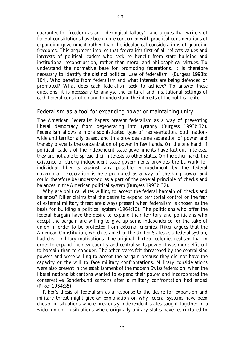guarantee for freedom as an "ideological fallacy", and argues that writers of federal constitutions have been more concerned with practical considerations of expanding government rather than the ideological considerations of guarding freedoms. This argument implies that federalism first of all reflects values and interests of political leaders who seek to benefit from state building and institutional reconstruction, rather than moral and philosophical virtues. To understand the normative base for promoting federations, it is therefore necessary to identify the distinct political uses of federalism (Burgess 1993b: 104). Who benefits from federalism and what interests are being defended or promoted? What does each federalism seek to achieve? To answer these questions, it is necessary to analyse the cultural and institutional settings of each federal constitution and to understand the interests of the political elite.

#### *Federalism as a tool for expanding power or maintaining unity*

The American Federalist Papers present federalism as a way of preventing liberal democracy from degenerating into tyranny (Burgess 1993b:32). Federalism allows a more sophisticated type of representation, both nationwide and territorially based, and this provides some separation of power and thereby prevents the concentration of power in few hands. On the one hand, if political leaders of the independent state governments have factious interests, they are not able to spread their interests to other states. On the other hand, the existence of strong independent state governments provides the bulwark for individual liberties against any possible encroachment by the federal government. Federalism is here promoted as a way of checking power and could therefore be understood as a part of the general principle of checks and balances in the American political system (Burgess 1993b:32).

Why are political elites willing to accept the federal bargain of checks and balances? Riker claims that the desire to expand territorial control or the fear of external military threat are always present when federalism is chosen as the basis for building a political system (1964:13). The politicians who offer the federal bargain have the desire to expand their territory and politicians who accept the bargain are willing to give up some independence for the sake of union in order to be protected from external enemies. Riker argues that the American Constitution, which established the United States as a federal system, had clear military motivations. The original thirteen colonies realised that in order to expand the new country and centralise its power it was more efficient to bargain than to conquer. The other states felt threatened by the centralising powers and were willing to accept the bargain because they did not have the capacity or the will to face military confrontations. Military considerations were also present in the establishment of the modern Swiss federation, when the liberal nationalist cantons wanted to expand their power and incorporated the conservative Sonderbund cantons after a military confrontation had ended (Riker 1964:35).

Riker's thesis of federalism as a response to the desire for expansion and military threat might give an explanation on why federal systems have been chosen in situations where previously independent states sought together in a wider union. In situations where originally unitary states have restructured to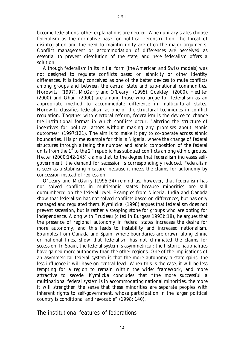become federations, other explanations are needed. When unitary states choose federalism as the normative base for political reconstruction, the threat of disintegration and the need to maintin unity are often the major arguments. Conflict management or accommodation of differences are perceived as essential to prevent dissolution of the state, and here federalism offers a solution.

Although federalism in its initial form (the American and Swiss models) was not designed to regulate conflicts based on ethnicity or other identity differences, it is today conceived as one of the better devices to mute conflicts among groups and between the central state and sub-national communities. Horowitz (1997), McGarry and O'Leary (1995), Coakley (2000), Hechter (2000) and Ghai (2000) are among those who argue for federalism as an appropriate method to accommodate difference in multicultural states. Horowitz classifies federalism as one of the structural techniques in conflict regulation. Together with electoral reform, federalism is the device to change the institutional format in which conflicts occur, "altering the structure of incentives for political actors without making any promises about ethnic outcomes" (1997:121). The aim is to make it pay to co-operate across ethnic boundaries. His prime example for this is Nigeria, where the change of federal structures through altering the number and ethnic composition of the federal units from the  $1^{\text{st}}$  to the  $2^{\text{nd}}$  republic has subdued conflicts among ethnic groups. Hecter (2000:142-145) claims that to the degree that federalism increases selfgovernment, the demand for secession is correspondingly reduced. Federalism is seen as a stabilising measure, because it meets the claims for autonomy by concession instead of repression.

O'Leary and McGarry (1995:34) remind us, however, that federalism has not solved conflicts in multiethnic states because minorities are still outnumbered on the federal level. Examples from Nigeria, India and Canada show that federalism has not solved conflicts based on differences, but has only managed and regulated them. Kymlicka (1998) argues that federalism does not prevent secession, but is rather a stepping stone for groups who are opting for independence. Along with Trudeau (cited in Burgess 1993b:18), he argues that the presence of regional autonomy in federal states increases the desire for more autonomy, and this leads to instability and increased nationalism. Examples from Canada and Spain, where boundaries are drawn along ethnic or national lines, show that federalism has not eliminated the claims for secession. In Spain, the federal system is asymmetrical: the historic nationalities have gained more autonomy than the other regions. One of the implications of an asymmetrical federal system is that the more autonomy a state gains, the less influence it will have on central level. When this is the case, it will be less tempting for a region to remain within the wider framework, and more attractive to secede. Kymlicka concludes that "the more successful a multinational federal system is in accommodating national minorities, the more it will strengthen the sense that these minorities are separate peoples with inherent rights to self-government, whose participation in the larger political country is conditional and revocable" (1998: 140).

#### *The institutional features of federations*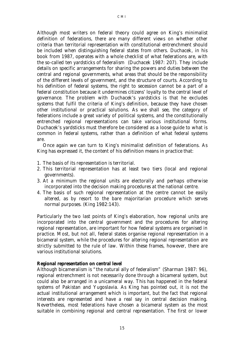Although most writers on federal theory could agree on King's minimalist definition of federations, there are many different views on whether other criteria than territorial representation with constitutional entrenchment should be included when distinguishing federal states from others. Duchacek, in his book from 1987, operates with a whole checklist of what federations are, with the so-called ten yardsticks of federalism (Duchacek 1987: 207). They include details on specific arrangements for sharing the powers and duties between the central and regional governments, what areas that should be the responsibility of the different levels of government, and the structure of courts. According to his definition of federal systems, the right to secession cannot be a part of a federal constitution because it undermines citizens' loyalty to the central level of governance. The problem with Duchacek's yardsticks is that he excludes systems that fulfil the criteria of King's definition, because they have chosen other institutional or practical solutions. As we shall see, the category of federations include a great variety of political systems, and the constitutionally entrenched regional representations can take various institutional forms. Duchacek's yardsticks must therefore be considered as a loose guide to what is common in federal systems, rather than a definition of what federal systems are.

Once again we can turn to King's minimalist definition of federations. As King has expressed it, the content of his definition means in practice that:

- 1. The basis of its representation is territorial.
- 2. This territorial representation has at least two tiers (local and regional governments).
- 3. At a minimum the regional units are electorally and perhaps otherwise incorporated into the decision making procedures at the national centre.
- 4. The basis of such regional representation at the centre cannot be easily altered, as by resort to the bare majoritarian procedure which serves normal purposes. (King 1982:143).

Particularly the two last points of King's elaboration, how regional units are incorporated into the central government and the procedures for altering regional representation, are important for how federal systems are organised in practice. Most, but not all, federal states organise regional representation in a bicameral system, while the procedures for altering regional representation are strictly submitted to the rule of law. Within these frames, however, there are various institutional solutions.

#### **Regional representation on central level**

Although bicameralism is "the natural ally of federalism" (Sharman 1987: 96), regional entrenchment is not necessarily done through a bicameral system, but could also be arranged in a unicameral way. This has happened in the federal systems of Pakistan and Yugoslavia. As King has pointed out, it is not the actual institutional arrangement which is important, but the fact that regional interests are represented and have a real say in central decision making. Nevertheless, most federations have chosen a bicameral system as the most suitable in combining regional and central representation. The first or lower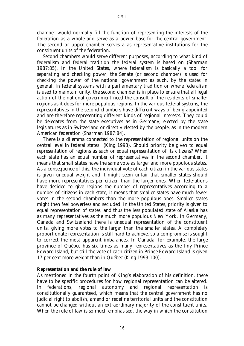chamber would normally fill the function of representing the interests of the federation as a whole and serve as a power base for the central government. The second or upper chamber serves a as representative institutions for the constituent units of the federation.

Second chambers would serve different purposes, according to what kind of federalism and federal tradition the federal system is based on (Sharman 1987:85). In the United States, where federalism is basically a tool for separating and checking power, the Senate (or second chamber) is used for checking the power of the national government as such, by the states in general. In federal systems with a parliamentary tradition or where federalism is used to maintain unity, the second chamber is in place to ensure that all legal action of the national government need the consult of the residents of smaller regions as it does for more populous regions. In the various federal systems, the representatives in the second chambers have different ways of being appointed and are therefore representing different kinds of regional interests. They could be delegates from the state executives as in Germany, elected by the state legislatures as in Switzerland or directly elected by the people, as in the modern American federation (Sharman 1987:84).

There is a dilemma connected to the representation of regional units on the central level in federal states (King 1993). Should priority be given to equal representation of regions as such or equal representation of its citizens? When each state has an equal number of representatives in the second chamber, it means that small states have the same vote as larger and more populous states. As a consequence of this, the individual vote of each citizen in the various states is given unequal weight and it might seem unfair that smaller states should have more representatives per citizen than the larger ones. When federations have decided to give regions the number of representatives according to a number of citizens in each state, it means that smaller states have much fewer votes in the second chambers than the more populous ones. Smaller states might then feel powerless and secluded. In the United States, priority is given to equal representation of states, and thus the less populated state of Alaska has as many representatives as the much more populous New York. In Germany, Canada and Switzerland there is unequal representation of the constituent units, giving more votes to the larger than the smaller states. A completely proportionate representation is still hard to achieve, so a compromise is sought to correct the most apparent imbalances. In Canada, for example, the large province of Québec has six times as many representatives as the tiny Prince Edward Island, but still the vote of each citizen in Prince Edward Island is given 17 per cent more weight than in Québec (King 1993:100).

#### **Representation and the rule of law**

As mentioned in the fourth point of King's elaboration of his definition, there have to be specific procedures for how regional representation can be altered. In federations, regional autonomy and regional representation constitutionally guaranteed, which means that the central government has no judicial right to abolish, amend or redefine territorial units and the constitution cannot be changed without an extraordinary majority of the constituent units. When the rule of law is so much emphasised, the way in which the constitution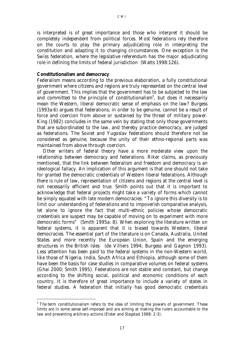is interpreted is of great importance and those who interpret it should be completely independent from political forces. Most federations rely therefore on the courts to play the primary adjudicating role in interpreting the constitution and adapting it to changing circumstances. One exception is the Swiss federation, where the legislative referendum has the major adjudicating role in defining the limits of federal jurisdiction (Watts 1998:126).

C<sub>M</sub><sub>I</sub>

#### **Constitutionalism and democracy**

Federalism means according to the previous elaboration, a fully constitutional government where citizens and regions are truly represented on the central level of government. This implies that the government has to be subjected to the law and committed to the principle of constitutionalism<sup>8</sup>, but does it necessarily mean the Western, liberal democratic sense of emphasis on the law? Burgess (1993a:6) argues that federations, in order to be genuine, cannot be a result of force and coercion from above or sustained by the threat of military power. King (1982) concludes in the same vein by stating that only those governments that are subordinated to the law, and thereby practice democracy, are judged as federations. The Soviet and Yugoslav federations should therefore not be considered as genuine, because the unity of their ethno-regional parts was maintained from above through coercion.

Other writers of federal theory have a more moderate view upon the relationship between democracy and federations. Riker claims, as previously mentioned, that the link between federalism and freedom and democracy is an ideological fallacy. An implication of this argument is that one should not take for granted the democratic credentials of Western liberal federations. Although there is rule of law, representation of citizens and regions at the central level is not necessarily efficient and true. Smith points out that it is important to acknowledge that federal projects might take a variety of forms which cannot be simply equated with late modern democracies: "To ignore this diversity is to limit our understanding of federations and to impoverish comparative analysis, let alone to ignore the fact that multi-ethnic policies whose democratic credentials are suspect may be capable of moving on to experiment with more democratic forms" (Smith 1995a: 8). When exploring the literature written on federal systems, it is apparent that it is biased towards Western, liberal democracies. The essential part of the literature is on Canada, Australia, United States and more recently the European Union, Spain and the emerging structures in the British Isles (de Villiers 1994; Burgess and Gagnon 1993). Less attention has been paid to the federal systems in the non-Western world, like those of Nigeria, India, South Africa and Ethiopia, although some of them have been the basis for case studies in comparative volumes on federal systems (Ghai 2000; Smith 1995). Federations are not stable and constant, but change according to the shifting social, political and economic conditions of each country. It is therefore of great importance to include a variety of states in federal studies. A federation that initially has good democratic credentials

<sup>&</sup>lt;sup>8</sup> The term constitutionalism refers to the idea of limiting the powers of government. These limits are in some sense self-imposed and are aiming at making the rulers accountable to the law and preventing arbitrary actions (Elster and Slagstad 1988: 2-3).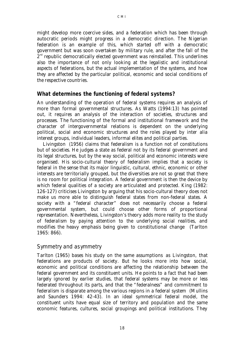might develop more coercive sides, and a federation which has been through autocratic periods might progress in a democratic direction. The Nigerian federation is an example of this, which started off with a democratic government but was soon overtaken by military rule, and after the fall of the  $2<sup>nd</sup>$  republic democratically elected government was reinstalled. This underlines also the importance of not only looking at the legalistic and institutional aspects of federations, but the actual implementation of the systems, and how they are affected by the particular political, economic and social conditions of the respective countries.

#### **What determines the functioning of federal systems?**

An understanding of the operation of federal systems requires an analysis of more than formal governmental structures. As Watts (1994:13) has pointed out, it requires an analysis of the interaction of societies, structures and processes. The functioning of the formal and institutional framework and the character of intergovernmental relations is dependent on the underlying political, social and economic structures and the roles played by *inter alia* interest groups, individual leaders, informal elites and political parties.

Livingston (1956) claims that federalism is a function not of constitutions but of societies. He judges a state as federal not by its federal government and its legal structures, but by the way social, political and economic interests were organised. His socio-cultural theory of federalism implies that a society is federal in the sense that its major linguistic, cultural, ethnic, economic or other interests are territorially grouped, but the diversities are not so great that there is no room for political integration. A federal government is then the device by which federal qualities of a society are articulated and protected. King (1982: 126-127) criticises Livingston by arguing that his socio-cultural theory does not make us more able to distinguish federal states from non-federal states. A society with a "federal character" does not necessarily choose a federal governmental system, but could choose other forms of proportional representation. Nevertheless, Livingston's theory adds more reality to the study of federalism by paying attention to the underlying social realities, and modifies the heavy emphasis being given to constitutional change (Tarlton 1965: 866).

#### *Symmetry and asymmetry*

Tarlton (1965) bases his study on the same assumptions as Livingston, that federations are products of society. But he looks more into how social, economic and political conditions are affecting the relationship between the federal government and its constituent units. He points to a fact that had been largely ignored by earlier studies, that federal systems may be more or less federated throughout its parts, and that the "federalness" and commitment to federalism is disparate among the various regions in a federal system (Mullins and Saunders 1994: 42-43). In an ideal symmetrical federal model, the constituent units have equal size of territory and population and the same economic features, cultures, social groupings and political institutions. They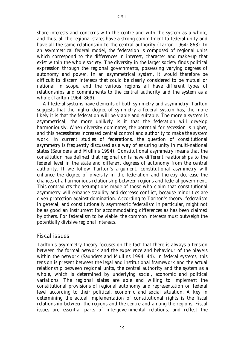share interests and concerns with the centre and with the system as a whole, and thus, all the regional states have a strong commitment to federal unity and have all the same relationship to the central authority (Tarton 1964: 868). In an asymmetrical federal model, the federation is composed of regional units which correspond to the differences in interest, character and make-up that exist within the whole society. The diversity in the larger society finds political expression through the regional governments, possessing varying degrees of autonomy and power. In an asymmetrical system, it would therefore be difficult to discern interests that could be clearly considered to be mutual or national in scope, and the various regions all have different types of relationships and commitments to the central authority and the system as a whole (Tarlton 1964: 869).

All federal systems have elements of both symmetry and asymmetry. Tarlton suggests that the higher degree of symmetry a federal system has, the more likely it is that the federation will be viable and suitable. The more a system is asymmetrical, the more unlikely is it that the federation will develop harmoniously. When diversity dominates, the potential for secession is higher, and this necessitates increased central control and authority to make the system work. In current studies of federations, the question of constitutional asymmetry is frequently discussed as a way of ensuring unity in multi-national states (Saunders and Mullins 1994). Constitutional asymmetry means that the constitution has defined that regional units have different relationships to the federal level in the state and different degrees of autonomy from the central authority. If we follow Tarlton's argument, constitutional asymmetry will enhance the degree of diversity in the federation and thereby decrease the chances of a harmonious relationship between regions and federal government. This contradicts the assumptions made of those who claim that constitutional asymmetry will enhance stability and decrease conflict, because minorities are given protection against domination. According to Tarlton's theory, federalism in general, and constitutionally asymmetric federalism in particular, might not be as good an instrument for accommodating differences as has been claimed by others. For federalism to be viable, the common interests must outweigh the potentially divisive regional interests.

#### *Fiscal issues*

Tarlton's asymmetry theory focuses on the fact that there is always a tension between the formal network and the experience and behaviour of the players within the network (Saunders and Mullins 1994: 44). In federal systems, this tension is present between the legal and institutional framework and the actual relationship between regional units, the central authority and the system as a whole, which is determined by underlying social, economic and political variations. The regional states are able and willing to implement the constitutional provisions of regional autonomy and representation on federal level according to their political, economic and social situation. A key in determining the actual implementation of constitutional rights is the fiscal relationship between the regions and the centre and among the regions. Fiscal issues are essential parts of intergovernmental relations, and reflect the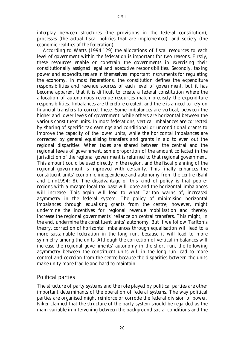interplay between structures (the provisions in the federal constitution), processes (the actual fiscal policies that are implemented), and society (the economic realities of the federation).

According to Watts (1994:129) the allocations of fiscal resources to each level of government within the federation is important for two reasons. Firstly, these resources enable or constrain the governments in exercising their constitutionally assigned legal and executive responsibilities. Secondly, taxing power and expenditures are in themselves important instruments for regulating the economy. In most federations, the constitution defines the expenditure responsibilities and revenue sources of each level of government, but it has become apparent that it is difficult to create a federal constitution where the allocation of autonomous revenue resources match precisely the expenditure responsibilities. Imbalances are therefore created, and there is a need to rely on financial transfers to correct these. Some imbalances are vertical, between the higher and lower levels of government, while others are horizontal between the various constituent units. In most federations, vertical imbalances are corrected by sharing of specific tax earnings and conditional or unconditional grants to improve the capacity of the lower units, while the horizontal imbalances are corrected by general equalising transfers and grants in aid to even out the regional disparities. When taxes are shared between the central and the regional levels of government, some proportion of the amount collected in the jurisdiction of the regional government is returned to that regional government. This amount could be used directly in the region, and the fiscal planning of the regional government is improved with certainty. This finally enhances the constituent units' economic independence and autonomy from the centre (Bahl and Linn1994: 8). The disadvantage of this kind of policy is that poorer regions with a meagre local tax base will loose and the horizontal imbalances will increase. This again will lead to what Tarlton warns of, increased asymmetry in the federal system. The policy of minimising horizontal imbalances through equalising grants from the centre, however, might undermine the incentives for regional revenue mobilisation and thereby increase the regional governments' reliance on central transfers. This might, in the end, undermine the constituent units' autonomy. But if we follow Tarlton's theory, correction of horizontal imbalances through equalisation will lead to a more sustainable federation in the long run, because it will lead to more symmetry among the units. Although the correction of vertical imbalances will increase the regional governments' autonomy in the short run, the following asymmetry between the constituent units will in the long run lead to more control and coercion from the centre because the disparities between the units make unity more fragile and hard to maintain.

#### *Political parties*

The structure of party systems and the role played by political parties are other important determinants of the operation of federal systems. The way political parties are organised might reinforce or corrode the federal division of power. Riker claimed that the structure of the party system should be regarded as the main variable in intervening between the background social conditions and the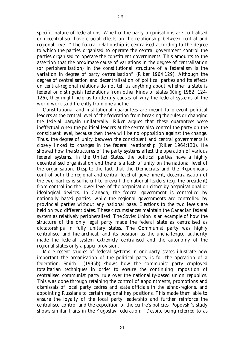specific nature of federations. Whether the party organisations are centralised or decentralised have crucial effects on the relationship between central and regional level. "The federal relationship is centralised according to the degree to which the parties organised to operate the central government control the parties organised to operate the constituent governments. This amounts to the assertion that the proximate cause of variations in the degree of centralisation (or peripheralisation) in the constitutional structure of a federalism is the variation in degree of party centralisation" (Riker 1964:129). Although the degree of centralisation and decentralisation of political parties and its effects on central-regional relations do not tell us anything about whether a state is federal or distinguish federations from other kinds of states (King 1982: 124- 126), they might help us to identify causes of why the federal systems of the world work so differently from one another.

Constitutional and institutional guarantees are meant to prevent political leaders at the central level of the federation from breaking the rules or changing the federal bargain unilaterally. Riker argues that these guarantees were ineffectual when the political leaders at the centre also control the party on the constituent level, because then there will be no opposition against the change. Thus, the degree of unity between the constituent and central governments is closely linked to changes in the federal relationship (Riker 1964:130). He showed how the structures of the party systems affect the operation of various federal systems. In the United States, the political parties have a highly decentralised organisation and there is a lack of unity on the national level of the organisation. Despite the fact that the Democrats and the Republicans control both the regional and central level of government, decentralisation of the two parties is sufficient to prevent the national leaders (e.g. the president) from controlling the lower level of the organisation either by organisational or ideological devices. In Canada, the federal government is controlled by nationally based parties, while the regional governments are controlled by provincial parties without any national base. Elections to the two levels are held on two different dates. These circumstances maintain the Canadian federal system as relatively peripheralised. The Soviet Union is an example of how the structure of the only legal party made the federal state as centralised as dictatorships in fully unitary states. The Communist party was highly centralised and hierarchical, and its position as the unchallenged authority made the federal system extremely centralised and the autonomy of the regional states only a paper provision.

More recent studies of federal systems in one-party states illustrate how important the organisation of the political party is for the operation of a federation. Smith (1995b) shows how the communist party employed totalitarian techniques in order to ensure the continuing imposition of centralised communist party rule over the nationality-based union republics. This was done through retaining the control of appointments, promotions and dismissals of local party cadres and state officials in the ethno-regions, and appointing Russians to certain regional key positions. This made them able to ensure the loyalty of the local party leadership and further reinforce the centralised control and the expedition of the centre's policies. Popovski's study shows similar traits in the Yugoslav federation: "Despite being referred to as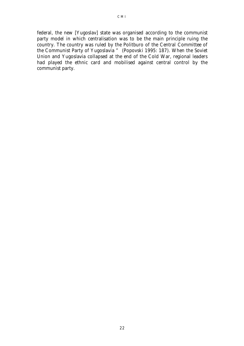federal, the new [Yugoslav] state was organised according to the communist party model in which centralisation was to be the main principle ruing the country. The country was ruled by the Politburo of the Central Committee of the Communist Party of Yugoslavia " (Popovski 1995: 187). When the Soviet Union and Yugoslavia collapsed at the end of the Cold War, regional leaders had played the ethnic card and mobilised against central control by the communist party.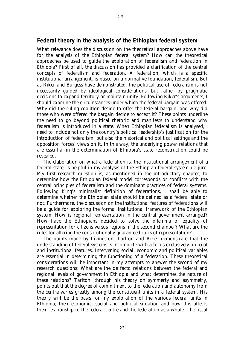#### **Federal theory in the analysis of the Ethiopian federal system**

What relevance does the discussion on the theoretical approaches above have for the analysis of the Ethiopian federal system? How can the theoretical approaches be used to guide the exploration of federalism and federation in Ethiopia? First of all, the discussion has provided a clarification of the central concepts of federalism and federation. A federation, which is a specific institutional arrangement, is based on a normative foundation, federalism. But as Riker and Burgess have demonstrated, the political use of federalism is not necessarily guided by ideological considerations, but rather by pragmatic decisions to expand territory or maintain unity. Following Riker's arguments, I should examine the circumstances under which the federal bargain was offered. Why did the ruling coalition decide to offer the federal bargain, and why did those who were offered the bargain decide to accept it? These points underline the need to go beyond political rhetoric and manifests to understand why federalism is introduced in a state. When Ethiopian federalism is analysed, I need to include not only the country's political leadership's justification for the introduction of federalism, but also the historical and political settings and the opposition forces' views on it. In this way, the underlying power relations that are essential in the determination of Ethiopia's state reconstruction could be revealed.

The elaboration on what a federation is, the institutional arrangement of a federal state, is helpful in my analysis of the Ethiopian federal system *de jure*. My first research question is, as mentioned in the introductory chapter, to determine how the Ethiopian federal model corresponds or conflicts with the central principles of federalism and the dominant practices of federal systems. Following King's minimalist definition of federations, I shall be able to determine whether the Ethiopian state should be defined as a federal state or not. Furthermore, the discussion on the institutional features of federations will be a guide for exploring the formal institutional framework of the Ethiopian system. How is regional representation in the central government arranged? How have the Ethiopians decided to solve the dilemma of equality of representation for citizens versus regions in the second chamber? What are the rules for altering the constitutionally guaranteed rules of representation?

The points made by Livingston, Tarlton and Riker demonstrate that the understanding of federal systems is incomplete with a focus exclusively on legal and institutional features. Intervening social, economic and political variables are essential in determining the functioning of a federation. These theoretical considerations will be important in my attempts to answer the second of my research questions: What are the *de facto* relations between the federal and regional levels of government in Ethiopia and what determines the nature of these relations? Tarlton, through his theory on symmerty and asymmetry, points out that the degree of commitment to the federation and autonomy from the centre varies greatly among the constituent units in a federal system. His theory will be the basis for my exploration of the various federal units in Ethiopia, their economic, social and political situation and how this affects their relationship to the federal centre and the federation as a whole. The fiscal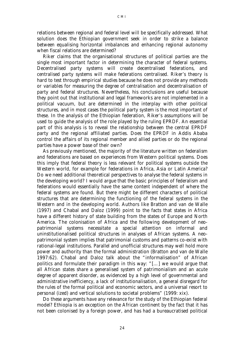relations between regional and federal level will be specifically addressed. What solution does the Ethiopian government seek in order to strike a balance between equalising horizontal imbalances and enhancing regional autonomy when fiscal relations are determined?

Riker claims that the organisational structures of political parties are the single most important factor in determining the character of federal systems. Decentralised party systems will create decentralised federations, and centralised party systems will make federations centralised. Riker's theory is hard to test through empirical studies because he does not provide any methods or variables for measuring the degree of centralisation and decentralisation of party and federal structures. Nevertheless, his conclusions are useful because they point out that institutional and legal frameworks are not implemented in a political vacuum, but are determined in the interplay with other political structures, and in most cases the political party system is the most important of these. In the analysis of the Ethiopian federation, Riker's assumptions will be used to guide the analysis of the role played by the ruling EPRDF. An essential part of this analysis is to reveal the relationship between the central EPRDF party and the regional affiliated parties. Does the EPRDF in Addis Ababa control the affairs of its regional member and allied parties or do the regional parties have a power base of their own?

As previously mentioned, the majority of the literature written on federalism and federations are based on experiences from Western political systems. Does this imply that federal theory is less relevant for political systems outside the Western world, for example for federations in Africa, Asia or Latin America? Do we need additional theoretical perspectives to analyse the federal systems in the developing world? I would argue that the basic principles of federalism and federations would essentially have the same content independent of where the federal systems are found. But there might be different characters of political structures that are determining the functioning of the federal systems in the Western and in the developing world. Authors like Bratton and van de Walle (1997) and Chabal and Daloz (1999) point to the facts that states in Africa have a different history of state building from the states of Europe and North America. The colonisation of Africa and the following development of neopatrimonial systems necessitate a special attention on informal and uninstitutionalised political structures in analyses of African systems. A neopatrimonial system implies that patrimonial customs and patterns co-exist with rational-legal institutions. Parallel and unofficial structures may well hold more power and authority than the formal administration (Bratton and van de Walle 1997:62). Chabal and Daloz talk about the "informalisation" of African politics and formulate their paradigm in this way: "[…] we would argue that all African states share a generalised system of patrimonialism and an acute degree of apparent disorder, as evidenced by a high level of governmental and administrative inefficiency, a lack of institutionalisation, a general disregard for the rules of the formal political and economic sectors, and a universal resort to personal (ized) and vertical solutions to societal problems" (1999: xix).

Do these arguments have any relevance for the study of the Ethiopian federal model? Ethiopia is an exception on the African continent by the fact that it has not been colonised by a foreign power, and has had a bureaucratised political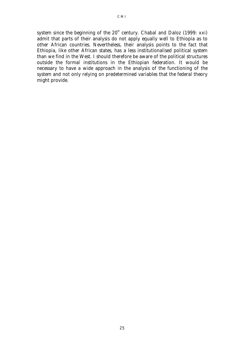system since the beginning of the  $20<sup>th</sup>$  century. Chabal and Daloz (1999: xxi) admit that parts of their analysis do not apply equally well to Ethiopia as to other African countries. Nevertheless, their analysis points to the fact that Ethiopia, like other African states, has a less institutionalised political system than we find in the West. I should therefore be aware of the political structures outside the formal institutions in the Ethiopian federation. It would be necessary to have a wide approach in the analysis of the functioning of the system and not only relying on predetermined variables that the federal theory might provide.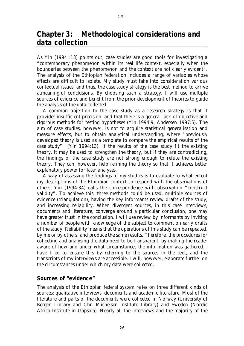## **Chapter 3: Methodological considerations and data collection**

As Yin (1994 :13) points out, case studies are good tools for investigating a "contemporary phenomenon within its real life context, especially when the boundaries between the phenomenon and the context are not clearly evident". The analysis of the Ethiopian federation includes a range of variables whose effects are difficult to isolate. My study must take into consideration various contextual issues, and thus, the case study strategy is the best method to arrive atmeaningful conclusions. By choosing such a strategy, I will use multiple sources of evidence and benefit from the prior development of theories to guide the analysis of the data collected.

A common objection to the case study as a research strategy is that it provides insufficient precision, and that there is a general lack of objective and rigorous methods for testing hypotheses (Yin 1994:9, Andersen 1997:5). The aim of case studies, however, is not to acquire statistical generalisation and measure effects, but to obtain analytical understanding, where "previously developed theory is used as a template to compare the empirical results of the case study" (Yin 1994:13). If the results of the case study fit the existing theory, it may be used to strengthen the theory, but if they are contradicting, the findings of the case study are not strong enough to refute the existing theory. They can, however, help refining the theory so that it achieves better explanatory power for later analyses.

A way of assessing the findings of my studies is to evaluate to what extent my descriptions of the Ethiopian context correspond with the observations of others. Yin (1994:34) calls the correspondence with observation "construct validity". To achieve this, three methods could be used: multiple sources of evidence (triangulation), having the key informants review drafts of the study, and increasing reliability. When divergent sources, in this case interviews, documents and literature, converge around a particular conclusion, one may have greater trust in the conclusion. I will use review by informants by inviting a number of people with knowledge of the subject to comment on early drafts of the study. Reliability means that the operations of this study can be repeated, by me or by others, and produce the same results. Therefore, the procedures for collecting and analysing the data need to be transparent, by making the reader aware of how and under what circumstances the information was gathered. I have tried to ensure this by referring to the sources in the text, and the transcripts of my interviews are accessible. I will, however, elaborate further on the circumstances under which my data were collected.

#### **Sources of "evidence"**

The analysis of the Ethiopian federal system relies on three different kinds of sources: qualitative interviews, documents and academic literature. Most of the literature and parts of the documents were collected in Norway (University of Bergen Library and Chr. Michelsen Institute Library) and Sweden (Nordic Africa Institute in Uppsala). Nearly all the interviews and the majority of the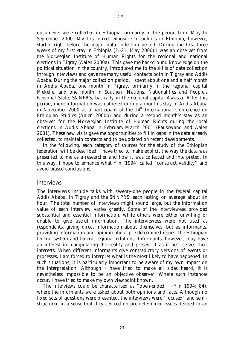documents were collected in Ethiopia, primarily in the period from May to September 2000. My first direct exposure to politics in Ethiopia, however, started right before the major data collection period. During the first three weeks of my first stay in Ethiopia (2.-21. May 2000) I was an observer from the Norwegian Institute of Human Rights for the regional and national elections in Tigray (Aalen 2000a). This gave me background knowledge on the political situation in the country, introduced me to the skills of data collection through interviews and gave me many useful contacts both in Tigray and Addis Ababa. During the major collection period, I spent about one and a half month in Addis Ababa, one month in Tigray, primarily in the regional capital Mekelle, and one month in Southern Nations, Nationalities and People's Regional State, SNNPRS, basically in the regional capital Awassa. After this period, more information was gathered during a month's stay in Addis Ababa in November 2000 as a participant at the  $14<sup>th</sup>$  International Conference on Ethiopian Studies (Aalen 2000b) and during a second month's stay as an observer for the Norwegian Institute of Human Rights during the local elections in Addis Ababa in February-March 2001 (Pausewang and Aalen 2001). These new visits gave me opportunities to fill in gaps in the data already collected, to maintain contacts and to be updated on recent developments.

In the following, each category of sources for the study of the Ethiopian federation will be described. I have tried to make explicit the way the data was presented to me as a researcher and how it was collected and interpreted. In this way, I hope to enhance what Yin (1994) called "construct validity" and avoid biased conclusions.

#### *Interviews*

The interviews include talks with seventy-one people in the federal capital Addis Ababa, in Tigray and the SNNPRS, each lasting on average about an hour. The total number of interviews might sound large, but the information value of each interview varies greatly. Some of the interviewees provided substantial and essential information, while others were either unwilling or unable to give useful information. The interviewees were not used as respondents, giving direct information about themselves, but as informants, providing information and opinion about pre-determined issues: the Ethiopian federal system and federal-regional relations. Informants, however, may have an interest in manipulating the reality and present it as it best serves their interests. When different informants give contradictory versions of events or processes, I am forced to interpret what is the most likely to have happened. In such situations, it is particularly important to be aware of my own impact on the interpretation. Although I have tried to make all sides heard, it is nevertheless impossible to be an objective observer. Where such instances occur, I have tried to make my own viewpoint known.

The interviews could be characterised as "open-ended" (Yin 1994: 84), where the informants were asked about both opinions and facts. Although no fixed sets of questions were presented, the interviews were "focused" and semistructured in a sense that they centred on pre-determined issues defined in an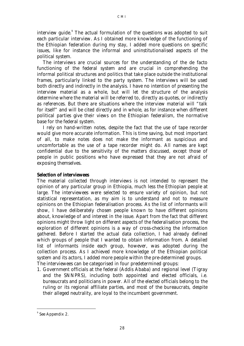interview guide.<sup>9</sup> The actual formulation of the questions was adopted to suit each particular interview. As I obtained more knowledge of the functioning of the Ethiopian federation during my stay, I added more questions on specific issues, like for instance the informal and uninstitutionalised aspects of the political system.

The interviews are crucial sources for the understanding of the *de facto* functioning of the federal system and are crucial in comprehending the informal political structures and politics that take place outside the institutional frames, particularly linked to the party system. The interviews will be used both directly and indirectly in the analysis. I have no intention of presenting the interview material as a whole, but will let the structure of the analysis determine where the material will be referred to, directly as quotes, or indirectly as references. But there are situations where the interview material will "talk for itself" and will be cited directly and in whole, as for instance when different political parties give their views on the Ethiopian federalism, the normative base for the federal system.

I rely on hand-written notes, despite the fact that the use of tape recorder would give more accurate information. This is time saving, but most important of all, to make notes does not make the informant as suspicious and uncomfortable as the use of a tape recorder might do. All names are kept confidential due to the sensitivity of the matters discussed, except those of people in public positions who have expressed that they are not afraid of exposing themselves.

#### **Selection of interviewees**

The material collected through interviews is not intended to represent the opinion of any particular group in Ethiopia, much less the Ethiopian people at large. The interviewees were selected to ensure variety of opinion, but not statistical representation, as my aim is to understand and not to measure opinions on the Ethiopian federalisation process. As the list of informants will show, I have deliberately chosen people known to have different opinions about, knowledge of and interest in the issue. Apart from the fact that different opinions might throw light on different aspects of the federalisation process, the exploration of different opinions is a way of cross-checking the information gathered. Before I started the actual data collection, I had already defined which groups of people that I wanted to obtain information from. A detailed list of informants inside each group, however, was adopted during the collection process. As I achieved more knowledge of the Ethiopian political system and its actors, I added more people within the pre-determined groups. The interviewees can be categorised in four predetermined groups:

1. Government officials at the federal (Addis Ababa) and regional level (Tigray and the SNNPRS), including both appointed and elected officials, i.e. bureaucrats and politicians in power. All of the elected officials belong to the ruling or its regional affiliate parties, and most of the bureaucrats, despite their alleged neutrality, are loyal to the incumbent government.

<sup>&</sup>lt;sup>9</sup> See Appendix 2.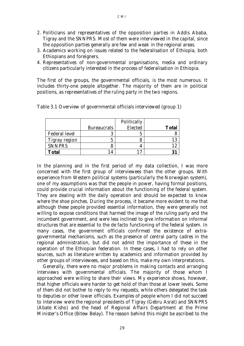- 2. Politicians and representatives of the opposition parties in Addis Ababa, Tigray and the SNNPRS. Most of them were interviewed in the capital, since the opposition parties generally are few and weak in the regional areas.
- 3. Academics working on issues related to the federalisation of Ethiopia, both Ethiopians and foreigners.
- 4. Representatives of non-governmental organisations, media and ordinary citizens particularly interested in the process of federalisation in Ethiopia.

The first of the groups, the governmental officials, is the most numerous. It includes thirty-one people altogether. The majority of them are in political positions, as representatives of the ruling party in the two regions.

|                      | <b>Bureaucrats</b> | Politically<br>Elected | <b>Total</b>   |
|----------------------|--------------------|------------------------|----------------|
| <b>Federal level</b> |                    | :C                     |                |
| Tigray region        |                    |                        | 13             |
| <b>SNNPRS</b>        |                    |                        | $\overline{2}$ |
| <b>Total</b>         |                    |                        |                |

Table 3.1 Overview of governmental officials interviewed (group 1)

In the planning and in the first period of my data collection, I was more concerned with the first group of interviewees than the other groups. With experience from Western political systems (particularly the Norwegian system), one of my assumptions was that the people in power, having formal positions, could provide crucial information about the functioning of the federal system. They are dealing with the daily operation and should be expected to know where the shoe pinches. During the process, it became more evident to me that although these people provided essential information, they were generally not willing to expose conditions that harmed the image of the ruling party and the incumbent government, and were less inclined to give information on informal structures that are essential to the *de facto* functioning of the federal system. In many cases, the government officials confirmed the existence of extragovernmental mechanisms, such as the presence of central party cadres in the regional administration, but did not admit the importance of these in the operation of the Ethiopian federation. In these cases, I had to rely on other sources, such as literature written by academics and information provided by other groups of interviewees, and based on this, make my own interpretations.

Generally, there were no major problems in making contacts and arranging interviews with governmental officials. The majority of those whom I approached were willing to share their views. My experience shows, however, that higher officials were harder to get hold of than those at lower levels. Some of them did not bother to reply to my requests, while others delegated the task to deputies or other lower officials. Examples of people whom I did not succeed to interview were the regional presidents of Tigray (Gebru Asrat) and SNNPRS (Abate Kisho) and the head of Regional Affairs Department at the Prime Minister's Office (Bitew Belay). The reason behind this might be ascribed to the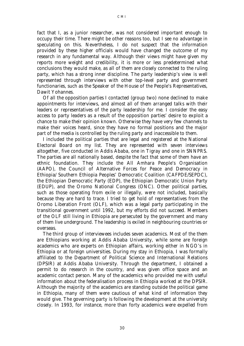fact that I, as a junior researcher, was not considered important enough to occupy their time. There might be other reasons too, but I see no advantage in speculating on this. Nevertheless, I do not suspect that the information provided by these higher officials would have changed the outcome of my research in any fundamental way. Although their views might have given my reports more weight and credibility, it is more or less predetermined what conclusions they would make, as all of them are closely connected to the ruling party, which has a strong inner discipline. The party leadership's view is well represented through interviews with other top-level party and government functionaries, such as the Speaker of the House of the People's Representatives, Dawit Yohannes.

Of all the opposition parties I contacted (group two) none declined to make appointments for interviews, and almost all of them arranged talks with their leaders or representatives of the party leadership for me. I consider the easy access to party leaders as a result of the opposition parties' desire to exploit a chance to make their opinion known. Otherwise they have very few channels to make their voices heard, since they have no formal positions and the major part of the media is controlled by the ruling party and inaccessible to them.

I included the political parties that are legal and registered at the National Electoral Board on my list. They are represented with seven interviews altogether, five conducted in Addis Ababa, one in Tigray and one in SNNPRS. The parties are all nationally based, despite the fact that some of them have an ethnic foundation. They include the All Amhara People's Organisation (AAPO), the Council of Alternative Forces for Peace and Democracy in Ethiopia/ Southern Ethiopia Peoples' Democratic Coalition (CAFPDE/SEPDC), the Ethiopian Democratic Party (EDP), the Ethiopian Democratic Union Party (EDUP), and the Oromo National Congress (ONC). Other political parties, such as those operating from exile or illegally, were not included, basically because they are hard to trace. I tried to get hold of representatives from the Oromo Liberation Front (OLF), which was a legal party participating in the transitional government until 1992, but my efforts did not succeed. Members of the OLF still living in Ethiopia are persecuted by the government and many of them live underground. The leadership is exiled in neighbouring countries or overseas.

The third group of interviewees includes seven academics. Most of the them are Ethiopians working at Addis Ababa University, while some are foreign academics who are experts on Ethiopian affairs, working either in NGO's in Ethiopia or at foreign universities. During my stay in Ethiopia, I was formally affiliated to the Department of Political Science and International Relations (DPSIR) at Addis Ababa University. Through the department, I obtained a permit to do research in the country, and was given office space and an academic contact person. Many of the academics who provided me with useful information about the federalisation process in Ethiopia worked at the DPSIR. Although the majority of the academics are standing outside the political game in Ethiopia, many of them were cautious of what kind of information they would give. The governing party is following the development at the university closely. In 1993, for instance, more than forty academics were expelled from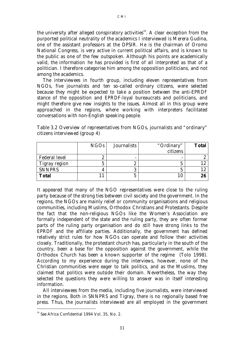the university after alleged conspiratory activities<sup>10</sup>. A clear exception from the purported political neutrality of the academics I interviewed is Merera Gudina, one of the assistant professors at the DPSIR. He is the chairman of Oromo National Congress, is very active in current political affairs, and is known to the public as one of the few outspoken. Although his points are academically valid, the information he has provided is first of all interpreted as that of a politician. I therefore categorise him among the opposition politicians, and not among the academics.

The interviewees in fourth group, including eleven representatives from NGOs, five journalists and ten so-called ordinary citizens, were selected because they might be expected to take a position between the anti-EPRDF stance of the opposition and EPRDF-loyal bureaucrats and politicians, and might therefore give new insights to the issues. Almost all in this group were approached in the regions, where working with interpreters facilitated conversations with non-English speaking people.

|                      | <b>NGOs</b> | Journalists | "Ordinary" | <b>Total</b> |
|----------------------|-------------|-------------|------------|--------------|
|                      |             |             | citizens   |              |
| <b>Federal level</b> | ∼           |             |            |              |
| Tigray region        |             | ∼           |            |              |
| <b>SNNPRS</b>        |             |             |            |              |
| <b>Total</b>         |             | .,          |            | 26           |

Table 3.2 Overview of representatives from NGOs, journalists and "ordinary" citizens interviewed (group 4)

It appeared that many of the NGO representatives were close to the ruling party because of the strong ties between civil society and the government. In the regions, the NGOs are mainly relief or community organisations and religious communities, including Muslims, Orthodox Christians and Protestants. Despite the fact that the non-religious NGOs like the Women's Association are formally independent of the state and the ruling party, they are often former parts of the ruling party organisation and do still have strong links to the EPRDF and the affiliate parties. Additionally, the government has defined relatively strict rules for how NGOs can operate and follow their activities closely. Traditionally, the protestant church has, particularly in the south of the country, been a base for the opposition against the government, while the Orthodox Church has been a known supporter of the regime (Tolo 1998). According to my experience during the interviews, however, none of the Christian communities were eager to talk politics, and as the Muslims, they claimed that politics were outside their domain. Nevertheless, the way they selected the questions they were willing to answer was in itself interesting information.

All interviewees from the media, including five journalists, were interviewed in the regions. Both in SNNPRS and Tigray, there is no regionally based free press. Thus, the journalists interviewed are all employed in the government

<sup>&</sup>lt;sup>10</sup> See Africa Confidential 1994 Vol. 35, No. 2.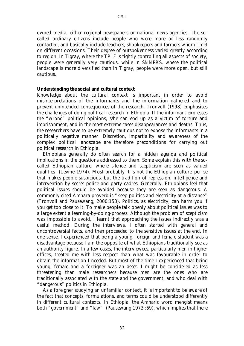owned media, either regional newspapers or national news agencies. The socalled ordinary citizens include people who were more or less randomly contacted, and basically include teachers, shopkeepers and farmers whom I met on different occasions. Their degree of outspokenness varied greatly according to region. In Tigray, where the TPLF is tightly controlling all aspects of society, people were generally very cautious, while in SNNPRS, where the political landscape is more diversified than in Tigray, people were more open, but still cautious.

#### **Understanding the social and cultural context**

Knowledge about the cultural context is important in order to avoid misinterpretations of the informants and the information gathered and to prevent unintended consequences of the research. Tronvoll (1998) emphasises the challenges of doing political research in Ethiopia. If the informant expresses the "wrong" political opinions, s/he can end up as a victim of torture and imprisonment, and in the most extreme cases disappearances and deaths. Thus, the researchers have to be extremely cautious not to expose the informants in a politically negative manner. Discretion, impartiality and awareness of the complex political landscape are therefore preconditions for carrying out political research in Ethiopia.

Ethiopians generally do often search for a hidden agenda and political implications in the questions addressed to them. Some explain this with the socalled Ethiopian culture, where silence and scepticism are seen as valued qualities (Levine 1974). Most probably it is not the Ethiopian culture *per se* that makes people suspicious, but the tradition of repression, intelligence and intervention by secret police and party cadres. Generally, Ethiopians feel that political issues should be avoided because they are seen as dangerous. A commonly cited Amhara proverb is "keep politics and electricity at a distance" (Tronvoll and Pausewang, 2000:153). Politics, as electricity, can harm you if you get too close to it. To make people talk openly about political issues was to a large extent a learning-by-doing-process. Although the problem of scepticism was impossible to avoid, I learnt that approaching the issues indirectly was a useful method. During the interviews, I often started with general and uncontroversial facts, and then proceeded to the sensitive issues at the end. In one sense, I experienced that being a young, foreign and female student was a disadvantage because I am the opposite of what Ethiopians traditionally see as an authority figure. In a few cases, the interviewees, particularly men in higher offices, treated me with less respect than what was favourable in order to obtain the information I needed. But most of the time I experienced that being young, female and a foreigner was an asset. I might be considered as less threatening than male researchers because men are the ones who are traditionally associated with the state and the government, and who deal with "dangerous" politics in Ethiopia.

As a foreigner studying an unfamiliar context, it is important to be aware of the fact that concepts, formulations, and terms could be understood differently in different cultural contexts. In Ethiopia, the Amharic word *mengist* means both "government" and "law" (Pausewang 1973 :69), which implies that there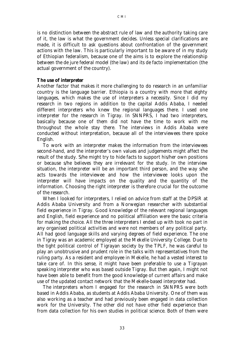C<sub>M</sub><sub>1</sub>

is no distinction between the abstract rule of law and the authority taking care of it, the law is what the government decides. Unless special clarifications are made, it is difficult to ask questions about confrontation of the government actions with the law. This is particularly important to be aware of in my study of Ethiopian federalism, because one of the aims is to explore the relationship between the *de jure* federal model (the law) and its *de facto* implementation (the actual government of the country).

### **The use of interpreter**

Another factor that makes it more challenging to do research in an unfamiliar country is the language barrier. Ethiopia is a country with more that eighty languages, which makes the use of interpreters a necessity. Since I did my research in two regions in addition to the capital Addis Ababa, I needed different interpreters who knew the regional languages there. I used one interpreter for the research in Tigray. In SNNPRS, I had two interpreters, basically because one of them did not have the time to work with me throughout the whole stay there. The interviews in Addis Ababa were conducted without interpretation, because all of the interviewees there spoke English.

To work with an interpreter makes the information from the interviewees second-hand, and the interpreter's own values and judgements might affect the result of the study. S/he might try to hide facts to support his/her own positions or because s/he believes they are irrelevant for the study. In the interview situation, the interpreter will be an important third person, and the way s/he acts towards the interviewee and how the interviewee looks upon the interpreter will have impacts on the quality and the quantity of the information. Choosing the right interpreter is therefore crucial for the outcome of the research.

When I looked for interpreters, I relied on advice from staff at the DPSIR at Addis Ababa University and from a Norwegian researcher with substantial field experience in Tigray. Good knowledge of the relevant regional languages and English, field experience and no political affiliation were the basic criteria for making the choice. All the three interpreters I ended up with took no part in any organised political activities and were not members of any political party. All had good language skills and varying degrees of field experience. The one in Tigray was an academic employed at the Mekelle University College. Due to the tight political control of Tigrayan society by the TPLF, he was careful to play an unobtrusive and prudent role in the talks with representatives from the ruling party. As a resident and employee in Mekelle, he had a vested interest to take care of. In this sense, it might have been preferable to use a Tigrayan speaking interpreter who was based outside Tigray. But then again, I might not have been able to benefit from the good knowledge of current affairs and make use of the updated contact network that the Mekelle-based interpreter had.

The interpreters whom I engaged for the research in SNNPRS were both based in Addis Ababa, as students at Addis Ababa University. One of them was also working as a teacher and had previously been engaged in data collection work for the University. The other did not have other field experience than from data collection for his own studies in political science. Both of them were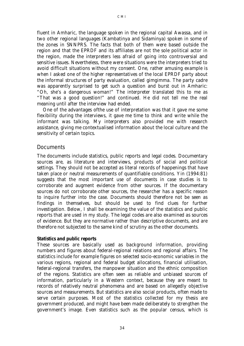fluent in Amharic, the language spoken in the regional capital Awassa, and in two other regional languages (Kambatinya and Sidaminya) spoken in some of the zones in SNNPRS. The facts that both of them were based outside the region and that the EPRDF and its affiliates are not the sole political actor in the region, made the interpreters less afraid of going into controversial and sensitive issues. Nevertheless, there were situations were the interpreters tried to avoid difficult situations without my consent. One, rather amusing example is when I asked one of the higher representatives of the local EPRDF party about the informal structures of party evaluation, called *gimgimma*. The party cadre was apparently surprised to get such a question and burst out in Amharic: "Oh, she's a dangerous woman!" The interpreter translated this to me as "That was a good question!" and continued. He did not tell me the real meaning until after the interview had ended.

One of the advantages ofthe use of interpretation was that it gave me some flexibility during the interviews, it gave me time to think and write while the informant was talking. My interpreters also provided me with research assistance, giving me contextualised information about the local culture and the sensitivity of certain topics.

### *Documents*

The documents include statistics, public reports and legal codes. Documentary sources are, as literature and interviews, products of social and political settings. They should not be accepted as literal records of happenings that have taken place or neutral measurements of quantifiable conditions. Yin (1994:81) suggests that the most important use of documents in case studies is to corroborate and augment evidence from other sources. If the documentary sources do not corroborate other sources, the researcher has a specific reason to inquire further into the case. Documents should therefore not be seen as findings in themselves, but should be used to find clues for further investigation. Below, I shall be examining the value of the statistics and public reports that are used in my study. The legal codes are also examined as sources of evidence. But they are normative rather than descriptive documents, and are therefore not subjected to the same kind of scrutiny as the other documents.

### **Statistics and public reports**

These sources are basically used as background information, providing numbers and figures about federal-regional relations and regional affairs. The statistics include for example figures on selected socio-economic variables in the various regions, regional and federal budget allocations, financial utilisation, federal-regional transfers, the manpower situation and the ethnic composition of the regions. Statistics are often seen as reliable and unbiased sources of information, particularly in a Western context, because they are meant to records of relatively neutral phenomena and are based on allegedly objective sources and measurements. But statistics are also social products, often made to serve certain purposes. Most of the statistics collected for my thesis are government produced, and might have been made deliberately to strengthen the government's image. Even statistics such as the popular census, which is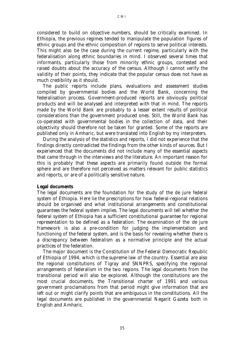considered to build on objective numbers, should be critically examined. In Ethiopia, the previous regimes tended to manipulate the population figures of ethnic groups and the ethnic composition of regions to serve political interests. This might also be the case during the current regime, particularly with the federalisation along ethnic boundaries in mind. I observed several times that informants, particularly those from minority ethnic groups, contested and raised doubts about the accuracy of the census. Although I cannot verify the validity of their points, they indicate that the popular census does not have as much credibility as it should.

The public reports include plans, evaluations and assessment studies compiled by governmental bodies and the World Bank, concerning the federalisation process. Government-produced reports are obviously political products and will be analysed and interpreted with that in mind. The reports made by the World Bank are probably to a lesser extent results of political considerations than the government produced ones. Still, the World Bank has co-operated with governmental bodies in the collection of data, and their objectivity should therefore not be taken for granted. Some of the reports are published only in Amharic, but were translated into English by my interpreters.

During the analysis of the statistics and reports, I did not experience that the findings directly contradicted the findings from the other kinds of sources. But I experienced that the documents did not include many of the essential aspects that came through in the interviews and the literature. An important reason for this is probably that these aspects are primarily found outside the formal sphere and are therefore not perceived as matters relevant for public statistics and reports, or are of a politically sensitive nature.

#### **Legal documents**

The legal documents are the foundation for the study of the *de jure* federal system of Ethiopia. Here lie the prescriptions for how federal-regional relations should be organised and what institutional arrangements and constitutional guarantees the federal system implies. The legal documents will tell whether the federal system of Ethiopia has a sufficient constitutional guarantee for regional representation to be defined as a federation. The examination of the *de jure* framework is also a pre-condition for judging the implementation and functioning of the federal system, and is the basis for revealing whether there is a discrepancy between federalism as a normative principle and the actual practices of the federation.

The major document is the Constitution of the Federal Democratic Republic of Ethiopia of 1994, which is the supreme law of the country. Essential are also the regional constitutions of Tigray and SNNPRS, specifying the regional arrangements of federalism in the two regions. The legal documents from the transitional period will also be explored. Although the constitutions are the most crucial documents, the Transitional charter of 1991 and various government proclamations from that period might give information that are left out or might clarify points that are ambiguous in the constitutions. All the legal documents are published in the governmental *Negarit Gazeta* both in English and Amharic.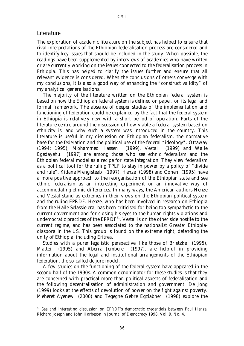### *Literature*

The exploration of academic literature on the subject has helped to ensure that rival interpretations of the Ethiopian federalisation process are considered and to identify key issues that should be included in the study. When possible, the readings have been supplemented by interviews of academics who have written or are currently working on the issues connected to the federalisation process in Ethiopia. This has helped to clarify the issues further and ensure that all relevant evidence is considered. When the conclusions of others converge with my conclusions, it is also a good way of enhancing the "construct validity" of my analytical generalisations.

The majority of the literature written on the Ethiopian federal system is based on how the Ethiopian federal system is defined on paper, on its legal and formal framework. The absence of deeper studies of the implementation and functioning of federation could be explained by the fact that the federal system in Ethiopia is relatively new with a short period of operation. Parts of the literature centre around the discussion of how viable a federal system based on ethnicity is, and why such a system was introduced in the country. This literature is useful in my discussion on Ethiopian *federalism*, the normative base for the federation and the political use of the federal "ideology". Ottaway (1994; 1995), Mohammed Hassen (1999), Vestal (1999) and Walle Egedayehu (1997) are among those who see ethnic federalism and the Ethiopian federal model as a recipe for state integration. They view federalism as a political tool for the ruling TPLF to stay in power by a policy of "divide and rule". Kidane Mengisteab (1997), Henze (1998) and Cohen (1995) have a more positive approach to the reorganisation of the Ethiopian state and see ethnic federalism as an interesting experiment or an innovative way of accommodating ethnic differences. In many ways, the American authors Henze and Vestal stand as extremes in their views on the Ethiopian political system and the ruling EPRDF. Henze, who has been involved in research on Ethiopia from the Haile Selassie era, has been criticised for being too sympathetic to the current government and for closing his eyes to the human rights violations and undemocratic practices of the  $EPRDF<sup>11</sup>$ . Vestal is on the other side hostile to the current regime, and has been associated to the nationalist Greater Ethiopiadiaspora in the US. This group is found on the extreme right, defending the unity of Ethiopia, including Eritrea.

Studies with a purer legalistic perspective, like those of Brietzke (1995), Mattei (1995) and Aberra Jembere (1997), are helpful in providing information about the legal and institutional arrangements of the Ethiopian federation, the so-called *de jure* model.

A few studies on the functioning of the federal system have appeared in the second half of the 1990s. A common denominator for these studies is that they are concerned with practical more than political aspects of federalisation and the following decentralisation of administration and government. De Jong (1999) looks at the effects of devolution of power on the fight against poverty. Meheret Ayenew (2000) and Tegegne Gebre Egziabher (1998) explore the

<sup>&</sup>lt;sup>11</sup> See and interesting discussion on EPRDF's democratic credentials between Paul Henze, Richard Joseph and John Harbeson in Journal of Democracy 1998, Vol. 9, No. 4.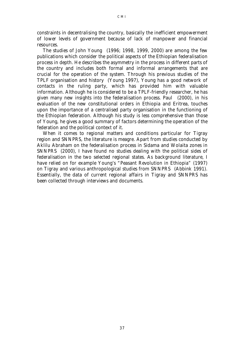constraints in decentralising the country, basically the inefficient empowerment of lower levels of government because of lack of manpower and financial resources.

The studies of John Young (1996; 1998, 1999, 2000) are among the few publications which consider the political aspects of the Ethiopian federalisation process in depth. He describes the asymmetry in the process in different parts of the country and includes both formal and informal arrangements that are crucial for the operation of the system. Through his previous studies of the TPLF organisation and history (Young 1997), Young has a good network of contacts in the ruling party, which has provided him with valuable information. Although he is considered to be a TPLF-friendly researcher, he has given many new insights into the federalisation process. Paul (2000), in his evaluation of the new constitutional orders in Ethiopia and Eritrea, touches upon the importance of a centralised party organisation in the functioning of the Ethiopian federation. Although his study is less comprehensive than those of Young, he gives a good summary of factors determining the operation of the federation and the political context of it.

When it comes to regional matters and conditions particular for Tigray region and SNNPRS, the literature is meagre. Apart from studies conducted by Aklilu Abraham on the federalisation process in Sidama and Wolaita zones in SNNPRS (2000), I have found no studies dealing with the political sides of federalisation in the two selected regional states. As background literature, I have relied on for example Young's "Peasant Revolution in Ethiopia" (1997) on Tigray and various anthropological studies from SNNPRS (Abbink 1991). Essentially, the data of current regional affairs in Tigray and SNNPRS has been collected through interviews and documents.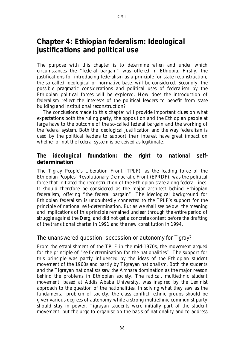# **Chapter 4: Ethiopian federalism: Ideological justifications and political use**

The purpose with this chapter is to determine when and under which circumstances the "federal bargain" was offered in Ethiopia. Firstly, the justifications for introducing federalism as a principle for state reconstruction, the so-called ideological or normative base, will be considered. Secondly, the possible pragmatic considerations and political uses of federalism by the Ethiopian political forces will be explored. How does the introduction of federalism reflect the interests of the political leaders to benefit from state building and institutional reconstruction?

The conclusions made to this chapter will provide important clues on what expectations both the ruling party, the opposition and the Ethiopian people at large have to the outcome of the so-called federal bargain and the working of the federal system. Both the ideological justification and the way federalism is used by the political leaders to support their interest have great impact on whether or not the federal system is perceived as legitimate.

# **The ideological foundation: the right to national selfdetermination**

The Tigray People's Liberation Front (TPLF), as the leading force of the Ethiopian Peoples' Revolutionary Democratic Front (EPRDF), was the political force that initiated the reconstruction of the Ethiopian state along federal lines. It should therefore be considered as the major architect behind Ethiopian federalism, offering "the federal bargain". The ideological background for Ethiopian federalism is undoubtedly connected to the TPLF's support for the principle of national self-determination. But as we shall see below, the meaning and implications of this principle remained unclear through the entire period of struggle against the Derg, and did not get a concrete content before the drafting of the transitional charter in 1991 and the new constitution in 1994.

# *The unanswered question: secession or autonomy for Tigray?*

From the establishment of the TPLF in the mid-1970s, the movement argued for the principle of "self-determination for the nationalities". The support for this principle was partly influenced by the ideas of the Ethiopian student movement of the 1960s and partly by Tigrayan nationalism. Both the students and the Tigrayan nationalists saw the Amhara domination as the major reason behind the problems in Ethiopian society. The radical, multiethnic student movement, based at Addis Ababa University, was inspired by the Leninist approach to the question of the nationalities. In solving what they saw as the fundamental problem of society, the class conflict, ethnic groups should be given various degrees of autonomy while a strong multiethnic communist party should stay in power. Tigrayan students were initially part of the student movement, but the urge to organise on the basis of nationality and to address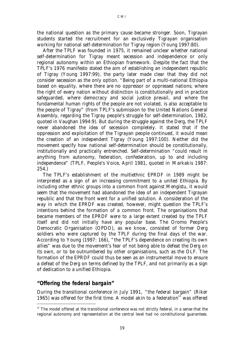the national question as the primary cause became stronger. Soon, Tigrayan students started the recruitment for an exclusively Tigrayan organisation working for national self-determination for Tigray region (Young 1997:80).

After the TPLF was founded in 1975, it remained unclear whether national self-determination for Tigray meant secession and independence or only regional autonomy within an Ethiopian framework. Despite the fact that the TPLF's 1976 manifesto stated the aim of establishing an independent republic of Tigray (Young 1997:99), the party later made clear that they did not consider secession as the only option. "Being part of a multi-national Ethiopia based on equality, where there are no oppressor or oppressed nations; where the right of every nation without distinction is constitutionally and in practice safeguarded, where democracy and social justice prevail, and where the fundamental human rights of the people are not violated, is also acceptable to the people of Tigray" (from TPLF's submission to the United Nations General Assembly, regarding the Tigray people's struggle for self-determination, 1982, quoted in Vaughan 1994:9). But during the struggle against the Derg, the TPLF never abandoned the idea of secession completely. It stated that if the oppression and exploitation of the Tigrayan people continued, it would mean the creation of an independent Tigray (Young 1997:100). Neither did the movement specify how national self-determination should be constitutionally, institutionally and practically entrenched. Self-determination "could result in anything from autonomy, federation, confederation, up to and including independence" (TPLF, *People's Voice*, April 1981, quoted in Markakis 1987: 254.)

The TPLF's establishment of the multiethnic EPRDF in 1989 might be interpreted as a sign of an increasing commitment to a united Ethiopia. By including other ethnic groups into a common front against Mengistu, it would seem that the movement had abandoned the idea of an independent Tigrayan republic and that the front went for a unified solution. A consideration of the way in which the EPRDF was created, however, might question the TPLF's intentions behind the formation of a common front. The organisations that became members of the EPRDF were to a large extent created by the TPLF itself and did not initially have any popular base. The Oromo People's Democratic Organisation (OPDO), as we know, consisted of former Derg soldiers who were captured by the TPLF during the final days of the war. According to Young (1997: 166), "the TPLF's dependence on creating its own allies" was due to the movement's fear of not being able to defeat the Derg on its own, or to be outnumbered by other organisations, such as the OLF. The formation of the EPRDF could thus be seen as an instrumental move to ensure a defeat of the Derg on terms defined by the TPLF, and not primarily as a sign of dedication to a unified Ethiopia.

# **"Offering the federal bargain"**

During the transitional conference in July 1991, "the federal bargain" (Riker 1965) was offered for the first time. A model akin to a federation<sup>12</sup> was offered

 $12$  The model offered at the transitional conference was not strictly federal, in a sense that the regional autonomy and representation at the central level had no constitutional guarantees.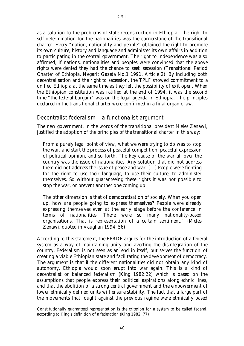as a solution to the problems of state reconstruction in Ethiopia. The right to self-determination for the nationalities was the cornerstone of the transitional charter. Every "nation, nationality and people" obtained the right to promote its own culture, history and language and administer its own affairs in addition to participating in the central government. The right to independence was also affirmed, if nations, nationalities and peoples were convinced that the above rights were denied they had the chance to seek secession (Transitional Period Charter of Ethiopia, Negarit Gazeta No.1 1991, Article 2). By including both decentralisation and the right to secession, the TPLF showed commitment to a unified Ethiopia at the same time as they left the possibility of exit open. When the Ethiopian constitution was ratified at the end of 1994, it was the second time "the federal bargain" was on the legal agenda in Ethiopia. The principles declared in the transitional charter were confirmed in a final organic law.

### *Decentralist federalism – a functionalist argument*

The new government, in the words of the transitional president Meles Zenawi, justified the adoption of the principles of the transitional charter in this way:

From a purely legal point of view, what we were trying to do was to stop the war, and start the process of peaceful competition, peaceful expression of political opinion, and so forth. The key cause of the war all over the country was the issue of nationalities. Any solution that did not address them did not address the issue of peace and war. […] People were fighting for the right to use their language, to use their culture, to administer themselves. So without guaranteeing these rights it was not possible to stop the war, or prevent another one coming up.

The other dimension is that of democratisation of society. When you open up, how are people going to express themselves? People were already expressing themselves even at the early stage before the conference in terms of nationalities. There were so many nationality-based organisations. That is representation of a certain sentiment." (Meles Zenawi, quoted in Vaughan 1994: 56)

According to this statement, the EPRDF argues for the introduction of a federal system as a way of maintaining unity and averting the disintegration of the country. Federalism is not seen as an end in itself, but serves the function of creating a viable Ethiopian state and facilitating the development of democracy. The argument is that if the different nationalities did not obtain any kind of autonomy, Ethiopia would soon erupt into war again. This is a kind of decentralist or balanced federalism (King 1982:22) which is based on the assumptions that people express their political aspirations along ethnic lines, and that the abolition of a strong central government and the empowerment of lower ethnically defined units will ensure stability. The fact that a large part of the movements that fought against the previous regime were ethnically based

Constitutionally guaranteed representation is the criterion for a system to be called federal, according to King's definition of a federation (King 1982: 77)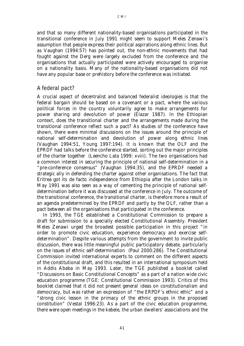C<sub>M</sub><sub>1</sub>

and that so many different nationality-based organisations participated in the transitional conference in July 1991 might seem to support Meles Zenawi's assumption that people express their political aspirations along ethnic lines. But as Vaughan (1994:57) has pointed out, the non-ethnic movements that had fought against the Derg were largely excluded from the conference and the organisations that actually participated were actively encouraged to organise on a nationality basis. Many of the nationality-based organisations did not have any popular base or prehistory before the conference was initiated.

# *A federal pact?*

A crucial aspect of decentralist and balanced federalist ideologies is that the federal bargain should be based on a covenant or a pact, where the various political forces in the country voluntarily agree to make arrangements for power sharing and devolution of power (Elazar 1987). In the Ethiopian context, does the transitional charter and the arrangements made during the transitional conference reflect such a pact? As studies of the conference have shown, there were minimal discussions on the issues around the principle of national self-determination and devolution of power along ethnic lines (Vaughan 1994:51, Young 1997:194). It is known that the OLF and the EPRDF had talks before the conference started, sorting out the major principles of the charter together (Leencho Lata 1999: xviii). The two organisations had a common interest in securing the principle of national self-determination in a "pre-conference consensus" (Vaughan 1994:35), and the EPRDF needed a strategic ally in defending the charter against other organisations. The fact that Eritrea got its *de facto* independence from Ethiopia after the London talks in May 1991 was also seen as a way of cementing the principle of national selfdetermination before it was discussed at the conference in July. The outcome of the transitional conference, the transitional charter, is therefore more a result of an agenda predetermined by the EPRDF and partly by the OLF, rather than a pact between all the organisations that participated in the conference.

In 1993, the TGE established a Constitutional Commission to prepare a draft for submission to a specially elected Constitutional Assembly. President Meles Zenawi urged the broadest possible participation in this project "in order to promote civic education, experience democracy and exercise selfdetermination". Despite various attempts from the government to invite public discussion, there was little meaningful public participatory debate, particularly on the issues of ethnic self-determination (Paul 2000:286). The Constitutional Commission invited international experts to comment on the different aspects of the constitutional draft, and this resulted in an international symposium held in Addis Ababa in May 1993. Later, the TGE published a booklet called "Discussions on Basic Constitutional Concepts" as a part of a nation wide civic education programme (TGE: Constitutional Commission 1993). Critics of this booklet claimed that it did not present general ideas on constitutionalism and democracy, but was rather an expression of "the ERPDF's ethnic ethic" and a "strong civic lesson in the primacy of the ethnic groups in the proposed constitution" (Vestal 1996:23). As a part of the civic education programme, there were open meetings in the *kebele*, the urban dwellers' associations and the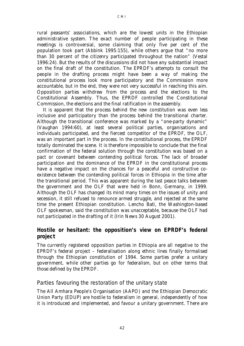rural peasants' associations, which are the lowest units in the Ethiopian administrative system. The exact number of people participating in these meetings is controversial, some claiming that only five per cent of the population took part (Abbink 1995:155), while others argue that "no more than 30 percent of the citizenry participated throughout the nation" (Vestal 1996:24). But the results of the discussions did not have any substantial impact on the final draft of the constitution. The EPRDF's attempts to consult the people in the drafting process might have been a way of making the constitutional process look more participatory and the Commission more accountable, but in the end, they were not very successful in reaching this aim. Opposition parties withdrew from the process and the elections to the Constitutional Assembly. Thus, the EPRDF controlled the Constitutional Commission, the elections and the final ratification in the assembly.

It is apparent that the process behind the new constitution was even less inclusive and participatory than the process behind the transitional charter. Although the transitional conference was marked by a "one-party dynamic" (Vaughan 1994:60), at least several political parties, organisations and individuals participated, and the fiercest competitor of the EPRDF, the OLF, was an important part in the process. In the constitutional process, the EPRDF totally dominated the scene. It is therefore impossible to conclude that the final confirmation of the federal solution through the constitution was based on a pact or covenant between contending political forces. The lack of broader participation and the dominance of the EPRDF in the constitutional process have a negative impact on the chances for a peaceful and constructive coexistence between the contending political forces in Ethiopia in the time after the transitional period. This was apparent during the last peace talks between the government and the OLF that were held in Bonn, Germany, in 1999. Although the OLF has changed its mind many times on the issues of unity and secession, it still refused to renounce armed struggle, and rejected at the same time the present Ethiopian constitution. Lencho Bati, the Washington-based OLF spokesman, said the constitution was unacceptable, because the OLF had not participated in the drafting of it (Irin News 30 August 2001).

# **Hostile or hesitant: the opposition's view on EPRDF's federal project**

The currently registered opposition parties in Ethiopia are all negative to the EPRDF's federal project – federalisation along ethnic lines finally formalised through the Ethiopian constitution of 1994. Some parties prefer a unitary government, while other parties go for federalism, but on other terms that those defined by the EPRDF.

# *Parties favouring the restoration of the unitary state*

The All Amhara People's Organisation (AAPO) and the Ethiopian Democratic Union Party (EDUP) are hostile to federalism in general, independently of how it is introduced and implemented, and favour a unitary government. There are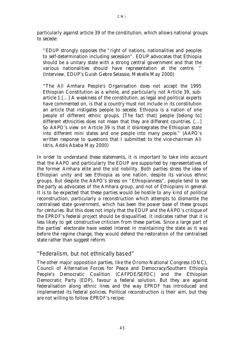particularly against article 39 of the constitution, which allows national groups to secede:

"EDUP strongly opposes the "right of nations, nationalities and peoples to self-determination including secession". EDUP advocates that Ethiopia should be a unitary state with a strong central government and that the various nationalities should have representation at the centre. (Interview, EDUP's Guish Gebre Selassie, Mekelle May 2000)

"The All Amhara People's Organisation does not accept the 1995 Ethiopian Constitution as a whole, and particularly not Article 39, subarticle 1.[…] A weakness of the constitution, as legal and political experts have commented on, is that a country must not include in its constitution an article that instigates people to secede. Ethiopia is a nation of one people of different ethnic groups. [The fact that] people [belong to] different ethnicities does not mean that they are different countries. […] So AAPO's view on Article 39 is that it disintegrates the Ethiopian state into different mini states and one people into many people." (AAPO's written response to questions that I submitted to the vice-chairman Ali Idris, Addis Ababa May 2000)

In order to understand these statements, it is important to take into account that the AAPO and particularly the EDUP are supported by representatives of the former Amhara elite and the old nobility. Both parties stress the idea of Ethiopian unity and see Ethiopia as one nation, despite its various ethnic groups. But despite the AAPO's stress on "Ethiopianness", people tend to see the party as advocates of the Amhara group, and not of Ethiopians in general. It is to be expected that these parties would be hostile to any kind of political reconstruction, particularly a reconstruction which attempts to dismantle the centralised state government, which has been the power base of these groups for centuries. But this does not imply that the EDUP and the AAPO's critique of the EPRDF's federal project should be disqualified. It indicates rather that it is less likely to get constructive criticism from these parties. Since a large part of the parties' electorate have vested interest in maintaining the state as it was before the regime change, they would defend the restoration of the centralised state rather than suggest reform.

# *"Federalism, but not ethnically based"*

The other major opposition parties, like the Oromo National Congress (ONC), Council of Alternative Forces for Peace and Democracy/Southern Ethiopia People's Democratic Coalition (CAFPDE/SEPDC) and the Ethiopian Democratic Party (EDP), favour a federal solution. But they are against federalisation along ethnic lines and the way EPRDF has introduced and implemented its federal policies. Political reconstruction is their aim, but they are not willing to follow EPRDF's recipe: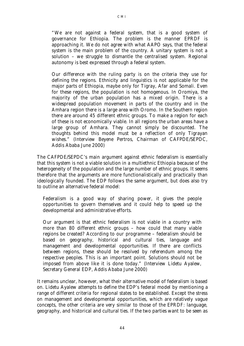"We are not against a federal system, that is a good system of governance for Ethiopia. The problem is the manner EPRDF is approaching it. We do not agree with what AAPO says, that the federal system is the main problem of the country. A unitary system is not a solution – we struggle to dismantle the centralised system. Regional autonomy is best expressed through a federal system.

Our difference with the ruling party is on the criteria they use for defining the regions. Ethnicity and linguistics is not applicable for the major parts of Ethiopia, maybe only for Tigray, Afar and Somali. Even for these regions, the population is not homogenous. In Oromiya, the majority of the urban population has a mixed origin. There is a widespread population movement in parts of the country and in the Amhara region there is a large area with Oromo. In the Southern region there are around 45 different ethnic groups. To make a region for each of these is not economically viable. In all regions the urban areas have a large group of Amhara. They cannot simply be discounted. The thoughts behind this model must be a reflection of only Tigrayan wishes." (Interview Beyene Pertros, Chairman of CAFPDE/SEPDC, Addis Ababa June 2000)

The CAFPDE/SEPDC's main argument against ethnic federalism is essentially that this system is not a viable solution in a multiethnic Ethiopia because of the heterogeneity of the population and the large number of ethnic groups. It seems therefore that the arguments are more functionalistically and practically than ideologically founded. The EDP follows the same argument, but does also try to outline an alternative federal model:

Federalism is a good way of sharing power, it gives the people opportunities to govern themselves and it could help to speed up the developmental and administrative efforts.

Our argument is that ethnic federalism is not viable in a country with more than 80 different ethnic groups – how could that many viable regions be created? According to our programme – federalism should be based on geography, historical and cultural ties, language and management and developmental opportunities. If there are conflicts between regions, these should be resolved by referendum among the respective peoples. This is an important point. Solutions should not be imposed from above like it is done today." (Interview Lidetu Ayalew, Secretary General EDP, Addis Ababa June 2000)

It remains unclear, however, what their alternative model of federalism is based on. Lidetu Ayalew attempts to define the EDP's federal model by mentioning a range of different criteria for regional states to be established. Except the stress on management and developmental opportunities, which are relatively vague concepts, the other criteria are very similar to those of the EPRDF: language, geography, and historical and cultural ties. If the two parties want to be seen as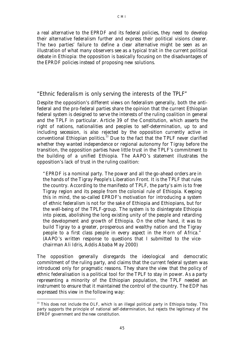a real alternative to the EPRDF and its federal policies, they need to develop their alternative federalism further and express their political visions clearer. The two parties' failure to define a clear alternative might be seen as an illustration of what many observers see as a typical trait in the current political debate in Ethiopia: the opposition is basically focusing on the disadvantages of the EPRDF policies instead of proposing new solutions.

# *"Ethnic federalism is only serving the interests of the TPLF"*

Despite the opposition's different views on federalism generally, both the antifederal and the pro-federal parties share the opinion that the current Ethiopian federal system is designed to serve the interests of the ruling coalition in general and the TPLF in particular. Article 39 of the Constitution, which asserts the right of nations, nationalities and peoples to self-determination, up to and including secession, is also rejected by the opposition currently active in conventional Ethiopian politics.<sup>13</sup> Due to the fact that the TPLF never clarified whether they wanted independence or regional autonomy for Tigray before the transition, the opposition parties have little trust in the TPLF's commitment to the building of a unified Ethiopia. The AAPO's statement illustrates the opposition's lack of trust in the ruling coalition:

"EPRDF is a nominal party. The power and all the go-ahead orders are in the hands of the Tigray People's Liberation Front. It is the TPLF that rules the country. According to the manifesto of TPLF, the party's aim is to free Tigray region and its people from the colonial rule of Ethiopia. Keeping this in mind, the so-called EPRDF's motivation for introducing a system of ethnic federalism is not for the sake of Ethiopia and Ethiopians, but for the well-being of the TPLF-group. The system is to disintegrate Ethiopia into pieces, abolishing the long existing unity of the people and retarding the development and growth of Ethiopia. On the other hand, it was to build Tigray to a greater, prosperous and wealthy nation and the Tigray people to a first class people in every aspect in the Horn of Africa." (AAPO's written response to questions that I submitted to the vicechairman Ali Idris, Addis Ababa May 2000)

The opposition generally disregards the ideological and democratic commitment of the ruling party, and claims that the current federal system was introduced only for pragmatic reasons. They share the view that the policy of ethnic federalisation is a political tool for the TPLF to stay in power. As a party representing a minority of the Ethiopian population, the TPLF needed an instrument to ensure that it maintained the control of the country. The EDP has expressed this view in the following way:

  $13$  This does not include the OLF, which is an illegal political party in Ethiopia today. This party supports the principle of national self-determination, but rejects the legitimacy of the EPRDF government and the new constitution.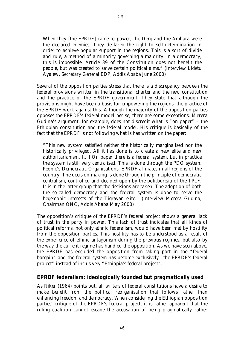When they [the EPRDF] came to power, the Derg and the Amhara were the declared enemies. They declared the right to self-determination in order to achieve popular support in the regions. This is a sort of divide and rule, a method of a minority governing a majority. In a democracy, this is impossible. Article 39 of the Constitution does not benefit the people, but was created to serve certain political aims." (Interview Lidetu Ayalew, Secretary General EDP, Addis Ababa June 2000)

Several of the opposition parties stress that there is a discrepancy between the federal provisions written in the transitional charter and the new constitution and the practice of the EPRDF government. They state that although the provisions might have been a basis for empowering the regions, the practice of the EPRDF work against this. Although the majority of the opposition parties opposes the EPRDF's federal model *per se*, there are some exceptions. Merera Gudina's argument, for example, does not discredit what is "on paper" – the Ethiopian constitution and the federal model. His critique is basically of the fact that the EPRDF is not following what is has written on the paper:

"This new system satisfied neither the historically marginalised nor the historically privileged. All it has done is to create a new elite and new authoritarianism. […] On paper there is a federal system, but in practice the system is still very centralised. This is done through the PDO system, People's Democratic Organisations, EPRDF affiliates in all regions of the country. The decision making is done through the principle of democratic centralism, controlled and decided upon by the politbureau of the TPLF. It is in the latter group that the decisions are taken. The adoption of both the so-called democracy and the federal system is done to serve the hegemonic interests of the Tigrayan elite." (Interview Merera Gudina, Chairman ONC, Addis Ababa May 2000)

The opposition's critique of the EPRDF's federal project shows a general lack of trust in the party in power. This lack of trust indicates that all kinds of political reforms, not only ethnic federalism, would have been met by hostility from the opposition parties. This hostility has to be understood as a result of the experience of ethnic antagonism during the previous regimes, but also by the way the current regime has handled the opposition. As we have seen above, the EPRDF has excluded the opposition from taking part in the "federal bargain" and the federal system has become exclusively "the EPRDF's federal project" instead of inclusively "Ethiopia's federal project".

# **EPRDF federalism: ideologically founded but pragmatically used**

As Riker (1964) points out, all writers of federal constitutions have a desire to make benefit from the political reorganisation that follows rather than enhancing freedom and democracy. When considering the Ethiopian opposition parties' critique of the EPRDF's federal project, it is rather apparent that the ruling coalition cannot escape the accusation of being pragmatically rather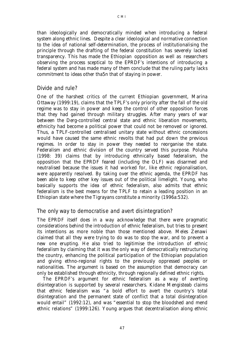than ideologically and democratically minded when introducing a federal system along ethnic lines. Despite a clear ideological and normative connection to the idea of national self-determination, the process of institutionalising the principle through the drafting of the federal constitution has severely lacked transparency. This has made the Ethiopian opposition as well as researchers observing the process sceptical to the EPRDF's intentions of introducing a federal system and has made many of them conclude that the ruling party lacks commitment to ideas other tha5n that of staying in power.

## *Divide and rule?*

One of the harshest critics of the current Ethiopian government, Marina Ottaway (1999:19), claims that the TPLF's only priority after the fall of the old regime was to stay in power and keep the control of other opposition forces that they had gained through military struggles. After many years of war between the Derg-controlled central state and ethnic liberation movements, ethnicity had become a political power that could not be removed or ignored. Thus, a TPLF-controlled centralised unitary state without ethnic concessions would have caused the same ethnic revolts that had put down the previous regimes. In order to stay in power they needed to reorganise the state. Federalism and ethnic division of the country served this purpose. Poluha (1998: 39) claims that by introducing ethnically based federalism, the opposition that the EPRDF feared (including the OLF) was disarmed and neutralised because the issues it had worked for, like ethnic regionalisation, were apparently resolved. By taking over the ethnic agenda, the EPRDF has been able to keep other key issues out of the political limelight. Young, who basically supports the idea of ethnic federalism, also admits that ethnic federalism is the best means for the TPLF to retain a leading position in an Ethiopian state where the Tigrayans constitute a minority (1996a:532).

# *The only way to democratise and avert disintegration?*

The EPRDF itself does in a way acknowledge that there were pragmatic considerations behind the introduction of ethnic federalism, but tries to present its intentions as more noble than those mentioned above. Meles Zenawi claimed that all they were trying to do was to stop the war, and to prevent a new one erupting. He also tried to legitimise the introduction of ethnic federalism by claiming that it was the only way of democratically restructuring the country, enhancing the political participation of the Ethiopian population and giving ethno-regional rights to the previously oppressed peoples or nationalities. The argument is based on the assumption that democracy can only be established through ethnicity, through regionally defined ethnic rights.

The EPRDF's argument for ethnic federalism as a way of averting disintegration is supported by several researchers. Kidane Mengisteab claims that ethnic federalism was "a bold effort to avert the country's total disintegration and the permanent state of conflict that a total disintegration would entail" (1992:12), and was "essential to stop the bloodshed and mend ethnic relations" (1999:126). Young argues that decentralisation along ethnic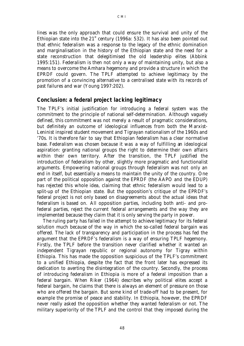lines was the only approach that could ensure the survival and unity of the Ethiopian state into the  $21<sup>st</sup>$  century (1996a: 532). It has also been pointed out that ethnic federalism was a response to the legacy of the ethnic domination and marginalisation in the history of the Ethiopian state and the need for a state reconstruction that delegitimised the old leadership elites (Abbink 1995:151). Federalism is then not only a way of maintaining unity, but also a means to overcome the Amhara hegemony and provide a structure in which the EPRDF could govern. The TPLF attempted to achieve legitimacy by the promotion of a convincing alternative to a centralised state with its records of past failures and war (Young 1997:202).

### **Conclusion: a federal project lacking legitimacy**

The TPLF's initial justification for introducing a federal system was the commitment to the principle of national self-determination. Although vaguely defined, this commitment was not merely a result of pragmatic considerations, but definitely an outcome of ideological influences from both the Marxist-Leninist inspired student movement and Tigrayan nationalism of the 1960s and '70s. It is therefore fair to say that Ethiopian federalism has a clear normative base. Federalism was chosen because it was a way of fulfilling an ideological aspiration: granting national groups the right to determine their own affairs within their own territory. After the transition, the TPLF justified the introduction of federalism by other, slightly more pragmatic and functionalist arguments. Empowering national groups through federalism was not only an end in itself, but essentially a means to maintain the unity of the country. One part of the political opposition against the EPRDF (the AAPO and the EDUP) has rejected this whole idea, claiming that ethnic federalism would lead to a split-up of the Ethiopian state. But the opposition's critique of the EPRDF's federal project is not only based on disagreements about the actual ideas that federalism is based on. All opposition parties, including both anti- and profederal parties, reject the current federal arrangements and the way they are implemented because they claim that it is only serving the party in power.

The ruling party has failed in the attempt to achieve legitimacy for its federal solution much because of the way in which the so-called federal bargain was offered. The lack of transparency and participation in the process has fed the argument that the EPRDF's federalism is a way of ensuring TPLF hegemony. Firstly, the TPLF before the transition never clarified whether it wanted an independent Tigrayan republic or regional autonomy for Tigray within Ethiopia. This has made the opposition suspicious of the TPLF's commitment to a unified Ethiopia, despite the fact that the front later has expressed its dedication to averting the disintegration of the country. Secondly, the process of introducing federalism in Ethiopia is more of a federal imposition than a federal bargain. When Riker (1964) describes why political elites accept a federal bargain, he claims that there is always an element of pressure on those who are offered the bargain. But some kind of trade-off had to be present, for example the promise of peace and stability. In Ethiopia, however, the EPRDF never really asked the opposition whether they wanted federalism or not. The military superiority of the TPLF and the control that they imposed during the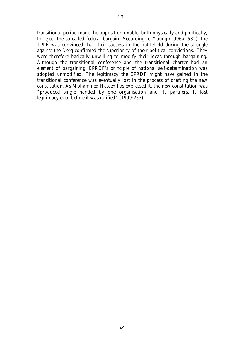transitional period made the opposition unable, both physically and politically, to reject the so-called federal bargain. According to Young (1996a: 532), the TPLF was convinced that their success in the battlefield during the struggle against the Derg confirmed the superiority of their political convictions. They were therefore basically unwilling to modify their ideas through bargaining. Although the transitional conference and the transitional charter had an element of bargaining, EPRDF's principle of national self-determination was adopted unmodified. The legitimacy the EPRDF might have gained in the transitional conference was eventually lost in the process of drafting the new constitution. As Mohammed Hassen has expressed it, the new constitution was "produced single handed by one organisation and its partners. It lost legitimacy even before it was ratified" (1999:253).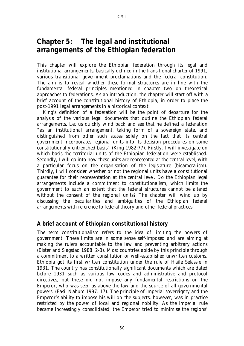# **Chapter 5: The legal and institutional arrangements of the Ethiopian federation**

This chapter will explore the Ethiopian federation through its legal and institutional arrangements, basically defined in the transitional charter of 1991, various transitional government proclamations and the federal constitution. The aim is to reveal whether these formal structures are in line with the fundamental federal principles mentioned in chapter two on theoretical approaches to federations. As an introduction, the chapter will start off with a brief account of the constitutional history of Ethiopia, in order to place the post-1991 legal arrangements in a historical context.

King's definition of a federation will be the point of departure for the analysis of the various legal documents that outline the Ethiopian federal arrangements. Let us quickly wind back and see that he defined a federation "as an institutional arrangement, taking form of a sovereign state, and distinguished from other such states solely on the fact that its central government incorporates regional units into its decision procedures on some constitutionally entrenched basis" (King 1982:77). Firstly, I will investigate on which basis the territorial units of the Ethiopian federation were established. Secondly, I will go into how these units are represented at the central level, with a particular focus on the organisation of the legislature (bicameralism). Thirdly, I will consider whether or not the regional units have a constitutional guarantee for their representation at the central level. Do the Ethiopian legal arrangements include a commitment to constitutionalism, which limits the government to such an extent that the federal structures cannot be altered without the consent of the regional units? The chapter will wind up by discussing the peculiarities and ambiguities of the Ethiopian federal arrangements with reference to federal theory and other federal practices.

# **A brief account of Ethiopian constitutional history**

The term constitutionalism refers to the idea of limiting the powers of government. These limits are in some sense self-imposed and are aiming at making the rulers accountable to the law and preventing arbitrary actions (Elster and Slagstad 1988: 2-3). Most countries abide by this principle through a commitment to a written constitution or well-established unwritten customs. Ethiopia got its first written constitution under the rule of Haile Selassie in 1931. The country has constitutionally significant documents which are dated before 1931 such as various law codes and administrative and protocol directives, but these did not impose any fundamental restrictions on the Emperor, who was seen as above the law and the source of all governmental powers (Fasil Nahum 1997: 17). The principle of imperial sovereignty and the Emperor's ability to impose his will on the subjects, however, was in practice restricted by the power of local and regional nobility. As the imperial rule became increasingly consolidated, the Emperor tried to minimise the regions'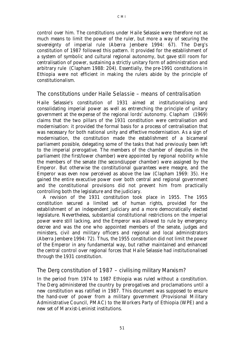control over him. The constitutions under Haile Selassie were therefore not as much means to limit the power of the ruler, but more a way of securing the sovereignty of imperial rule (Aberra Jembere 1994: 67). The Derg's constitution of 1987 followed this pattern. It provided for the establishment of a system of symbolic and cultural regional autonomy, but gave still room for centralisation of power, sustaining a strictly unitary form of administration and arbitrary rule (Clapham 1988: 204). Essentially, the pre-1991 constitutions in Ethiopia were not efficient in making the rulers abide by the principle of constitutionalism.

## *The constitutions under Haile Selassie – means of centralisation*

Haile Selassie's constitution of 1931 aimed at institutionalising and consolidating imperial power as well as entrenching the principle of unitary government at the expense of the regional lords' autonomy. Clapham (1969) claims that the two pillars of the 1931 constitution were centralisation and modernisation: it provided the formal basis for a process of centralisation that was necessary for both national unity and effective modernisation. As a sign of modernisation, the constitution made the establishment of a bicameral parliament possible, delegating some of the tasks that had previously been left to the imperial prerogative. The members of the chamber of deputies in the parliament (the first/lower chamber) were appointed by regional nobility while the members of the senate (the second/upper chamber) were assigned by the Emperor. But otherwise the constitutional guarantees were meagre, and the Emperor was even now perceived as above the law (Clapham 1969: 35). He gained the entire executive power over both central and regional government and the constitutional provisions did not prevent him from practically controlling both the legislature and the judiciary.

A revision of the 1931 constitution took place in 1955. The 1955 constitution secured a limited set of human rights, provided for the establishment of an independent judiciary and a more democratically elected legislature. Nevertheless, substantial constitutional restrictions on the imperial power were still lacking, and the Emperor was allowed to rule by emergency decree and was the one who appointed members of the senate, judges and ministers, civil and military officers and regional and local administrators (Aberra Jembere 1994: 72). Thus, the 1955 constitution did not limit the power of the Emperor in any fundamental way, but rather maintained and enhanced the central control over regional forces that Haile Selassie had institutionalised through the 1931 constitution.

## *The Derg constitution of 1987 – civilising military Marxism?*

In the period from 1974 to 1987 Ethiopia was ruled without a constitution. The Derg administered the country by prerogatives and proclamations until a new constitution was ratified in 1987. This document was supposed to ensure the hand-over of power from a military government (Provisional Military Administrative Council, PMAC) to the Workers Party of Ethiopia (WPE) and a new set of Marxist-Leninist institutions.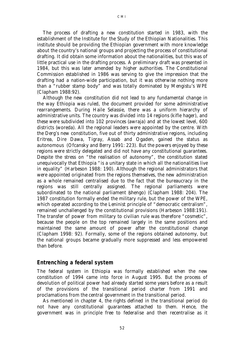The process of drafting a new constitution started in 1983, with the establishment of the Institute for the Study of the Ethiopian Nationalities. This institute should be providing the Ethiopian government with more knowledge about the country's national groups and projecting the process of constitutional drafting. It did obtain some information about the nationalities, but this was of little practical use in the drafting process. A preliminary draft was presented in 1984, but this was later amended by higher authorities. The Constitutional Commission established in 1986 was serving to give the impression that the drafting had a nation-wide participation, but it was otherwise nothing more than a "rubber stamp body" and was totally dominated by Mengistu's WPE (Clapham 1988:92).

Although the new constitution did not lead to any fundamental change in the way Ethiopia was ruled, the document provided for some administrative rearrangements. During Haile Selassie, there was a uniform hierarchy of administrative units. The country was divided into 14 regions (*kifle hager*), and these were subdivided into 102 provinces (*awraja*) and at the lowest level, 600 districts (*woreda*). All the regional leaders were appointed by the centre. With the Derg's new constitution, five out of thirty administrative regions, including Eritrea, Dire Dawa, Tigray, Assab and Ogaden, gained the status as autonomous (Ofcansky and Berry 1991: 223). But the powers enjoyed by these regions were strictly delegated and did not have any constitutional guarantees. Despite the stress on "the realisation of autonomy", the constitution stated unequivocally that Ethiopia "is a unitary state in which all the nationalities live in equality" (Harbeson 1988: 190). Although the regional administrators that were appointed originated from the regions themselves, the new administration as a whole remained centralised due to the fact that the bureaucracy in the regions was still centrally assigned. The regional parliaments were subordinated to the national parliament (*shengo*) (Clapham 1988: 204). The 1987 constitution formally ended the military rule, but the power of the WPE, which operated according to the Leninist principle of "democratic centralism", remained unchallenged by the constitutional provisions (Harbeson 1988:191). The transfer of power from military to civilian rule was therefore "cosmetic", because the people on the top remained largely in the same positions and maintained the same amount of power after the constitutional change (Clapham 1998: 92). Formally, some of the regions obtained autonomy, but the national groups became gradually more suppressed and less empowered than before.

# **Entrenching a federal system**

The federal system in Ethiopia was formally established when the new constitution of 1994 came into force in August 1995. But the process of devolution of political power had already started some years before as a result of the provisions of the transitional period charter from 1991 and proclamations from the central government in the transitional period.

As mentioned in chapter 4, the rights defined in the transitional period do not have any constitutional guarantees attached to them. Hence, the government was in principle free to federalise and then recentralise as it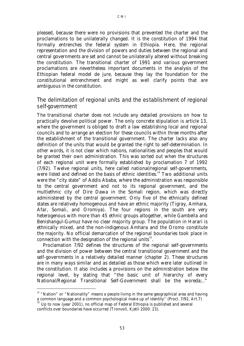pleased, because there were no provisions that prevented the charter and the proclamations to be unilaterally changed. It is the constitution of 1994 that formally entrenches the federal system in Ethiopia. Here, the regional representation and the division of powers and duties between the regional and central governments are set and cannot be unilaterally altered without breaking the constitution. The transitional charter of 1991 and various government proclamations are nevertheless important documents in the analysis of the Ethiopian federal model de jure, because they lay the foundation for the constitutional entrenchment and might as well clarify points that are ambiguous in the constitution.

# *The delimitation of regional units and the establishment of regional self-government*

The transitional charter does not include any detailed provisions on how to practically devolve political power. The only concrete stipulation is article 13, where the government is obliged to draft a law establishing local and regional councils and to arrange an election for these councils within three months after the establishment of the transitional government. The charter lacks also any definition of the units that would be granted the right to self-determination. In other words, it is not clear which nations, nationalities and peoples that would be granted their own administration. This was sorted out when the structures of each regional unit were formally established by proclamation 7 of 1992 (7/92). Twelve regional units, here called national/regional self-governments, were listed and defined on the basis of ethnic identities.<sup>14</sup> Two additional units were the "city state" of Addis Ababa, where the administration was responsible to the central government and not to its regional government, and the multiethnic city of Dire Dawa in the Somali region, which was directly administered by the central government. Only five of the ethnically defined states are relatively homogenous and have an ethnic majority (Tigray, Amhara, Afar, Somali, and Oromiya). The four regions in the south are very heterogenous with more than 45 ethnic groups altogether, while Gambella and Benishangul-Gumuz have no clear majority group. The population in Harari is ethnically mixed, and the non-indigenous Amhara and the Oromo constitute the majority. No official demarcation of the regional boundaries took place in connection with the designation of the regional units*<sup>15</sup>* .

Proclamation 7/92 defines the structures of the regional self-governments and the division of power between the central transitional government and the self-governments in a relatively detailed manner (chapter 2). These structures are in many ways similar and as detailed as those which were later outlined in the constitution. It also includes a provisions on the administration below the regional level, by stating that "the basic unit of hierarchy of every National/Regional Transitional Self-Government shall be the woreda;.."

 $\overline{a}$ 

 $14$  "Nation" or "Nationality" means a people living in the same geographical area and having a common language and a common psychological make up of identity" (Procl. 7/92, Art.7)

<sup>&</sup>lt;sup>15</sup> Up to now (year 2001), no official map of Federal Ethiopia is published and several conflicts over boundaries have occurred (Tronvoll, Kjetil 2000: 23).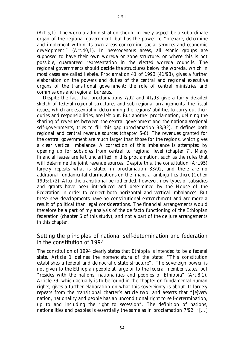(Art.5,1). The woreda administration should in every aspect be a subordinate organ of the regional government, but has the power to "prepare, determine and implement within its own areas concerning social services and economic development." (Art.40,1). In heterogenous areas, all ethnic groups are supposed to have their own woreda or zone structure, or where this is not possible, guaranteed representation in the elected woreda councils. The regional governments should decide the structures below the woreda, which in most cases are called kebele. Proclamation 41 of 1993 (41/93), gives a further elaboration on the powers and duties of the central and regional executive organs of the transitional government: the role of central ministries and commissions and regional bureaus.

Despite the fact that proclamations 7/92 and 41/93 give a fairly detailed sketch of federal-regional structures and sub-regional arrangements, the fiscal issues, which are essential in determining the regions' abilities to carry out their duties and responsibilities, are left out. But another proclamation, defining the sharing of revenues between the central government and the national/regional self-governments, tries to fill this gap (proclamation 33/92). It defines both regional and central revenue sources (chapter 5-6). The revenues granted for the central government are much larger than those for the regions, which gives a clear vertical imbalance. A correction of this imbalance is attempted by opening up for subsidies from central to regional level (chapter 7). Many financial issues are left unclarified in this proclamation, such as the rules that will determine the joint revenue sources. Despite this, the constitution (Art.95) largely repeats what is stated in proclamation 33/92, and there are no additional fundamental clarifications on the financial ambiguities there (Cohen 1995:172). After the transitional period ended, however, new types of subsidies and grants have been introduced and determined by the House of the Federation in order to correct both horizontal and vertical imbalances. But these new developments have no constitutional entrenchment and are more a result of political than legal considerations. The financial arrangements would therefore be a part of my analysis of the de facto functioning of the Ethiopian federation (chapter 6 of this study), and not a part of the de jure arrangements in this chapter.

# *Setting the principles of national self-determination and federation in the constitution of 1994*

The constitution of 1994 clearly states that Ethiopia is intended to be a federal state. Article 1 defines the nomenclature of the state: "This constitution establishes a federal and democratic state structure". The sovereign power is not given to the Ethiopian people at large or to the federal member states, but "resides with the nations, nationalities and peoples of Ethiopia" (Art.8,1). Article 39, which actually is to be found in the chapter on fundamental human rights, gives a further elaboration on what this sovereignty is about. It largely repeats from the transitional charter's article two, and asserts that "[e]very nation, nationality and people has an unconditional right to self-determination, up to and including the right to secession". The definition of nations, nationalities and peoples is essentially the same as in proclamation 7/92: "[…]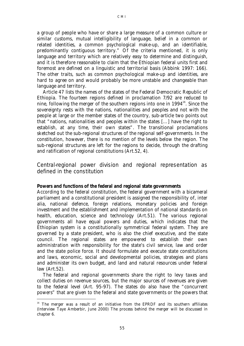a group of people who have or share a large measure of a common culture or similar customs, mutual intelligibility of language, belief in a common or related identities, a common psychological make-up, and an identifiable, predominantly contiguous territory." Of the criteria mentioned, it is only language and territory which are relatively easy to determine and distinguish, and it is therefore reasonable to claim that the Ethiopian federal units first and foremost are defined on a linguistic and territorial basis (Abbink 1997: 166). The other traits, such as common psychological make-up and identities, are hard to agree on and would probably be more unstable and changeable than language and territory.

Article 47 lists the names of the states of the Federal Democratic Republic of Ethiopia. The fourteen regions defined in proclamation 7/92 are reduced to nine, following the merger of the southern regions into one in 1994*<sup>16</sup>*. Since the sovereignty rests with the nations, nationalities and peoples and not with the people at large or the member states of the country, sub-article two points out that "nations, nationalities and peoples within the states […] have the right to establish, at any time, their own states". The transitional proclamations sketched out the sub-regional structures of the regional self-governments. In the constitution, however, there is no mention of the levels below the region. The sub-regional structures are left for the regions to decide, through the drafting and ratification of regional constitutions (Art.52, 4).

*Central-regional power division and regional representation as defined in the constitution*

#### **Powers and functions of the federal and regional state governments**

According to the federal constitution, the federal government with a bicameral parliament and a constitutional president is assigned the responsibility of, inter alia, national defence, foreign relations, monetary policies and foreign investment and the establishment and implementation of national standards on health, education, science and technology (Art.51). The various regional governments all have equal powers and duties, which indicates that the Ethiopian system is a constitutionally symmetrical federal system. They are governed by a state president, who is also the chief executive, and the state council. The regional states are empowered to establish their own administration with responsibility for the state's civil service, law and order and the state police force. It should formulate and execute state constitutions and laws, economic, social and developmental policies, strategies and plans and administer its own budget, and land and natural resources under federal law (Art.52).

The federal and regional governments share the right to levy taxes and collect duties on revenue sources, but the major sources of revenues are given to the federal level (Art. 95-97). The states do also have the "concurrent powers" that are given to the federal and state governments or the powers that

 $16$  The merger was a result of an initiative from the EPRDF and its southern affiliates (Interview Taye Amberbir, June 2000) The process behind the merger will be discussed in chapter 6.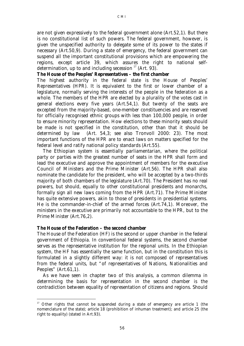are not given expressively to the federal government alone (Art.52,1). But there is no constitutional list of such powers. The federal government, however, is given the unspecified authority to delegate some of its power to the states if necessary (Art.50,9). During a state of emergency, the federal government can suspend all the important constitutional provisions which are empowering the regions, except article 39, which assures the right to national selfdetermination, up to and including secession *<sup>17</sup>* (Art. 93).

### **The House of the Peoples' Representatives – the first chamber**

The highest authority in the federal state is the House of Peoples' Representatives (HPR). It is equivalent to the first or lower chamber of a legislature, normally serving the interests of the people in the federation as a whole. The members of the HPR are elected by a plurality of the votes cast in general elections every five years (Art.54,1). But twenty of the seats are excepted from the majority-based, one-member constituencies and are reserved for officially recognised ethnic groups with less than 100,000 people, in order to ensure minority representation. How elections to these minority seats should be made is not specified in the constitution, other than that it should be determined by law (Art. 54,3; see also Tronvoll 2000: 23). The most important functions of the HPR are to enact laws on matters specified for the federal level and ratify national policy standards (Art.55).

The Ethiopian system is essentially parliamentarian, where the political party or parties with the greatest number of seats in the HPR shall form and lead the executive and approve the appointment of members for the executive Council of Ministers and the Prime Minister (Art.56). The HPR shall also nominate the candidate for the president, who will be accepted by a two-thirds majority of both chambers of the legislature (Art.70). The President has no real powers, but should, equally to other constitutional presidents and monarchs, formally sign all new laws coming from the HPR (Art.71). The Prime Minister has quite extensive powers, akin to those of presidents in presidential systems. He is the commander-in-chief of the armed forces (Art.74,1). Moreover, the ministers in the executive are primarily not accountable to the HPR, but to the Prime Minister (Art.76,2).

### **The House of the Federation – the second chamber**

The House of the Federation (HF) is the second or upper chamber in the federal government of Ethiopia. In conventional federal systems, the second chamber serves as the representative institution for the regional units. In the Ethiopian system, the HF has essentially the same function, but in the constitution this is formulated in a slightly different way: it is not composed of representatives from the federal units, but "of representatives of Nations, Nationalities and Peoples" (Art.61,1).

As we have seen in chapter two of this analysis, a common dilemma in determining the basis for representation in the second chamber is the contradiction between equality of representation of citizens and regions. Should

  $17$  Other rights that cannot be suspended during a state of emergency are article 1 (the nomenclature of the state); article 18 (prohibition of inhuman treatment); and article 25 (the right to equality) (stated in Art.93).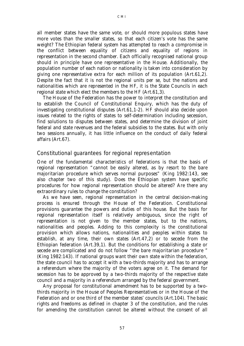all member states have the same vote, or should more populous states have more votes than the smaller states, so that each citizen's vote has the same weight? The Ethiopian federal system has attempted to reach a compromise in the conflict between equality of citizens and equality of regions in representation in the second chamber. Each officially recognised national group should in principle have one representative in the House. Additionally, the population number of each nation or nationality is taken into consideration by giving one representative extra for each million of its population (Art.61,2). Despite the fact that it is not the regional units per se, but the nations and nationalities which are represented in the HF, it is the State Councils in each regional state which elect the members to the HF (Art.61,3).

The House of the Federation has the power to interpret the constitution and to establish the Council of Constitutional Enquiry, which has the duty of investigating constitutional disputes (Art.61,1-2). HF should also decide upon issues related to the rights of states to self-determination including secession, find solutions to disputes between states, and determine the division of joint federal and state revenues and the federal subsidies to the states. But with only two sessions annually, it has little influence on the conduct of daily federal affairs (Art.67).

## *Constitutional guarantees for regional representation*

One of the fundamental characteristics of federations is that the basis of regional representation "cannot be easily altered, as by resort to the bare majoritarian procedure which serves normal purposes" (King 1982:143, see also chapter two of this study). Does the Ethiopian system have specific procedures for how regional representation should be altered? Are there any extraordinary rules to change the constitution?

As we have seen, regional representation in the central decision-making process is ensured through the House of the Federation. Constitutional provisions guarantee the powers and duties of this house. But the basis for regional representation itself is relatively ambiguous, since the right of representation is not given to the member states, but to the nations, nationalities and peoples. Adding to this complexity is the constitutional provision which allows nations, nationalities and peoples within states to establish, at any time, their own states (Art.47,2) or to secede from the Ethiopian federation (Art.39,1). But the conditions for establishing a state or secede are complicated and do not follow "the bare majoritarian procedure " (King 1982:143). If national groups want their own state within the federation, the state council has to accept it with a two-thirds majority and has to arrange a referendum where the majority of the voters agree on it. The demand for secession has to be approved by a two-thirds majority of the respective state council and a majority in a referendum arranged by the federal government.

Any proposal for constitutional amendment has to be supported by a twothirds majority in the House of Peoples Representatives or in the House of the Federation and or one third of the member states' councils (Art.104). The basic rights and freedoms as defined in chapter 3 of the constitution, and the rules for amending the constitution cannot be altered without the consent of all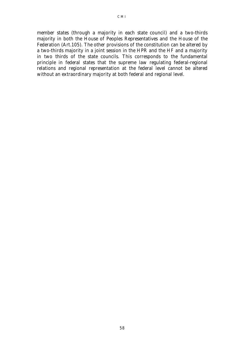member states (through a majority in each state council) and a two-thirds majority in both the House of Peoples Representatives and the House of the Federation (Art.105). The other provisions of the constitution can be altered by a two-thirds majority in a joint session in the HPR and the HF and a majority in two thirds of the state councils. This corresponds to the fundamental principle in federal states that the supreme law regulating federal-regional relations and regional representation at the federal level cannot be altered without an extraordinary majority at both federal and regional level.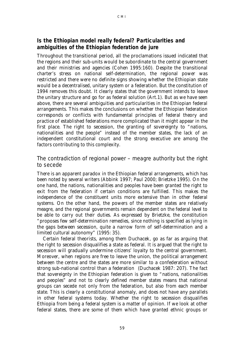# **Is the Ethiopian model really federal? Particularities and ambiguities of the Ethiopian federation** *de jure*

Throughout the transitional period, all the proclamations issued indicated that the regions and their sub-units would be subordinate to the central government and their ministries and agencies (Cohen 1995:160). Despite the transitional charter's stress on national self-determination, the regional power was restricted and there were no definite signs showing whether the Ethiopian state would be a decentralised, unitary system or a federation. But the constitution of 1994 removes this doubt. It clearly states that the government intends to leave the unitary structure and go for as federal solution (Art.1). But as we have seen above, there are several ambiguities and particularities in the Ethiopian federal arrangements. This makes the conclusions on whether the Ethiopian federation corresponds or conflicts with fundamental principles of federal theory and practice of established federations more complicated than it might appear in the first place. The right to secession, the granting of sovereignty to "nations, nationalities and the people" instead of the member states, the lack of an independent constitutional court and the strong executive are among the factors contributing to this complexity.

## *The contradiction of regional power – meagre authority but the right to secede*

There is an apparent paradox in the Ethiopian federal arrangements, which has been noted by several writers (Abbink 1997; Paul 2000; Brietzke 1995). On the one hand, the nations, nationalities and peoples have been granted the right to exit from the federation if certain conditions are fulfilled. This makes the independence of the constituent units more extensive than in other federal systems. On the other hand, the powers of the member states are relatively meagre, and the regional governments remain dependent on the federal level to be able to carry out their duties. As expressed by Brietzke, the constitution "proposes few self-determination remedies, since nothing is specified as lying in the gaps between secession, quite a narrow form of self-determination and a limited cultural autonomy" (1995: 35).

Certain federal theorists, among them Duchacek, go as far as arguing that the right to secession disqualifies a state as federal. It is argued that the right to secession will gradually undermine citizens' loyalty to the central government. Moreover, when regions are free to leave the union, the political arrangement between the centre and the states are more similar to a confederation without strong sub-national control than a federation (Duchacek 1987: 207). The fact that sovereignty in the Ethiopian federation is given to "nations, nationalities and peoples" and not to clearly defined member states means that national groups can secede not only from the federation, but also from each member state. This is clearly a constitutional anomaly, and does not have any parallels in other federal systems today. Whether the right to secession disqualifies Ethiopia from being a federal system is a matter of opinion. If we look at other federal states, there are some of them which have granted ethnic groups or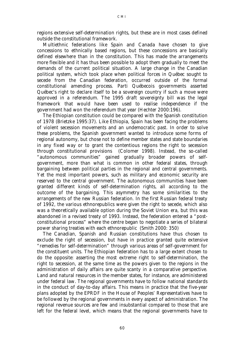regions extensive self-determination rights, but these are in most cases defined outside the constitutional framework.

Multiethnic federations like Spain and Canada have chosen to give concessions to ethnically based regions, but these concessions are basically defined elsewhere than in the constitution. This has made the arrangements more flexible and it has thus been possible to adopt them gradually to meet the demands of the current political situation. A large change in the Canadian political system, which took place when political forces in Québec sought to secede from the Canadian federation, occurred outside of the formal constitutional amending process. Parti Québecois governments asserted Québec's right to declare itself to be a sovereign country if such a move were approved in a referendum. The 1995 draft sovereignty bill was the legal framework that would have been used to realise independence if the government had won the referendum that year (Hechter 2000:196).

The Ethiopian constitution could be compared with the Spanish constitution of 1978 (Brietzke 1995:37). Like Ethiopia, Spain has been facing the problems of violent secession movements and an undemocratic past. In order to solve these problems, the Spanish government wanted to introduce some forms of regional autonomy, but chose not to define member states and state boundaries in any fixed way or to grant the contentious regions the right to secession through constitutional provisions (Colomer 1998). Instead, the so-called "autonomous communities" gained gradually broader powers of selfgovernment, more than what is common in other federal states, through bargaining between political parties in the regional and central governments. Yet the most important powers, such as military and economic security are reserved to the central government. The autonomous communities have been granted different kinds of self-determination rights, all according to the outcome of the bargaining. This asymmetry has some similarities to the arrangements of the new Russian federation. In the first Russian federal treaty of 1992, the various ethnorepublics were given the right to secede, which also was a theoretically available option during the Soviet Union era, but this was abandoned in a revised treaty of 1993. Instead, the federation entered a "postconstitutional process" where the centre began to negotiate a series of bilateral power sharing treaties with each ethnorepublic (Smith 2000: 350)

The Canadian, Spanish and Russian constitutions have thus chosen to exclude the right of secession, but have in practice granted quite extensive "remedies for self-determination" through various areas of self-government for the constituent units. The Ethiopian federation has to a large extent chosen to do the opposite: asserting the most extreme right to self-determination, the right to secession, at the same time as the powers given to the regions in the administration of daily affairs are quite scanty in a comparative perspective. Land and natural resources in the member states, for instance, are administered under federal law. The regional governments have to follow national standards in the conduct of day-to-day affairs. This means in practice that the five-year plans adopted by the EPRDF in the House of Peoples' Representatives have to be followed by the regional governments in every aspect of administration. The regional revenue sources are few and insubstantial compared to those that are left for the federal level, which means that the regional governments have to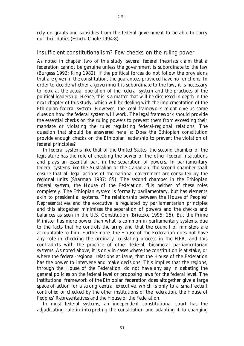rely on grants and subsidies from the federal government to be able to carry out their duties (Eshetu Chole 1994:8).

## *Insufficient constitutionalism? Few checks on the ruling power*

As noted in chapter two of this study, several federal theorists claim that a federation cannot be genuine unless the government is subordinate to the law (Burgess 1993; King 1982). If the political forces do not follow the provisions that are given in the constitution, the guarantees provided have no functions. In order to decide whether a government is subordinate to the law, it is necessary to look at the actual operation of the federal system and the practices of the political leadership. Hence, this is a matter that will be discussed in depth in the next chapter of this study, which will be dealing with the implementation of the Ethiopian federal system. However, the legal framework might give us some clues on how the federal system will work. The legal framework should provide the essential checks on the ruling powers to prevent them from exceeding their mandate or violating the rules regulating federal-regional relations. The question that should be answered here is: Does the Ethiopian constitution provide enough checks on the Ethiopian leadership to prevent the violation of federal principles?

In federal systems like that of the United States, the second chamber of the legislature has the role of checking the power of the other federal institutions and plays an essential part in the separation of powers. In parliamentary federal systems like the Australian or the Canadian, the second chamber shall ensure that all legal actions of the national government are consulted by the regional units (Sharman 1987: 85). The second chamber in the Ethiopian federal system, the House of the Federation, fills neither of these roles completely. The Ethiopian system is formally parliamentary, but has elements akin to presidential systems. The relationship between the House of Peoples' Representatives and the executive is regulated by parliamentarian principles and this altogether minimises the separation of powers and the checks and balances as seen in the U.S. Constitution (Brietzke 1995: 25). But the Prime Minister has more power than what is common in parliamentary systems, due to the facts that he controls the army and that the council of ministers are accountable to him. Furthermore, the House of the Federation does not have any role in checking the ordinary legislating process in the HPR, and this contradicts with the practice of other federal, bicameral parliamentarian systems. As noted above, it is only in cases where the constitution is at stake, or where the federal-regional relations at issue, that the House of the Federation has the power to intervene and make decisions. This implies that the regions, through the House of the Federation, do not have any say in debating the general policies on the federal level or proposing laws for the federal level. The institutional framework of the Ethiopian federation does altogether give a large space of action for a strong central executive, which is only to a small extent controlled or checked by the other institutions of the federation, the House of Peoples' Representatives and the House of the Federation.

In most federal systems, an independent constitutional court has the adjudicating role in interpreting the constitution and adapting it to changing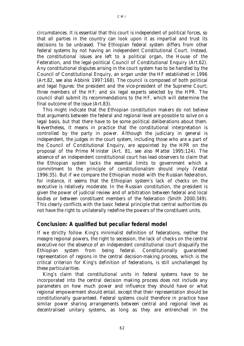circumstances. It is essential that this court is independent of political forces, so that all parties in the country can look upon it as impartial and trust its decisions to be unbiased. The Ethiopian federal system differs from other federal systems by not having an independent Constitutional Court. Instead, the constitutional issues are left to a political organ, the House of the Federation, and the legal-political Council of Constitutional Enquiry (Art.62). Any constitutional disputes arising in the court system has to be handled by the Council of Constitutional Enquiry, an organ under the HF established in 1996 (Art.82, see also Abbink 1997:168). The council is composed of both political and legal figures: the president and the vice-president of the Supreme Court; three members of the HF; and six legal experts selected by the HPR. The council shall submit its recommendations to the HF, which will determine the final outcome of the issue (Art.83).

This might indicate that the Ethiopian constitution makers do not believe that arguments between the federal and regional level are possible to solve on a legal basis, but that there have to be some political deliberations about them. Nevertheless, it means in practice that the constitutional interpretation is controlled by the party in power. Although the judiciary in general is independent, the judges in the court system, including those who are a part of the Council of Constitutional Enquiry, are appointed by the HPR on the proposal of the Prime Minister (Art. 81, see also Mattei 1995:124). The absence of an independent constitutional court has lead observers to claim that the Ethiopian system lacks the essential limits to government which a commitment to the principle of constitutionalism should imply (Vestal 1996:35). But if we compare the Ethiopian model with the Russian federation, for instance, it seems that the Ethiopian system's lack of checks on the executive is relatively moderate. In the Russian constitution, the president is given the power of judicial review and of arbitration between federal and local bodies or between constituent members of the federation (Smith 2000:349). This clearly conflicts with the basic federal principle that central authorities do not have the right to unilaterally redefine the powers of the constituent units.

# **Conclusion: A qualified but peculiar federal model**

If we strictly follow King's minimalist definition of federations, neither the meagre regional powers, the right to secession, the lack of checks on the central executive nor the absence of an independent constitutional court disqualify the Ethiopian system from being federal. Constitutionally guaranteed representation of regions in the central decision-making process, which is the critical criterion for King's definition of federations, is still unchallenged by these particularities.

King's claim that constitutional units in federal systems have to be incorporated into the central decision making process does not include any parameters on *how much* power and influence they should have or what regional empowerment should entail, except that their representation should be constitutionally guaranteed. Federal systems could therefore in practice have similar power sharing arrangements between central and regional level as decentralised unitary systems, as long as they are entrenched in the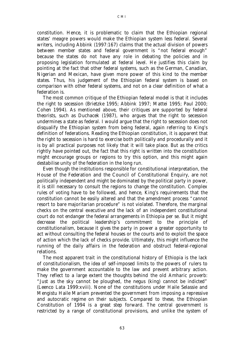constitution. Hence, it is problematic to claim that the Ethiopian regional states' meagre powers would make the Ethiopian system less federal. Several writers, including Abbink (1997:167) claims that the actual division of powers between member states and federal government is "not federal enough" because the states do not have any role in debating the policies and in proposing legislation formulated at federal level. He justifies this claim by pointing at the fact that other federal systems, such as the German, Canadian, Nigerian and Mexican, have given more power of this kind to the member states. Thus, his judgement of the Ethiopian federal system is based on comparison with other federal systems, and not on a clear definition of what a federation is.

The most common critique of the Ethiopian federal model is that it includes the right to secession (Brietzke 1995; Abbink 1997; Mattei 1995; Paul 2000; Cohen 1994). As mentioned above, their critiques are supported by federal theorists, such as Duchacek (1987), who argues that the right to secession undermines a state as federal. I would argue that the right to secession does not disqualify the Ethiopian system from being federal, again referring to King's definition of federations. Reading the Ethiopian constitution, it is apparent that the right to secession is hard to exercise both politically and procedurally and it is by all practical purposes not likely that it will take place. But as the critics rightly have pointed out, the fact that this right is written into the constitution might encourage groups or regions to try this option, and this might again destabilise unity of the federation in the long run.

Even though the institutions responsible for constitutional interpretation, the House of the Federation and the Council of Constitutional Enquiry, are not politically independent and might be dominated by the political party in power, it is still necessary to consult the regions to change the constitution. Complex rules of voting have to be followed, and hence, King's requirements that the constitution cannot be easily altered and that the amendment process "cannot resort to bare majoritarian procedure" is not violated. Therefore, the marginal checks on the central executive and the lack of an independent constitutional court do not endanger the federal arrangements in Ethiopia *per se.* But it might decrease the political leadership's commitment to the principle of constitutionalism, because it gives the party in power a greater opportunity to act without consulting the federal houses or the courts and to exploit the space of action which the lack of checks provide. Ultimately, this might influence the running of the daily affairs in the federation and obstruct federal-regional relations.

The most apparent trait in the constitutional history of Ethiopia is the lack of constitutionalism, the idea of self-imposed limits to the powers of rulers to make the government accountable to the law and prevent arbitrary action. They reflect to a large extent the thoughts behind the old Amharic proverb: "Just as the sky cannot be ploughed, the *negus* (king) cannot be indicted" (Leenco Lata 1999:xviii). None of the constitutions under Haile Selassie and Mengistu Haile Mariam prevented the government from imposing a repressive and autocratic regime on their subjects. Compared to these, the Ethiopian Constitution of 1994 is a great step forward. The central government is restricted by a range of constitutional provisions, and unlike the system of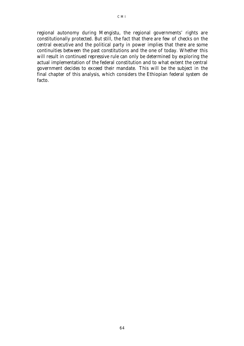regional autonomy during Mengistu, the regional governments' rights are constitutionally protected. But still, the fact that there are few of checks on the central executive and the political party in power implies that there are some continuities between the past constitutions and the one of today. Whether this will result in continued repressive rule can only be determined by exploring the actual implementation of the federal constitution and to what extent the central government decides to exceed their mandate. This will be the subject in the final chapter of this analysis, which considers the Ethiopian federal system *de facto*.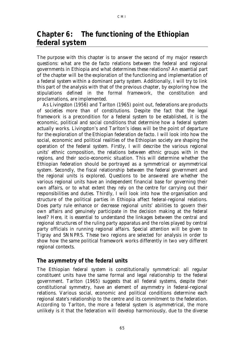# **Chapter 6: The functioning of the Ethiopian federal system**

The purpose with this chapter is to answer the second of my major research questions: what are the *de facto* relations between the federal and regional governments in Ethiopia and what determines these relations? An essential part of the chapter will be the exploration of the functioning and implementation of a federal system within a dominant party system. Additionally, I will try to link this part of the analysis with that of the previous chapter, by exploring how the stipulations defined in the formal framework, the constitution and proclamations, are implemented.

As Livingston (1956) and Tarlton (1965) point out, federations are products of societies more than of constitutions. Despite the fact that the legal framework is a precondition for a federal system to be established, it is the economic, political and social conditions that determine how a federal system actually works. Livingston's and Tarlton's ideas will be the point of departure for the exploration of the Ethiopian federation *de facto*. I will look into how the social, economic and political realities of the Ethiopian society are shaping the operation of the federal system. Firstly, I will describe the various regional units' ethnic composition, the relations between ethnic groups with in the regions, and their socio-economic situation. This will determine whether the Ethiopian federation should be portrayed as a symmetrical or asymmetrical system. Secondly, the fiscal relationship between the federal government and the regional units is explored. Questions to be answered are whether the various regional units have an independent financial base for governing their own affairs, or to what extent they rely on the centre for carrying out their responsibilities and duties. Thirdly, I will look into how the organisation and structure of the political parties in Ethiopia affect federal-regional relations. Does party rule enhance or decrease regional units' abilities to govern their own affairs and genuinely participate in the decision making at the federal level? Here, it is essential to understand the linkages between the central and regional structures of the ruling party apparatus and the roles played by central party officials in running regional affairs. Special attention will be given to Tigray and SNNPRS. These two regions are selected for analysis in order to show how the same political framework works differently in two very different regional contexts.

# **The asymmetry of the federal units**

The Ethiopian federal system is constitutionally symmetrical: all regular constituent units have the same formal and legal relationship to the federal government. Tarlton (1965) suggests that all federal systems, despite their constitutional symmetry, have an element of asymmetry in federal-regional relations. Various social, economic and political conditions determine each regional state's relationship to the centre and its commitment to the federation. According to Tarlton, the more a federal system is asymmetrical, the more unlikely is it that the federation will develop harmoniously, due to the diverse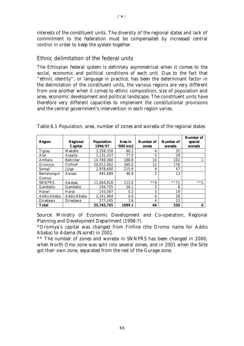interests of the constituent units. The diversity of the regional states and lack of commitment to the federation must be compensated by increased central control in order to keep the system together.

## *Ethnic delimitation of the federal units*

The Ethiopian federal system is definitely asymmetrical when it comes to the social, economic and political conditions of each unit. Due to the fact that "ethnic identity", or language in practice, has been the determinant factor in the delimitation of the constituent units, the various regions are very different from one another when it comes to ethnic composition, size of population and area, economic development and political landscape. The constituent units have therefore very different capacities to implement the constitutional provisions and the central government's intervention in each region varies.

| <b>Region</b>         | Regional<br>Capital | <b>Population</b><br>1996/97 | Area in<br>'000 km2 | <b>Number of</b><br>zones | Number of<br>woreda | Number of<br>special<br>woreda |
|-----------------------|---------------------|------------------------------|---------------------|---------------------------|---------------------|--------------------------------|
| Tigray                | Mekelle             | 3,358,358                    | 60.2                | 4                         | 35                  |                                |
| Afar                  | Aysaita             | 1.131.437                    | 77.0                | 5                         | 28                  |                                |
| Amhara                | Bahirdar            | 14.769.360                   | 188.8               | 10                        | 102                 |                                |
| Oromiya               | Finfine*            | 20,012,952                   | 360.0               | 12                        | 176                 |                                |
| Somali                | Jijiga              | 1.978.600                    | 215.9               | 9                         | 47                  |                                |
| Benishangul/<br>Gumuz | Asossa              | 492.689                      | 46.8                | 2                         | 13                  |                                |
| <b>SNNPRS</b>         | Awassa              | 11.064.818                   | 112.0               | $**9$                     | $***71$             | $***5$                         |
| Gambella              | <b>Gambella</b>     | 194,755                      | 26.1                | $\boldsymbol{2}$          | 8                   |                                |
| Harari                | Harar               | 143.587                      | 0.3                 | 3                         | 19                  |                                |
| Addis Ababa           | Addis Ababa         | 2,241,964                    | 0.4                 | 6                         | 28                  |                                |
| Diredawa              | Diredawa            | 277,245                      | 1.6                 | 4                         | 23                  |                                |
| <b>Total</b>          |                     | 55.765.765                   | 1089.1              | 66                        | 550                 | 6                              |

Table 6.1 Population, area, number of zones and *woreda* of the regional states

Source: Ministry of Economic Development and Co-operation, Regional Planning and Development Department (1998:7)

\*Oromiya's capital was changed from Finfine (the Oromo name for Addis Ababa) to Adama (Nazret) in 2001.

\*\* The number of zones and woreda in SNNPRS has been changed in 2000, when North Omo zone was split into several zones, and in 2001 when the Silte got their own zone, separated from the rest of the Gurage zone.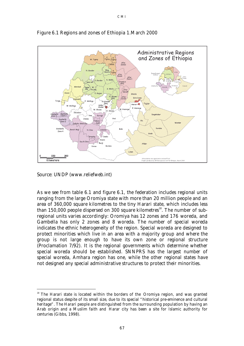

Figure 6.1 Regions and zones of Ethiopia 1.March 2000

Source: UNDP (www.reliefweb.int)

As we see from table 6.1 and figure 6.1, the federation includes regional units ranging from the large Oromiya state with more than 20 million people and an area of 360,000 square kilometres to the tiny Harari state, which includes less than 150,000 people dispersed on 300 square kilometres<sup>18</sup>. The number of subregional units varies accordingly: Oromiya has 12 zones and 176 *woreda*, and Gambella has only 2 zones and 8 *woreda*. The number of special *woreda* indicates the ethnic heterogeneity of the region. Special *woreda* are designed to protect minorities which live in an area with a majority group and where the group is not large enough to have its own zone or regional structure (Proclamation 7/92). It is the regional governments which determine whether special *woreda* should be established. SNNPRS has the largest number of special *woreda*, Amhara region has one, while the other regional states have not designed any special administrative structures to protect their minorities.

  $18$  The Harari state is located within the borders of the Oromiya region, and was granted regional status despite of its small size, due to its special "historical pre-eminence and cultural heritage". The Harari people are distinguished from the surrounding population by having an Arab origin and a Muslim faith and Harar city has been a site for Islamic authority for centuries (Gibbs, 1998).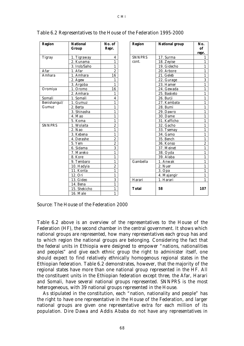| <b>Region</b> | <b>National</b><br><b>Group</b> | No. of<br>Repr.  | <b>Region</b> | <b>National group</b> | No.<br>of<br>repr. |
|---------------|---------------------------------|------------------|---------------|-----------------------|--------------------|
| <b>Tigray</b> | 1. Tigraway                     | 4                | <b>SNNPRS</b> | 17. Surma             | $\mathbf{1}$       |
|               | 2. Kunama                       | 1                | cont.         | 18. Zeyise            | 1                  |
|               | 3. Irob/Saho                    | $\mathbf{1}$     |               | 19. Gidecho           | 1                  |
| Afar          | 1. Afar                         | $\overline{c}$   |               | 20. Arbore            | 1                  |
| Amhara        | 1. Amhara                       | 16               |               | 21. Geleb             | 1                  |
|               | 2. Agew                         | 1                |               | 22. Gurage            | $\overline{3}$     |
|               | 3. Argoba                       | 1                |               | 23. Hamer             | 1                  |
| Oromiya       | 1. Oromo                        | 16               |               | 24. Gewada            | $\mathbf{1}$       |
|               | 2. Amhara                       | 1                |               | 25. Basketo           | 1                  |
| Somali        | 1. Somali                       | $\overline{4}$   |               | 26. Burji             | 1                  |
| Benishangul/  | 1. Gumuz                        | 1                |               | 27. Kambata           | $\mathbf{1}$       |
| Gumuz         | 2. Berta                        | 1                |               | 28. Bumi              | $\mathbf{1}$       |
|               | 3. Shinasha                     | 1                |               | 29. Dawro             | 1                  |
|               | 4. Mao                          | $\mathbf{1}$     |               | 30. Dame              | $\mathbf{1}$       |
|               | 5. Koma                         | $\mathbf{1}$     |               | 31. Kafficho          | 1                  |
| <b>SNNPRS</b> | 1. Wolaita                      | $\overline{c}$   |               | 32. Gacho             | 1                  |
|               | 2. Nao                          | 1                |               | 33. Tsemay            | $\mathbf{1}$       |
|               | 3. Kebena                       | 1                |               | 34. Gamo              | 1                  |
|               | 4. Derashe                      | $\overline{c}$   |               | 35. Bench             | 1                  |
|               | 5. Yem                          | $\overline{c}$   |               | 36. Konso             | $\overline{c}$     |
|               | 6. Sidama                       | 3                |               | 37. Meinet            | 1                  |
|               | 7. Mareko                       | 1                |               | 38. Oyda              | $\mathbf{1}$       |
|               | 8. Kore                         | $\mathbf{1}$     |               | 39. Alaba             | $\mathbf{1}$       |
|               | 9. Tembaro                      | 1                | Gambella      | 1. Anwak              | 1                  |
|               | 10. Hadyia                      | $\boldsymbol{2}$ |               | 2. Nuer               | $\mathbf{1}$       |
|               | 11. Konta                       | 1                |               | 3. Opa                | 1                  |
|               | 12. Ori                         | $\mathbf{1}$     |               | 4. Majangir           | $\mathbf{1}$       |
|               | 13. Gideo                       | 3                | Harari        | 1. Harari             | $\mathbf{1}$       |
|               | 14. Bena                        | 1                |               |                       |                    |
|               | 15. Shekicho                    | $\mathbf{1}$     | <b>Total</b>  | 58                    | 107                |
|               | 16. Male                        | $\mathbf{1}$     |               |                       |                    |

Table 6.2 Representatives to the House of the Federation 1995-2000

Source: The House of the Federation 2000

Table 6.2 above is an overview of the representatives to the House of the Federation (HF), the second chamber in the central government. It shows which national groups are represented, how many representatives each group has and to which region the national groups are belonging. Considering the fact that the federal units in Ethiopia were designed to empower "nations, nationalities and peoples" and give each ethnic group the right to administer itself, one should expect to find relatively ethnically homogenous regional states in the Ethiopian federation. Table 6.2 demonstrates, however, that the majority of the regional states have more than one national group represented in the HF. All the constituent units in the Ethiopian federation except three, the Afar, Harari and Somali, have several national groups represented. SNNPRS is the most heterogeneous, with 39 national groups represented in the House.

As stipulated in the constitution, each "nation, nationality and people" has the right to have one representative in the House of the Federation, and larger national groups are given one representative extra for each million of its population. Dire Dawa and Addis Ababa do not have any representatives in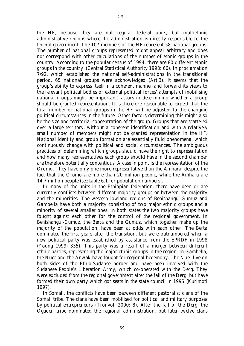the HF, because they are not regular federal units, but multiethnic administrative regions where the administration is directly responsible to the federal government. The 107 members of the HF represent 58 national groups. The number of national groups represented might appear arbitrary and does not correspond with other calculations of the number of ethnic groups in the country. According to the popular census of 1994, there are 80 different ethnic groups in the country (Central Statistical Authority 1998: 66). In proclamation 7/92, which established the national self-administrations in the transitional period, 65 national groups were acknowledged (Art.3). It seems that the group's ability to express itself in a coherent manner and forward its views to the relevant political bodies or external political forces' attempts of mobilising national groups might be important factors in determining whether a group should be granted representation. It is therefore reasonable to expect that the total number of national groups in the HF will be adjusted to the changing political circumstances in the future. Other factors determining this might also be the size and territorial concentration of the group. Groups that are scattered over a large territory, without a coherent identification and with a relatively small number of members might not be granted representation in the HF. National identity and group formation are essentially fluid phenomena, which continuously change with political and social circumstances. The ambiguous practices of determining which groups should have the right to representation and how many representatives each group should have in the second chamber are therefore potentially contentious. A case in point is the representation of the Oromo. They have only one more representative than the Amhara, despite the fact that the Oromo are more than 20 million people, while the Amhara are 14,7 million people (see table 6.1 for population numbers).

In many of the units in the Ethiopian federation, there have been or are currently conflicts between different majority groups or between the majority and the minorities. The western lowland regions of Benishangul-Gumuz and Gambella have both a majority consisting of two major ethnic groups and a minority of several smaller ones. In both states the two majority groups have fought against each other for the control of the regional government. In Benishangul-Gumuz, the Berta and the Gumuz, which together make up the majority of the population, have been at odds with each other. The Berta dominated the first years after the transition, but were outnumbered when a new political party was established by assistance from the EPRDF in 1998 (Young 1999: 335). This party was a result of a merger between different ethnic parties, representing the major ethnic groups in the region. In Gambella, the Nuer and the Anwak have fought for regional hegemony. The Nuer live on both sides of the Ethio-Sudanse border and have been involved with the Sudanese People's Liberation Army, which co-operated with the Derg. They were excluded from the regional government after the fall of the Derg, but have formed their own party which got seats in the state council in 1995 (Kurimoti 1997).

In Somali, the conflicts have been between different pastoralist clans of the Somali tribe. The clans have been mobilised for political and military purposes by political entrepreneurs (Tronvoll 2000: 8). After the fall of the Derg, the Ogaden tribe dominated the regional administration, but later twelve clans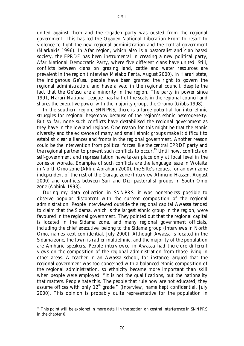united against them and the Ogaden party was ousted from the regional government. This has led the Ogaden National Liberation Front to resort to violence to fight the new regional administration and the central government (Markakis 1996). In Afar region, which also is a pastoralist and clan based society, the EPRDF has been instrumental in creating a new political party, Afar National Democratic Party, where five different clans have united. Still, conflicts between clans on grazing land, cattle and water resources are prevalent in the region (Interview Melako Fenta, August 2000). In Harari state, the indigenous Ge'usu people have been granted the right to govern the regional administration, and have a veto in the regional council, despite the fact that the Ge'usu are a minority in the region. The party in power since 1991, Harari National League, has half of the seats in the regional council and shares the executive power with the majority group, the Oromo (Gibbs 1998).

In the southern region, SNNPRS, there is a large potential for inter-ethnic struggles for regional hegemony because of the region's ethnic heterogeneity. But so far, none such conflicts have destabilised the regional government as they have in the lowland regions. One reason for this might be that the ethnic diversity and the existence of many and small ethnic groups make it difficult to establish clear alliances and fronts in the regional government. Another reason could be the intervention from political forces like the central EPRDF party and the regional partner to prevent such conflicts to occur.<sup>19</sup> Until now, conflicts on self-government and representation have taken place only at local level in the zones or *woreda*. Examples of such conflicts are the language issue in Wolaita in North Omo zone (Aklilu Abraham 2000), the Silte's request for an own zone independent of the rest of the Gurage zone (Interview Ahmend Hassen, August 2000) and conflicts between Suri and Dizi pastoralist groups in South Omo zone (Abbink 1993).

During my data collection in SNNPRS, it was nonetheless possible to observe popular discontent with the current composition of the regional administration. People interviewed outside the regional capital Awassa tended to claim that the Sidama, which is the largest ethnic group in the region, were favoured in the regional government. They pointed out that the regional capital is located in the Sidama zone, and many regional government officials, including the chief executive, belong to the Sidama group (Interviews in North Omo, names kept confidential, July 2000). Although Awassa is located in the Sidama zone, the town is rather multiethnic, and the majority of the population are Amharic speakers. People interviewed in Awassa had therefore different views on the composition of the regional administration from those living in other areas. A teacher in an Awassa school, for instance, argued that the regional government was too concerned with a balanced ethnic composition of the regional administration, so ethnicity became more important than skill when people were employed. "It is not the qualifications, but the nationality that matters. People hate this. The people that rule now are not educated, they assume offices with only  $12<sup>th</sup>$  grade." (Interview, name kept confidential, July 2000). This opinion is probably quite representative for the population in

 $19$  This point will be explored in more detail in the section on central interference in SNNPRS in the chapter 6.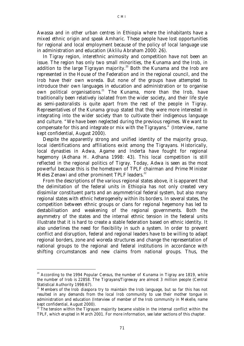Awassa and in other urban centres in Ethiopia where the inhabitants have a mixed ethnic origin and speak Amharic. These people have lost opportunities for regional and local employment because of the policy of local language use in administration and education (Aklilu Abraham 2000: 26).

In Tigray region, interethnic animosity and competition have not been an issue. The region has only two small minorities, the Kunama and the Irob, in addition to the large Tigrayan majority.<sup>20</sup> Both the Kunama and the Irob are represented in the House of the Federation and in the regional council, and the Irob have their own *woreda*. But none of the groups have attempted to introduce their own languages in education and administration or to organise own political organisations.<sup>21</sup> The Kunama, more than the Irob, have traditionally been relatively isolated from the wider society, and their life style as semi-pastoralists is quite apart from the rest of the people in Tigray. Representatives of the Kunama group stated that they were more interested in integrating into the wider society than to cultivate their indigenous language and culture. "We have been neglected during the previous regimes. We want to compensate for this and integrate or mix with the Tigrayans." (Interview, name kept confidential, August 2000).

Despite the apparently strong and unified identity of the majority group, local identifications and affiliations exist among the Tigrayans. Historically, local dynasties in Adwa, Agame and Inderta have fought for regional hegemony (Adhana H. Adhana 1998: 43). This local competition is still reflected in the regional politics of Tigray. Today, Adwa is seen as the most powerful because this is the hometown of TPLF chairman and Prime Minister Meles Zenawi and other prominent TPLF leaders.<sup>22</sup>

From the descriptions of the various regional states above, it is apparent that the delimitation of the federal units in Ethiopia has not only created very dissimilar constituent parts and an asymmetrical federal system, but also many regional states with ethnic heterogeneity within its borders. In several states, the competition between ethnic groups or clans for regional hegemony has led to destabilisation and weakening of the regional governments. Both the asymmetry of the states and the internal ethnic tension in the federal units illustrate that it is hard to create a stable federation based on ethnic identity. It also underlines the need for flexibility in such a system. In order to prevent conflict and disruption, federal and regional leaders have to be willing to adapt regional borders, zone and *woreda* structures and change the representation of national groups to the regional and federal institutions in accordance with shifting circumstances and new claims from national groups. Thus, the

 $20$  According to the 1994 Popular Census, the number of Kunama in Tigray are 1819, while the number of Irob is 22858. The Tigrayans/Tigreway are almost 3 million people (Central Statistical Authority 1998:67).

 $21$  Members of the Irob diaspora try to maintain the Irob language, but so far this has not resulted in any demands from the local Irob community to use their mother tongue in administration and education (Interview of member of the Irob community in Mekelle, name kept confidential, August 2000).

 $22 \text{ h}$  The tension within the Tigrayan majority became visible in the internal conflict within the TPLF, which erupted in March 2001. For more information, see later sections of this chapter.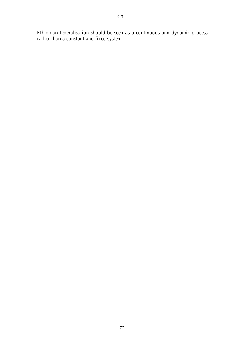Ethiopian federalisation should be seen as a continuous and dynamic process rather than a constant and fixed system.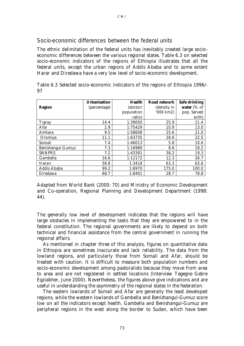#### *Socio-economic differences between the federal units*

The ethnic delimitation of the federal units has inevitably created large socioeconomic differences between the various regional states. Table 6.3 on selected socio-economic indicators of the regions of Ethiopia illustrates that all the federal units, except the urban regions of Addis Ababa and to some extent Harar and Diredawa have a very low level of socio-economic development.

|                   | <b>Urbanisation</b> | <b>Health</b> | Road network        | <b>Safe drinking</b> |
|-------------------|---------------------|---------------|---------------------|----------------------|
| <b>Region</b>     | (percentage)        | (doctor/      | (density in         | water ( $%$ of       |
|                   |                     | population    | $(000 \text{ km2})$ | pop. Served          |
|                   |                     | ratio)        |                     | with)                |
| <b>Tigray</b>     | 14.4                | 1:39050       | 25.9                | 21.4                 |
| Afar              | 2.9                 | 1:75429       | 10.9                | 13.0                 |
| Amhara            | 9.5                 | 1:58608       | 25.6                | 21.0                 |
| Oromiya           | 11.1                | 1:63735       | 28.6                | 22.5                 |
| Somali            | 7.4                 | 1:46013       | 5.8                 | 10.6                 |
| Benishangul-Gumuz | 7.3                 | 1:16989       | 8.6                 | 18.2                 |
| <b>SNNPRS</b>     | 7.2                 | 1:43391       | 38.2                | 19.3                 |
| Gambella          | 16.6                | 1:12172       | 12.3                | 26.7                 |
| Harari            | 58.8                | 1:3418        | 63.3                | 63.6                 |
| Addis Ababa       | 99.2                | 1:6970        | 175.0               | 100.0                |
| Diredawa          | 68.7                | 1:8401        | 28.7                | 78.8                 |

Table 6.3 Selected socio-economic indicators of the regions of Ethiopia 1996/- 97

Adapted from World Bank (2000: 70) and Ministry of Economic Development and Co-operation, Regional Planning and Development Department (1998: 44).

The generally low level of development indicates that the regions will have large obstacles in implementing the tasks that they are empowered to in the federal constitution. The regional governments are likely to depend on both technical and financial assistance from the central government in running the regional affairs.

As mentioned in chapter three of this analysis, figures on quantitative data in Ethiopia are sometimes inaccurate and lack reliability. The data from the lowland regions, and particularly those from Somali and Afar, should be treated with caution. It is difficult to measure both population numbers and socio-economic development among pastoralists because they move from area to area and are not registered in settled locations (Interview Tegegne Gebre Egziabher, June 2000). Nevertheless, the figures above give indications and are useful in understanding the asymmetry of the regional states in the federation.

The eastern lowlands of Somali and Afar are generally the least developed regions, while the western lowlands of Gambella and Benishangul-Gumuz score low on all the indicators except health. Gambella and Benishangul-Gumuz are peripheral regions in the west along the border to Sudan, which have been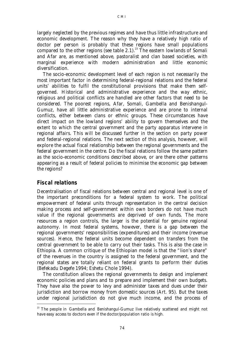largely neglected by the previous regimes and have thus little infrastructure and economic development. The reason why they have a relatively high ratio of doctor per person is probably that these regions have small populations compared to the other regions (see table 2.1).<sup>23</sup> The eastern lowlands of Somali and Afar are, as mentioned above, pastoralist and clan based societies, with marginal experience with modern administration and little economic diversification.

The socio-economic development level of each region is not necessarily the most important factor in determining federal-regional relations and the federal units' abilities to fulfil the constitutional provisions that make them selfgoverned. Historical and administrative experience and the way ethnic, religious and political conflicts are handled are other factors that need to be considered. The poorest regions, Afar, Somali, Gambella and Benishangul-Gumuz, have all little administrative experience and are prone to internal conflicts, either between clans or ethnic groups. These circumstances have direct impact on the lowland regions' ability to govern themselves and the extent to which the central government and the party apparatus intervene in regional affairs. This will be discussed further in the section on party power and federal-regional relations. The next section of this analysis, however, will explore the actual fiscal relationship between the regional governments and the federal government in the centre. Do the fiscal relations follow the same pattern as the socio-economic conditions described above, or are there other patterns appearing as a result of federal policies to minimise the economic gap between the regions?

## **Fiscal relations**

Decentralisation of fiscal relations between central and regional level is one of the important preconditions for a federal system to work. The political empowerment of federal units through representation in the central decision making process and self-government within own borders do not have much value if the regional governments are deprived of own funds. The more resources a region controls, the larger is the potential for genuine regional autonomy. In most federal systems, however, there is a gap between the regional governments' responsibilities (expenditures) and their income (revenue sources). Hence, the federal units become dependent on transfers from the central government to be able to carry out their tasks. This is also the case in Ethiopia. A common critique of the Ethiopian model is that the "lion's share" of the revenues in the country is assigned to the federal government, and the regional states are totally reliant on federal grants to perform their duties (Befekadu Degefe 1994; Eshetu Chole 1994).

The constitution allows the regional governments to design and implement economic policies and plans and to prepare and implement their own budgets. They have also the power to levy and administer taxes and dues under their jurisdiction and borrow money from domestic sources (Art. 95). But the taxes under regional jurisdiction do not give much income, and the process of

 $23$  The people in Gambella and Benishangul-Gumuz live relatively scattered and might not have easy access to doctors even if the doctor/population ratio is high.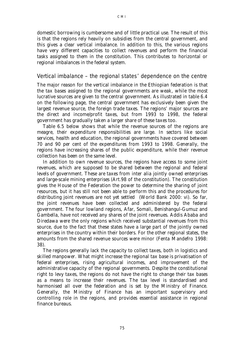domestic borrowing is cumbersome and of little practical use. The result of this is that the regions rely heavily on subsidies from the central government, and this gives a clear vertical imbalance. In addition to this, the various regions have very different capacities to collect revenues and perform the financial tasks assigned to them in the constitution. This contributes to horizontal or regional imbalances in the federal system.

### *Vertical imbalance – the regional states' dependence on the centre*

The major reason for the vertical imbalance in the Ethiopian federation is that the tax bases assigned to the regional governments are weak, while the most lucrative sources are given to the central government. As illustrated in table 6.4 on the following page, the central government has exclusively been given the largest revenue source, the foreign trade taxes. The regions' major sources are the direct and income/profit taxes, but from 1993 to 1998, the federal government has gradually taken a larger share of these taxes too.

Table 6.5 below shows that while the revenue sources of the regions are meagre, their expenditure responsibilities are large. In sectors like social services, health and education, the regional governments have covered between 70 and 90 per cent of the expenditures from 1993 to 1998. Generally, the regions have increasing shares of the public expenditure, while their revenue collection has been on the same level.

In addition to own revenue sources, the regions have access to some joint revenues, which are supposed to be shared between the regional and federal levels of government. These are taxes from *inter alia* jointly owned enterprises and large-scale mining enterprises (Art.98 of the constitution). The constitution gives the House of the Federation the power to determine the sharing of joint resources, but it has still not been able to perform this and the procedures for distributing joint revenues are not yet settled (World Bank 2000: vi). So far, the joint revenues have been collected and administered by the federal government. The four lowland regions, Afar, Somali, Benishangul-Gumuz and Gambella, have not received any shares of the joint revenues. Addis Ababa and Diredawa were the only regions which received substantial revenues from this source, due to the fact that these states have a large part of the jointly owned enterprises in the country within their borders. For the other regional states, the amounts from the shared revenue sources were minor (Fenta Mandefro 1998: 38).

The regions generally lack the capacity to collect taxes, both in logistics and skilled manpower. What might increase the regional tax base is privatisation of federal enterprises, rising agricultural incomes, and improvement of the administrative capacity of the regional governments. Despite the constitutional right to levy taxes, the regions do not have the right to change their tax bases as a means to increase their revenues. The tax level is standardised and harmonised all over the federation and is set by the Ministry of Finance. Generally, the Ministry of Finance has an important supervisory and controlling role in the regions, and provides essential assistance in regional finance bureaus.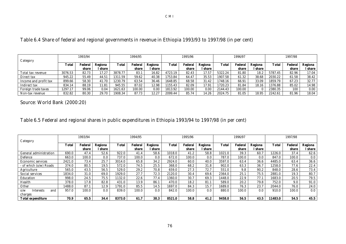| Category              |         | 1993/94 |         |              | 1994/95 |         |              | 1995/96 |         |              | 1996/97 |         |         | 1997/98 |         |
|-----------------------|---------|---------|---------|--------------|---------|---------|--------------|---------|---------|--------------|---------|---------|---------|---------|---------|
|                       | Total   | Federa  | Regiona | <b>Total</b> | Federal | Regiona | <b>Total</b> | Federal | Regiona | <b>Total</b> | Federal | Regiona | Total   | Federal | Regiona |
|                       |         | share   | l share |              | share   | ı share |              | share   | i share |              | share   | i share |         | share   | l share |
| Total tax revenue     | 3076.53 | 82.73   | 17.27   | 3878.77      | 83.1    | 16.82   | 4723.19      | 82.43   | 17.57   | 5322.24      | 81.80   | 18.2    | 5787.45 | 82.96   | 17.04   |
| Direct tax            | 945.22  | 55.49   | 44.51   | 1311.59      | 59.62   | 40.38   | 1753.84      | 64.47   | 35.53   | 1907.58      | 61.32   | 38.68   | 2030.22 | 61.58   | 38.42   |
| Income and profit tax | 899.66  | 58.30   | 41.70   | 1230.79      | 63.54   | 36.46   | 1648.85      | 68.58   | 31.42   | 1748.16      | 66.91   | 33.09   | 1859.79 | 67.23   | 32.77   |
| Indirect tax          | 834.14  | 88.19   | 11.81   | 945.55       | 87.02   | 12.98   | 155.43       | 82.09   | 17.91   | 1720.23      | 81.84   | 18.16   | 1376.88 | 85.02   | 14.98   |
| Foreign trade taxes   | 1297.17 | 99.06   | 0.04    | 1621.63      | 100.00  | 0.00    | 1813.92      | 100.00  | 0.00    | 2144.43      | 100.00  |         | 2380.35 | 100     | 0.00    |
| Non-tax revenue       | 832.82  | 80.30   | 29.70   | 1908.34      | 87.73   | 12.27   | 2099.44      | 85.74   | 4.26    | 2024.75      | 81.05   | 18.95   | 2242.61 | 81.96   | 18.04   |

Table 6.4 Share of federal and regional governments in revenue in Ethiopia 1993/93 to 1997/98 (in per cent)

Source: World Bank (2000:20)

# Table 6.5 Federal and regional shares in public expenditures in Ethiopia 1993/94 to 1997/98 (in per cent)

| Category                 |              | 1993/94          |                    |        | 1994/95          |                    |        | 1995/96                 |                    |              | 1996/97                 |                    |         | 1997/98                 |                    |
|--------------------------|--------------|------------------|--------------------|--------|------------------|--------------------|--------|-------------------------|--------------------|--------------|-------------------------|--------------------|---------|-------------------------|--------------------|
|                          | <b>Total</b> | Federal<br>share | Regiona<br>l share | Total  | Federal<br>share | Regiona<br>l share | Total  | <b>Federal</b><br>share | Regiona<br>l share | <b>Total</b> | <b>Federal</b><br>share | Regiona<br>l share | Total   | <b>Federal</b><br>share | Regiona<br>l share |
| General administration   | 690.0        | 47.4             | 52.6               | 922.0  | 41.4             | 58.6               | 1018.0 | 41.2                    | 58.8               | 1021.0       | 39.3                    | 60.7               | 1226.0  | 37.4                    | 62.6               |
| Defence                  | 663.0        | 100.0            | 0.0                | 737.0  | 100.0            | 0.0                | 672.0  | 100.0                   | 0.0                | 787.0        | 100.0                   | 0.0                | 847.0   | 100.0                   | 0.0                |
| <b>Economic services</b> | 2421.0       | 73.4             | 25.7               | 3014.0 | 65.8             | 34.2               | 2924.0 | 60.0                    | 40.0               | 3597.0       | 63.4                    | 36.6               | 4485.0  | 63.4                    | 36.6               |
| - of which (o/w) Roads   | 374.0        | 80.5             | 19.5               | 572.0  | 74.5             | 25.5               | 368.0  | 68.2                    | 31.8               | 902.0        | 63.3                    | 36.7               | 1258.0  | 77.6                    | 22.4               |
| Agriculture              | 565.0        | 43.5             | 56.5               | 529.0  | 29.2             | 70.8               | 659.0  | 27.3                    | 72.7               | 551.0        | 9.8                     | 90.2               | 848.0   | 28.6                    | 73.4               |
| Social services          | 1834.0       | 31.0             | 69.0               | 1929.0 | 27.7             | 72.3               | 2120.0 | 30.4                    | 69.6               | 2364.0       | 25.1                    | 75.5               | 2881.0  | 19.3                    | 80.7               |
| Education                | 998.0        | 24.5             | 75.5               | 1132.0 | 22.6             | 77.4               | 1360.0 | 30.7                    | 69.3               | 1448.0       | 22.9                    | 77.1               | 1683.0  | 20.5                    | 79.5               |
| Health                   | 378.0        | 17.8             | 82.8               | 431.0  | 13.9             | 86.1               | 470.0  | 18.2                    | 81.1               | 589.0        | 20.2                    | 79.8               | 752.0   | 9.0                     | 91.0               |
| Other                    | 1488.0       | 87.1             | 12.9               | 1791.0 | 85.5             | 14.5               | 1697.0 | 84.3                    | 15.7               | 1689.0       | 76.3                    | 23.7               | 2044.0  | 76.0                    | 24.0               |
| Interests<br>and<br>O/W  | 957.0        | 100.0            | 0.0                | 839.0  | 100.0            | 0.0                | 842.0  | 100.0                   | 0.0                | 880.0        | 100.0                   | 0.0                | 910.0   | 100.0                   | 0.0                |
| charges                  |              |                  |                    |        |                  |                    |        |                         |                    |              |                         |                    |         |                         |                    |
| <b>Total expenditure</b> | 70.9         | 65.5             | 34.4               | 8373.0 | 61.7             | 38.3               | 8521.0 | 58.8                    | 41.2               | 9458.0       | 56.5                    | 43.5               | 11483.0 | 54.5                    | 45.5               |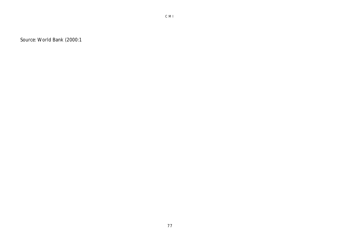Source: World Bank (2000:1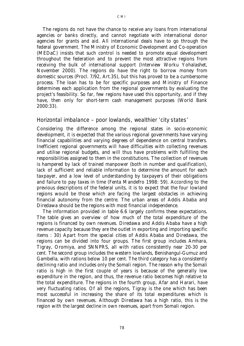The regions do not have the chance to receive any loans from international agencies or banks directly, and cannot negotiate with international donor agencies for grants and aid. All international deals have to go through the federal government. The Ministry of Economic Development and Co-operation (MEDaC) insists that such control is needed to promote equal development throughout the federation and to prevent the most attractive regions from receiving the bulk of international support (Interview Worku Yohalashet, November 2000). The regions do have the right to borrow money from domestic sources (Procl. 7/92, Art.35), but this has proved to be a cumbersome process. The loan has to be for specific purposes and Ministry of Finance determines each application from the regional governments by evaluating the project's feasibility. So far, few regions have used this opportunity, and if they have, then only for short-term cash management purposes (World Bank 2000:33).

#### *Horizontal imbalance – poor lowlands, wealthier 'city states'*

Considering the difference among the regional states in socio-economic development, it is expected that the various regional governments have varying financial capabilities and varying degrees of dependence on central transfers. Inefficient regional governments will have difficulties with collecting revenues and utilise regional budgets, and will thus have problems with fulfilling the responsibilities assigned to them in the constitutions. The collection of revenues is hampered by lack of trained manpower (both in number and qualification), lack of sufficient and reliable information to determine the amount for each taxpayer, and a low level of understanding by taxpayers of their obligations and failure to pay taxes in time (Fenta Mandefro 1998: 59). According to the previous descriptions of the federal units, it is to expect that the four lowland regions would be those which are facing the largest obstacles in achieving financial autonomy from the centre. The urban areas of Addis Ababa and Diredawa should be the regions with most financial independence.

The information provided in table 6.6 largely confirms these expectations. The table gives an overview of how much of the total expenditure of the regions is financed by own revenues. Diredawa and Addis Ababa have a high revenue capacity because they are the outlet in exporting and importing specific items : 30) Apart from the special cities of Addis Ababa and Diredawa, the regions can be divided into four groups. The first group includes Amhara, Tigray, Oromiya, and SNNPRS, all with ratios consistently near 20-30 per cent. The second group includes the western lowlands, Benishangul-Gumuz and Gambella, with rations below 10 per cent. The third category has a consistently declining ratio and includes only the Somali region. The reason why the Somali ratio is high in the first couple of years is because of the generally low expenditure in the region, and thus, the revenue ratio becomes high relative to the total expenditure. The regions in the fourth group, Afar and Harari, have very fluctuating ratios. Of all the regions, Tigray is the one which has been most successful in increasing the share of its total expenditures which is financed by own revenues. Although Diredawa has a high ratio, this is the region with the largest decline in own revenues, apart from Somali region.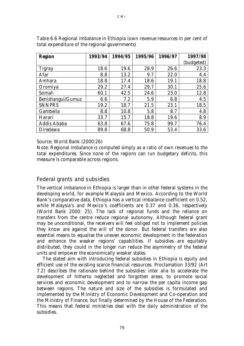| <b>Region</b>     | 1993/94 | 1994/95 | 1995/96 | 1996/97 | 1997/98<br>(budgeted) |
|-------------------|---------|---------|---------|---------|-----------------------|
| <b>Tigray</b>     | 18.6    | 19.6    | 28.9    | 26.6    | 23.3                  |
| Afar              | 8.8     | 13.2    | 9.7     | 22.0    | 4.4                   |
| Amhara            | 18.8    | 17.4    | 18.6    | 19.1    | 18.8                  |
| Oromiya           | 29.2    | 27.4    | 29.7    | 30.1    | 25.6                  |
| Somali            | 60.1    | 42.5    | 24.6    | 23.0    | 12.8                  |
| Benishangul/Gumuz | 6.6     | 7.2     | 5.9     | 6.8     | 4.5                   |
| <b>SNNPRS</b>     | 19.2    | 18.7    | 21.5    | 23.1    | 18.5                  |
| Gambella          | 8.8     | 10.8    | 5.8     | 8.7     | 4.8                   |
| Harari            | 33.7    | 15.7    | 18.8    | 19.6    | 8.9                   |
| Addis Ababa       | 63.8    | 67.6    | 75.8    | 99.7    | 76.4                  |
| Diredawa          | 89.8    | 68.8    | 50.9    | 53.4    | 33.6                  |

Table 6.6 Regional imbalance in Ethiopia (own revenue resources in per cent of total expenditure of the regional governments)

#### Source: World Bank (2000:26)

Note: Regional imbalance is computed simply as a ratio of own revenues to the total expenditures. Since none of the regions can run budgetary deficits, this measure is comparable across regions.

## *Federal grants and subsidies*

The vertical imbalance in Ethiopia is larger than in other federal systems in the developing world, for example Malaysia and Mexico. According to the World Bank's comparative data, Ethiopia has a vertical imbalance coefficient on 0.52, while Malaysia's and Mexico's coefficients are 0.37 and 0.36, respectively (World Bank 2000: 25). The lack of regional funds and the reliance on transfers from the centre reduce regional autonomy. Although federal grant may be unconditional, the receivers will feel obliged not to implement policies they know are against the will of the donor. But federal transfers are also essential means to equalise the uneven economic development in the federation and enhance the weaker regions' capabilities. If subsidies are equitably distributed, they could in the longer run reduce the asymmetry of the federal units and empower the economically weaker states.

The stated aim with introducing federal subsidies in Ethiopia is equity and efficient use of the existing scarce financial resources. Proclamation 33/92 (Art 7.2) describes the rationale behind the subsidies: *inter alia* to accelerate the development of hitherto neglected and forgotten areas, to promote social services and economic development and to narrow the per capita income gap between regions. The nature and size of the subsidies is formulated and implemented by the Ministry of Economic Development and Co-operation and the Ministry of Finance, but finally determined by the House of the Federation. This means that federal ministries deal with the daily administration of the subsidies.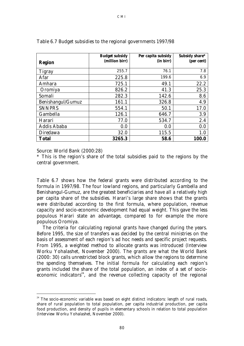| <b>Region</b>     | <b>Budget subsidy</b><br>(million birr) | Per capita subsidy<br>(in birr) | Subsidy share*<br>(per cent) |
|-------------------|-----------------------------------------|---------------------------------|------------------------------|
| <b>Tigray</b>     | 255.7                                   | 76.1                            | 7.8                          |
| Afar              | 225.8                                   | 199.6                           | 6.9                          |
| Amhara            | 725.1                                   | 49.1                            | 22.2                         |
| Oromiya           | 826.2                                   | 41.3                            | 25.3                         |
| Somali            | 282.3                                   | 142.6                           | 8.6                          |
| Benishangul/Gumuz | 161.1                                   | 326.8                           | 4.9                          |
| <b>SNNPRS</b>     | 554.1                                   | 50.1                            | 17.0                         |
| Gambella          | 126.1                                   | 646.7                           | 3.9                          |
| Harari            | 77.0                                    | 534.7                           | 2.4                          |
| Addis Ababa       | 0.0                                     | 0.0                             | 0.0                          |
| Diredawa          | 32.0                                    | 115.5                           | 1.0                          |
| Total             | 3265.3                                  | 58.6                            | 100.0                        |

#### Table 6.7 Budget subsidies to the regional governments 1997/98

Source: World Bank (2000:28)

 $\overline{a}$ 

\* This is the region's share of the total subsidies paid to the regions by the central government.

Table 6.7 shows how the federal grants were distributed according to the formula in 1997/98. The four lowland regions, and particularly Gambella and Benishangul-Gumuz, are the greatest beneficiaries and have all a relatively high per capita share of the subsidies. Harari's large share shows that the grants were distributed according to the first formula, where population, revenue capacity and socio-economic development had equal weight. This gave the less populous Harari state an advantage, compared to for example the more populous Oromiya.

The criteria for calculating regional grants have changed during the years. Before 1995, the size of transfers was decided by the central ministries on the basis of assessment of each region's *ad hoc* needs and specific project requests. From 1995, a weighted method to allocate grants was introduced (Interview Worku Yohalashet, November 2000). The grants are what the World Bank (2000: 30) calls unrestricted block grants, which allow the regions to determine the spending themselves. The initial formula for calculating each region's grants included the share of the total population, an index of a set of socioeconomic indicators<sup>24</sup>, and the revenue collecting capacity of the regional

 $24$  The socio-economic variable was based on eight distinct indicators: length of rural roads, share of rural population to total population, per capita industrial production, per capita food production, and density of pupils in elementary schools in relation to total population (Interview Worku Yohalashet, November 2000).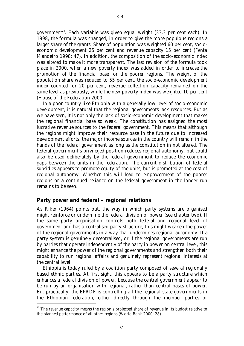government<sup>25</sup>. Each variable was given equal weight (33.3 per cent each). In 1998, the formula was changed, in order to give the more populous regions a larger share of the grants. Share of population was weighted 60 per cent, socioeconomic development 25 per cent and revenue capacity 15 per cent (Fenta Mandefro 1998: 47). In addition, the composition of the socio-economic index was altered to make it more transparent. The last revision of the formula took place in 2000, when a new poverty index was added in order to increase the promotion of the financial base for the poorer regions. The weight of the population share was reduced to 55 per cent, the socio-economic development index counted for 20 per cent, revenue collection capacity remained on the same level as previously, while the new poverty index was weighted 10 per cent (House of the Federation 2000.

In a poor country like Ethiopia with a generally low level of socio-economic development, it is natural that the regional governments lack resources. But as we have seen, it is not only the lack of socio-economic development that makes the regional financial base so weak. The constitution has assigned the most lucrative revenue sources to the federal government. This means that although the regions might improve their resource base in the future due to increased development efforts, the major income sources in the country will remain in the hands of the federal government as long as the constitution in not altered. The federal government's privileged position reduces regional autonomy, but could also be used deliberately by the federal government to reduce the economic gaps between the units in the federation. The current distribution of federal subsidies appears to promote equity of the units, but is promoted at the cost of regional autonomy. Whether this will lead to empowerment of the poorer regions or a continued reliance on the federal government in the longer run remains to be seen.

#### **Party power and federal – regional relations**

 $\overline{a}$ 

As Riker (1964) points out, the way in which party systems are organised might reinforce or undermine the federal division of power (see chapter two). If the same party organisation controls both federal and regional level of government and has a centralised party structure, this might weaken the power of the regional governments in a way that undermines regional autonomy. If a party system is genuinely decentralised, or if the regional governments are run by parties that operate independently of the party in power on central level, this might enhance the power of the regional governments and strengthen both their capability to run regional affairs and genuinely represent regional interests at the central level.

Ethiopia is today ruled by a coalition party composed of several regionally based ethnic parties. At first sight, this appears to be a party structure which enhances a federal division of power, because the central government appear to be run by an organisation with regional, rather than central bases of power. But practically, the EPRDF is controlling all the regional state governments in the Ethiopian federation, either directly through the member parties or

 $25$  The revenue capacity means the region's projected share of revenue in its budget relative to the planned performance of all other regions (World Bank 2000: 28).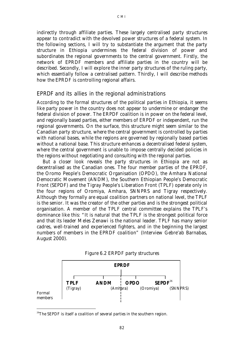indirectly through affiliate parties. These largely centralised party structures appear to contradict with the devolved power structures of a federal system. In the following sections, I will try to substantiate the argument that the party structure in Ethiopia undermines the federal division of power and subordinates the regional governments to the central government. Firstly, the network of EPRDF members and affiliate parties in the country will be described. Secondly, I will explore the inner party structures of the ruling party, which essentially follow a centralised pattern. Thirdly, I will describe methods how the EPRDF is controlling regional affairs.

#### *EPRDF and its allies in the regional administrations*

According to the formal structures of the political parties in Ethiopia, it seems like party power in the country does not appear to undermine or endanger the federal division of power. The ERPDF coalition is in power on the federal level, and regionally based parties, either members of ERPDF or independent, run the regional governments. On the surface, this structure might seem similar to the Canadian party structure, where the central government is controlled by parties with national bases, while the regions are governed by regionally based parties without a national base. This structure enhances a decentralised federal system, where the central government is unable to impose centrally decided policies in the regions without negotiating and consulting with the regional parties.

But a closer look reveals the party structures in Ethiopia are not as decentralised as the Canadian ones. The four member parties of the EPRDF, the Oromo People's Democratic Organisation (OPDO), the Amhara National Democratic Movement (ANDM), the Southern Ethiopian People's Democratic Front (SEPDF) and the Tigray People's Liberation Front (TPLF) operate only in the four regions of Oromiya, Amhara, SNNPRS and Tigray respectively. Although they formally are equal coalition partners on national level, the TPLF is the senior. It was the creator of the other parties and is the strongest political organisation. A member of the TPLF central committee explains the TPLF's dominance like this: "It is natural that the TPLF is the strongest political force and that its leader Meles Zenawi is the national leader. TPLF has many senior cadres, well-trained and experienced fighters, and in the beginning the largest numbers of members in the EPRDF coalition" (Interview Gebre'ab Barnabas, August 2000).

Figure 6.2 ERPDF party structures



 $26$ <sup>26</sup>The SEPDF is itself a coalition of several parties in the southern region.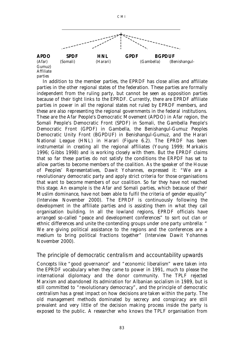

CMI

In addition to the member parties, the EPRDF has close allies and affiliate parties in the other regional states of the federation. These parties are formally independent from the ruling party, but cannot be seen as opposition parties because of their tight links to the EPRDF. Currently, there are EPRDF affiliate parties in power in all the regional states not ruled by EPRDF members, and these are also representing the regional governments in the federal institutions. These are the Afar People's Democratic Movement (APDO) in Afar region, the Somali People's Democratic Front (SPDF) in Somali, the Gambella People's Democratic Front (GPDF) in Gambella, the Benishangul-Gumuz Peoples Democratic Unity Front (BGPDUF) in Benishangul-Gumuz, and the Harari National League (HNL) in Harari (Figure 6.2). The EPRDF has been instrumental in creating all the regional affiliates (Young 1999; Markakis 1996; Gibbs 1998) and is working closely with them. But the EPRDF claims that so far these parties do not satisfy the conditions the ERPDF has set to allow parties to become members of the coalition. As the speaker of the House of Peoples' Representatives, Dawit Yohannes, expressed it: "We are a revolutionary democratic party and apply strict criteria for those organisations that want to become members of our coalition. So far they have not reached this stage. An example is the Afar and Somali parties, which because of their Muslim dominance, have not been able to fulfil the criteria of gender equality" (Interview November 2000). The EPRDF is continuously following the development in the affiliate parties and is assisting them in what they call organisation building. In all the lowland regions, EPRDF officials have arranged so-called "peace and development conferences" to sort out clan or ethnic differences and unite the contending groups under one party umbrella: " We are giving political assistance to the regions and the conferences are a medium to bring political fractions together" (Interview Dawit Yohannes November 2000).

#### *The principle of democratic centralism and accountability upwards*

Concepts like "good governance" and "economic liberalism" were taken into the EPRDF vocabulary when they came to power in 1991, much to please the international diplomacy and the donor community. The TPLF rejected Marxism and abandoned its admiration for Albanian socialism in 1989, but is still committed to "revolutionary democracy", and the principle of democratic centralism has a great impact on how decisions are taken within the party. The old management methods dominated by secrecy and conspiracy are still prevalent and very little of the decision making process inside the party is exposed to the public. A researcher who knows the TPLF organisation from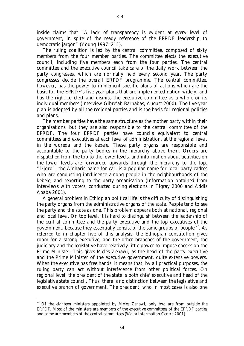inside claims that "A lack of transparency is evident at every level of government, in spite of the ready reference of the EPRDF leadership to democratic jargon" (Young 1997: 211).

The ruling coalition is led by the central committee, composed of sixty members from the four member parties. The committee elects the executive council, including five members each from the four parties. The central committee and the executive council take care of the daily work between the party congresses, which are normally held every second year. The party congresses decide the overall ERPDF programme. The central committee, however, has the power to implement specific plans of actions which are the basis for the EPRDF's five-year plans that are implemented nation widely, and has the right to elect and dismiss the executive committee as a whole or its individual members (Interview Gibre'ab Barnabas, August 2000). The five-year plan is adopted by all the regional parties and is the basis for regional policies and plans.

The member parties have the same structure as the mother party within their organisations, but they are also responsible to the central committee of the EPRDF. The four EPRDF parties have councils equivalent to central committees and executives at each level of administration, at the regional level, in the *woreda* and the *kebele*. These party organs are responsible and accountable to the party bodies in the hierarchy above them. Orders are dispatched from the top to the lower levels, and information about activities on the lower levels are forwarded upwards through the hierarchy to the top. "*Djoro*", the Amharic name for ear, is a popular name for local party cadres who are conducting intelligence among people in the neighbourhoods of the *kebele,* and reporting to the party organisation (Information obtained from interviews with voters, conducted during elections in Tigray 2000 and Addis Ababa 2001).

A general problem in Ethiopian political life is the difficulty of distinguishing the party organs from the administrative organs of the state. People tend to see the party and the state as one. This problem appears both at national, regional and local level. On top level, it is hard to distinguish between the leadership of the central committee and the party executive and the top executives of the government, because they essentially consist of the same groups of people  $27$ . As referred to in chapter five of this analysis, the Ethiopian constitution gives room for a strong executive, and the other branches of the government, the judiciary and the legislative have relatively little power to impose checks on the Prime Minister. This gives Meles Zenawi, as the head of the party executive and the Prime Minister of the executive government, quite extensive powers. When the executive has free hands, it means that, by all practical purposes, the ruling party can act without interference from other political forces. On regional level, the president of the state is both chief executive and head of the legislative state council. Thus, there is no distinction between the legislative and executive branch of government. The president, who in most cases is also one

 $27$  Of the eighteen ministers appointed by Meles Zenawi, only two are from outside the ERPDF. Most of the ministers are members of the executive committees of the EPRDF parties and some are members of the central committees (Walta Information Centre 2001)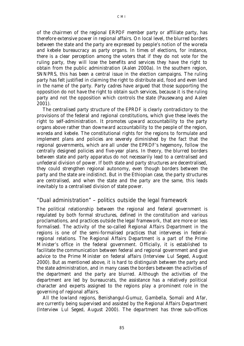of the chairmen of the regional ERPDF member party or affiliate party, has therefore extensive power in regional affairs. On local level, the blurred borders between the state and the party are expressed by people's notion of the *woreda* and *kebele* bureaucracy as party organs. In times of elections, for instance, there is a clear perception among the voters that if they do not vote for the ruling party, they will lose the benefits and services they have the right to obtain from the public administration (Aalen 2000a). In the southern region, SNNPRS, this has been a central issue in the election campaigns. The ruling party has felt justified in claiming the right to distribute aid, food and even land in the name of the party. Party cadres have argued that those supporting the opposition do not have the right to obtain such services, because it is the ruling party and not the opposition which controls the state (Pausewang and Aalen 2001).

The centralised party structure of the EPRDF is clearly contradictory to the provisions of the federal and regional constitutions, which give these levels the right to self-administration. It promotes upward accountability to the party organs above rather than downward accountability to the people of the region, *woreda* and *kebele*. The constitutional rights for the regions to formulate and implement plans and policies are severely diminished by the fact that the regional governments, which are all under the EPRDF's hegemony, follow the centrally designed policies and five-year plans. In theory, the blurred borders between state and party apparatus do not necessarily lead to a centralised and unfederal division of power. If both state and party structures are decentralised, they could strengthen regional autonomy, even though borders between the party and the state are indistinct. But in the Ethiopian case, the party structures are centralised, and when the state and the party are the same, this leads inevitably to a centralised division of state power.

#### *"Dual administration" – politics outside the legal framework*

The political relationship between the regional and federal government is regulated by both formal structures, defined in the constitution and various proclamations, and practices outside the legal framework, that are more or less formalised. The activity of the so-called Regional Affairs Department in the regions is one of the semi-formalised practices that intervenes in federalregional relations. The Regional Affairs Department is a part of the Prime Minister's office in the federal government. Officially, it is established to facilitate the communication between federal and regional government and give advice to the Prime Minister on federal affairs (Interview Lul Seged, August 2000). But as mentioned above, it is hard to distinguish between the party and the state administration, and in many cases the borders between the activities of the department and the party are blurred. Although the activities of the department are led by bureaucrats, the assistance has a relatively political character and experts assigned to the regions play a prominent role in the governing of regional affairs.

All the lowland regions, Benishangul-Gumuz, Gambella, Somali and Afar, are currently being supervised and assisted by the Regional Affairs Department (Interview Lul Seged, August 2000). The department has three sub-offices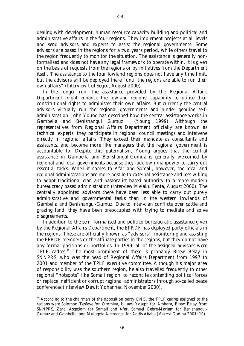dealing with development, human resource capacity building and political and administrative affairs in the four regions. They implement projects at all levels and send advisors and experts to assist the regional governments. Some advisors are based in the regions for a two years period, while others travel to the region frequently to monitor the situation. The assistance is generally nonformalised and does not have any legal framework to operate within. It is given on the basis of requests from the regions or by initiatives from the Department itself. The assistance to the four lowland regions does not have any time limit, but the advisors will be deployed there "until the regions are able to run their own affairs" (Interview Lul Seged, August 2000).

In the longer run, the assistance provided by the Regional Affairs Department might enhance the lowland regions' capability to utilise their constitutional rights to administer their own affairs. But currently the central advisors virtually run the regional governments and hinder genuine selfadministration. John Young has described how the central assistance works in Gambella and Benishangul Gumuz (Young 1999). Although the representatives from Regional Affairs Department officially are known as technical experts, they participate in regional council meetings and intervene directly in regional affairs. They exceed their mandate as consultants and assistants, and become more like managers that the regional government is accountable to. Despite this paternalism, Young argues that the central assistance in Gambella and Benishangul-Gumuz is generally welcomed by regional and local governments because they lack own manpower to carry out essential tasks. When it comes to Afar and Somali, however, the local and regional administrations are more hostile to external assistance and less willing to adapt traditional clan and pastoralist based authority to a more modern bureaucracy based administration (Interview Melaku Fenta, August 2000). The centrally appointed advisors there have been less able to carry out purely administrative and governmental tasks than in the western lowlands of Gambella and Benishangul-Gumuz. Due to inter-clan conflicts over cattle and grazing land, they have been preoccupied with trying to mediate and solve disagreements.

In addition to the semi-formalised and politico-bureaucratic assistance given by the Regional Affairs Department, the EPRDF has deployed party officials in the regions. These are officially known as "advisors", monitoring and assisting the EPRDF members or the affiliate parties in the regions, but they do not have any formal positions or portfolios. In 1999, all of the assigned advisors were TPLF cadres.*<sup>28</sup>* The most prominent of these is probably Bitew Belay in SNNPRS, who was the head of Regional Affairs Department from 1997 to 2001 and member of the TPLF executive committee. Although his major area of responsibility was the southern region, he also travelled frequently to other regional "hotspots" like Somali region, to reconcile contending political forces or replace inefficient or corrupt regional administrators through so-called peace conferences (Interview Dawit Yohannes, November 2000).

 $28$  According to the chairman of the opposition party ONC, the TPLF cadres assigned to the regions were Solomon Tesfaye for Oromiya, Hilawi Yoseph for Amhara, Bitew Belay from SNNPRS, Zarai Asgedom for Somali and Afar, Samuel Gebre-Mariam for Benishangul-Gumuz and Gambella, and Mulugeta Alemseged for Addis Ababa (Merera Gudina 2001: 10).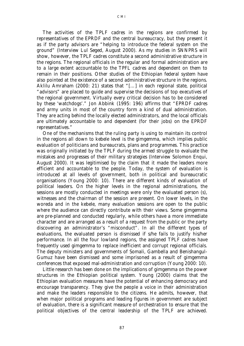CMI

The activities of the TPLF cadres in the regions are confirmed by representatives of the EPRDF and the central bureaucracy, but they present it as if the party advisors are "helping to introduce the federal system on the ground" (Interview Lul Seged, August 2000). As my studies in SNNPRS will show, however, the TPLF cadres constitute a second administrative structure in the regions. The regional officials in the regular and formal administration are to a large extent accountable to the TPFL cadres and dependent on them to remain in their positions. Other studies of the Ethiopian federal system have also pointed at the existence of a second administrative structure in the regions. Aklilu Amraham (2000: 21) states that "[…] in each regional state, political "advisors" are placed to guide and supervise the decisions of top executives of the regional government. Virtually every critical decision has to be considered by these 'watchdogs'." Jon Abbink (1995: 196) affirms that "EPRDF cadres and army units in most of the country form a kind of dual administration. They are acting behind the locally elected administrators, and the local officials are ultimately accountable to and dependent (for their jobs) on the EPRDF representatives."

One of the mechanisms that the ruling party is using to maintain its control in the regions all down to kebele level is the gimgemma, which implies public evaluation of politicians and bureaucrats, plans and programmes. This practice was originally initiated by the TPLF during the armed struggle to evaluate the mistakes and progresses of their military strategies (Interview Solomon Enqui, August 2000). It was legitimised by the claim that it made the leaders more efficient and accountable to the people. Today, the system of evaluation is introduced at all levels of government, both in political and bureaucratic organisations (Young 2000: 10). There are different kinds of evaluation of political leaders. On the higher levels in the regional administrations, the sessions are mostly conducted in meetings were only the evaluated person (s), witnesses and the chairman of the session are present. On lower levels, in the woreda and in the kebele, many evaluation sessions are open to the public where the audience can directly contribute with their views. Some gimgemma are pre-planned and conducted regularly, while others have a more immediate character and are arranged as a result of a request from the public or the party discovering an administrator's "misconduct". In all the different types of evaluations, the evaluated person is dismissed if s/he fails to justify his/her performance. In all the four lowland regions, the assigned TPLF cadres have frequently used gimgemma to replace inefficient and corrupt regional officials. The deputy ministers and governments of Somali, Gambella and Benishangul-Gumuz have been dismissed and some imprisoned as a result of gimgemma conferences that exposed mal-administration and corruption (Young 2000: 10).

Little research has been done on the implications of gimgemma on the power structures in the Ethiopian political system. Young (2000) claims that the Ethiopian evaluation measures have the potential of enhancing democracy and encourage transparency. They give the people a voice in their administration and make the leaders responsible to the citizens. He admits, however, that when major political programs and leading figures in government are subject of evaluation, there is a significant measure of orchestration to ensure that the political objectives of the central leadership of the TPLF are achieved.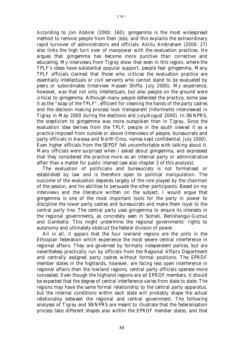According to Jon Abbink (2000: 160), gimgemma is the most widespread method to remove people from their jobs, and this explains the extraordinary rapid turnover of administrators and officials. Aklilu Ambraham (2000: 27) also links the high turn over of manpower with the evaluation practices. He argues that gimgemma has become more punitive than corrective and educating. My interviews from Tigray show that even in this region, where the TPLF's ideas have substantial popular support, people fear gimgemma. Many TPLF officials claimed that those who criticise the evaluation practice are essentially intellectuals or civil servants who cannot stand to be evaluated by peers or subordinates (Interview Hassen Shiffa, July 2000). My experience, however, was that not only intellectuals, but also people on the ground were critical to gimgemma. Although many people defended the practice, some saw it as the "soap of the TPLF", efficient for cleaning the hands of the party cadres and the decision making process look transparent (Informants interviewed in Tigray in May 2000 during the elections and July/August 2000). In SNNPRS, the scepticism to gimgemma was more outspoken than in Tigray. Since the evaluation idea derives from the TPLF, people in the south viewed it as a practice imposed from outside or above (Interviews of people, bureaucrats and party officials in Awassa and North Omo, names kept confidential, July 2000). Even higher officials from the SEPDF felt uncomfortable with talking about it. Many officials were surprised when I asked about gimgemma, and expressed that they considered the practice more as an internal party or administrative affair than a matter for public interest (see also chapter 3 of this analysis).

The evaluation of politicians and bureaucrats is not formalised or established by law and is therefore open to political manipulation. The outcome of the evaluation depends largely of the role played by the chairman of the session, and his abilities to persuade the other participants. Based on my interviews and the literature written on the subject, I would argue that gimgemma is one of the most important tools for the party in power to discipline the lower party cadres and bureaucrats and make them loyal to the central party line. The central party uses gimgemma to ensure its interests in the regional governments, as concretely seen in Somali, Benishangul-Gumuz and Gambella. This might undermine the regional governments' rights to autonomy and ultimately obstruct the federal division of power.

All in all, it appars that the four lowland regions are the units in the Ethiopian federation which experience the most severe central interference in regional affairs. They are governed by formally independent parties, but are nevertheless practically run by officials from the Regional Affairs Department and centrally assigned party cadres without formal positions. The EPRDF member states in the highlands, however, are facing less open interference in regional affairs than the lowland regions, central party officials operate more concealed. Even though the highland regions are all EPRDF members, it should be expected that the degree of central interference varies from state to state. The regions may have the same formal relationship to the central party apparatus, but the internal conditions within each state will probably shape the actual relationship between the regional and central government. The following analyses of Tigray and SNNPRS are meant to illustrate that the federalisation process take different shapes also within the EPRDF member states, and that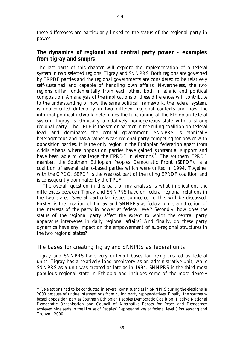these differences are particularly linked to the status of the regional party in power.

# **The dynamics of regional and central party power – examples from tigray and snnprs**

The last parts of this chapter will explore the implementation of a federal system in two selected regions, Tigray and SNNPRS. Both regions are governed by ERPDF parties and the regional governments are considered to be relatively self-sustained and capable of handling own affairs. Nevertheless, the two regions differ fundamentally from each other, both in ethnic and political composition. An analysis of the implications of these differences will contribute to the understanding of how the same political framework, the federal system, is implemented differently in two different regional contexts and how the informal political network determines the functioning of the Ethiopian federal system. Tigray is ethnically a relatively homogeneous state with a strong regional party. The TPLF is the senior partner in the ruling coalition on federal level and dominates the central government. SNNPRS is ethnically heterogeneous and has a rather weak regional party competing for power with opposition parties. It is the only region in the Ethiopian federation apart from Addis Ababa where opposition parties have gained substantial support and have been able to challenge the EPRDF in elections*<sup>29</sup>*. The southern EPRDF member, the Southern Ethiopian Peoples Democratic Front (SEPDF), is a coalition of several ethnic-based parties which were united in 1994. Together with the OPDO, SEPDF is the weakest part of the ruling EPRDF coalition and is consequently dominated by the TPLF.

The overall question in this part of my analysis is what implications the differences between Tigray and SNNPRS have on federal-regional relations in the two states. Several particular issues connected to this will be discussed. Firstly, is the creation of Tigray and SNNPRS as federal units a reflection of the interests of the party in power at federal level? Secondly, how does the status of the regional party affect the extent to which the central party apparatus intervenes in daily regional affairs? And finally, do these party dynamics have any impact on the empowerment of sub-regional structures in the two regional states?

# *The bases for creating Tigray and SNNPRS as federal units*

 $\overline{a}$ 

Tigray and SNNPRS have very different bases for being created as federal units. Tigray has a relatively long prehistory as an administrative unit, while SNNPRS as a unit was created as late as in 1994. SNNPRS is the third most populous regional state in Ethiopia and includes some of the most densely

<sup>&</sup>lt;sup>29</sup> Re-elections had to be conducted in several constituencies in SNNPRS during the elections in 2000 because of undue interventions from ruling party representatives. Finally, the southernbased opposition parties Southern Ethiopian Peoples Democratic Coalition, Hadiya National Democratic Organisation and Council of Alternative Forces for Peace and Democracy achieved nine seats in the House of Peoples' Representatives at federal level ( Pausewang and Tronvoll 2000).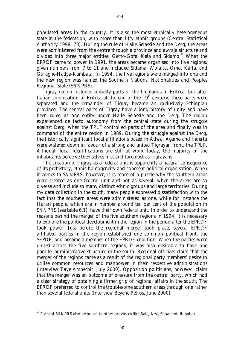populated areas in the country. It is also the most ethnically heterogeneous state in the federation, with more than fifty ethnic groups (Central Statistical Authority 1998: 73). During the rule of Haile Selassie and the Derg, the areas were administered from the centre through a province and awraja structure and divided into three major entities, Gemo-Gofa, Kefa and Sidamo.*<sup>30</sup>* When the EPRDF came to power in 1991, the areas became organised into five regions, given numbers from 7 to 11 and included Sidama, Wolaita, Omo, Kaffa, and Guraghe-Hadya-Kambata. In 1994, the five regions were merged into one and the new region was named the Southern Nations, Nationalities and Peoples Regional State (SNNPRS).

Tigray region included initially parts of the highlands in Eritrea, but after Italian colonisation of Eritrea at the end of the  $19<sup>th</sup>$  century, these parts were separated and the remainder of Tigray became an exclusively Ethiopian province. The central parts of Tigray have a long history of unity and have been ruled as one entity under Haile Selassie and the Derg. The region experienced de facto autonomy from the central state during the struggle against Derg, when the TPLF controlled parts of the area and finally was in command of the entire region in 1989. During the struggle against the Derg, the historically significant local affiliations based in Adwa, Agame and Inderta were watered down in favour of a strong and united Tigrayan front, the TPLF. Although local identifications are still at work today, the majority of the inhabitants perceive themselves first and foremost as Tigrayans.

The creation of Tigray as a federal unit is apparently a natural consequence of its prehistory, ethnic homogeneity and coherent political organisation. When it comes to SNNPRS, however, it is more of a puzzle why the southern areas were created as one federal unit and not as several, when the areas are so diverse and include so many distinct ethnic groups and large territories. During my data collection in the south, many people expressed dissatisfaction with the fact that the southern areas were administered as one, while for instance the Harari people, which are in number around ten per cent of the population in SNNPRS (see table 6.1), have their own federal unit. In order to understand the reasons behind the merger of the five southern regions in 1994, it is necessary to explore the political development in the region in the period after the EPRDF took power. Just before the regional merger took place, several EPRDF affiliated parties in the region established one common political front, the SEPDF, and became a member of the EPRDF coalition. When the parties were united across the five southern regions, it was also desirable to have one parallel administrative structure in the south. Regional officials claim that the merger of the regions came as a result of the regional party members' desire to utilise common resources and manpower in their respective administrations (Interview Taye Amberbir, July 2000). Opposition politicians, however, claim that the merger was an outcome of pressure from the central party, which had a clear strategy of obtaining a firmer grip of regional affairs in the south. The EPRDF preferred to control the troublesome southern areas through one rather than several federal units (Interview Beyene Petros, June 2000).

<sup>&</sup>lt;sup>30</sup> Parts of SNNPRS also belonged to other provinces like Bale, Arsi, Shoa and Illubabor.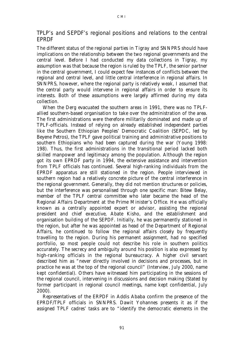## *TPLP's and SEPDF's regional positions and relations to the central EPRDF*

The different status of the regional parties in Tigray and SNNPRS should have implications on the relationship between the two regional governments and the central level. Before I had conducted my data collections in Tigray, my assumption was that because the region is ruled by the TPLF, the senior partner in the central government, I could expect few instances of conflicts between the regional and central level, and little central interference in regional affairs. In SNNPRS, however, where the regional party is relatively weak, I assumed that the central party would intervene in regional affairs in order to ensure its interests. Both of these assumptions were largely affirmed during my data collection.

When the Derg evacuated the southern areas in 1991, there was no TPLFallied southern-based organisation to take over the administration of the area. The first administrations were therefore militarily dominated and made up of TPLF-officials. Instead of relying on already established independent parties like the Southern Ethiopian Peoples' Democratic Coalition (SEPDC, led by Beyene Petros), the TPLF gave political training and administrative positions to southern Ethiopians who had been captured during the war (Young 1998: 198). Thus, the first administrations in the transitional period lacked both skilled manpower and legitimacy among the population. Although the region got its own EPRDF party in 1994, the extensive assistance and intervention from TPLF officials has continued. Several high-ranking individuals from the EPRDF apparatus are still stationed in the region. People interviewed in southern region had a relatively concrete picture of the central interference in the regional government. Generally, they did not mention structures or policies, but the interference was personalised through one specific man: Bitew Belay, member of the TPLF central committee who later became the head of the Regional Affairs Department at the Prime Minister's Office. He was officially known as a centrally appointed expert or advisor, assisting the regional president and chief executive, Abate Kisho, and the establishment and organisation building of the SEPDF. Initially, he was permanently stationed in the region, but after he was appointed as head of the Department of Regional Affairs, he continued to follow the regional affairs closely by frequently travelling to the region. During his permanent assignment, had no specified portfolio, so most people could not describe his role in southern politics accurately. The secrecy and ambiguity around his position is also expressed by high-ranking officials in the regional bureaucracy. A higher civil servant described him as "never directly involved in decisions and processes, but in practice he was at the top of the regional council" (Interview, July 2000, name kept confidential). Others have witnessed him participating in the sessions of the regional council, intervening in discussions and decision making (Stated by former participant in regional council meetings, name kept confidential, July 2000).

Representatives of the ERPDF in Addis Ababa confirm the presence of the EPRDF/TPLF officials in SNNPRS. Dawit Yohannes presents it as if the assigned TPLF cadres' tasks are to "identify the democratic elements in the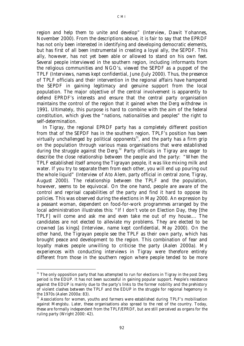region and help them to unite and develop" (Interview, Dawit Yohannes, November 2000). From the descriptions above, it is fair to say that the EPRDF has not only been interested in identifying and developing democratic elements, but has first of all been instrumental in creating a loyal ally, the SEPDF. This ally, however, has not yet been able or allowed to stand on his own feet. Several people interviewed in the southern region, including informants from the religious communities and NGO's, viewed the SEPDF as a puppet of the TPLF (Interviews, names kept confidential, June /July 2000). Thus, the presence of TPLF officials and their intervention in the regional affairs have hampered the SEPDF in gaining legitimacy and genuine support from the local population. The major objective of the central involvement is apparently to defend EPRDF's interests and ensure that the central party organisation maintains the control of the region that it gained when the Derg withdrew in 1991. Ultimately, this purpose is hard to combine with the aim of the federal constitution, which gives the "nations, nationalities and peoples" the right to self-determination.

In Tigray, the regional EPRDF party has a completely different position from that of the SEPDF has in the southern region. TPLF's position has been virtually unchallenged by political opponents<sup>31</sup>, and the party has a firm grip on the population through various mass organisations that were established during the struggle against the Derg.<sup>32</sup> Party officials in Tigray are eager to describe the close relationship between the people and the party: "When the TPLF established itself among the Tigrayan people, it was like mixing milk and water. If you try to separate them from each other, you will end up pouring out the whole liquid" (Interview of Ato Alem, party official in central zone, Tigray, August 2000). The relationship between the TPLF and the population, however, seems to be equivocal. On the one hand, people are aware of the control and reprisal capabilities of the party and find it hard to oppose its policies. This was observed during the elections in May 2000. An expression by a peasant woman, dependent on food-for-work programmes arranged by the local administration illustrates this: "If I don't vote on Election Day, they [the TPLF] will come and ask me and even take me out of my house.... The candidates are not elected to alleviate my problems. They are elected to be crowned [as kings] (Interview, name kept confidential, May 2000). On the other hand, the Tigrayan people see the TPLF as their own party, which has brought peace and development to the region. This combination of fear and loyalty makes people unwilling to criticise the party (Aalen 2000a). My experiences with conducting interviews in Tigray were therefore entirely different from those in the southern region where people tended to be more

<sup>&</sup>lt;sup>31</sup> The only opposition party that has attempted to run for elections in Tigray in the post Derg period is the EDUP. It has not been successful in gaining popular support. People's resistance against the EDUP is mainly due to the party's links to the former nobility and the prehistory of violent clashes between the TPLF and the EDUP in the struggle for regional hegemony in the 1970s (Aalen 2000a: 83).

<sup>&</sup>lt;sup>32</sup> Associations for women, youths and farmers were established during TPLF's mobilisation against Mengistu. Later, these organisations also spread to the rest of the country. Today, these are formally independent from the TPLF/EPRDF, but are still perceived as organs for the ruling party (Wright 2000: 42).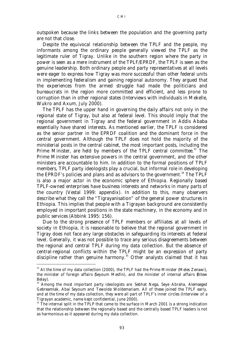outspoken because the links between the population and the governing party are not that close.

Despite the equivocal relationship between the TPLF and the people, my informants among the ordinary people generally viewed the TPLF as the legitimate ruler of Tigray. Unlike in the southern region where the party in power is seen as a mere instrument of the TPLF/EPRDF, the TPLF is seen as the genuine leadership. Both ordinary people and party representatives at all levels were eager to express how Tigray was more successful than other federal units in implementing federalism and gaining regional autonomy. They argued that the experiences from the armed struggle had made the politicians and bureaucrats in the region more committed and efficient, and less prone to corruption than in other regional states (Interviews with individuals in Mekelle, Wukro and Axum, July 2000).

The TPLF has the upper hand in governing the daily affairs not only in the regional state of Tigray, but also at federal level. This should imply that the regional government in Tigray and the federal government in Addis Ababa essentially have shared interests. As mentioned earlier, the TPLF is considered as the senior partner in the EPRDF coalition and the dominant force in the central government. Although the TPLF does not hold the majority of the ministerial posts in the central cabinet, the most important posts, including the Prime Minister, are held by members of the TPLF central committee.<sup>33</sup> The Prime Minister has extensive powers in the central government, and the other ministers are accountable to him. In addition to the formal positions of TPLF members, TPLF party ideologists play a crucial, but informal role in developing the EPRDF's policies and plans and as advisors to the government.<sup>34</sup> The TPLF is also a major actor in the economic sphere of Ethiopia. Regionally based TPLF-owned enterprises have business interests and networks in many parts of the country (Vestal 1999: appendix). In addition to this, many observers describe what they call the "Tigrayanisation" of the general power structures in Ethiopia. This implies that people with a Tigrayan background are consistently employed in important positions in the state machinery, in the economy and in public services (Abbink 1995: 156).

Due to the strong presence of TPLF members or affiliates at all levels of society in Ethiopia, it is reasonable to believe that the regional government in Tigray does not face any large obstacles in safeguarding its interests at federal level. Generally, it was not possible to trace any serious disagreements between the regional and central TPLF during my data collection. But the absence of central-regional conflicts within the TPLF might be an expression of party discipline rather than genuine harmony.<sup>35</sup> Other analysts claimed that it has

 $33$  At the time of my data collection (2000), the TPLF had the Prime Minister (Meles Zenawi), the minister of foreign affairs (Seyoum Mesfin), and the minister of internal affairs (Bitew Belay).

<sup>&</sup>lt;sup>34</sup> Among the most important party ideologists are Sebhat Nega, Seye Abraha, Alemseged Gebreamlak, Abai Seyoum and Tewolde Woldemariam. All of these joined the TPLF early, and at the time of my data collection, they were all part of TPLF's inner circles (Interview of a Tigrayan academic, name kept confidential, June 2000).

 $35$  The internal split in the TPLP that came to the surface in March 2001 is a strong indication that the relationship between the regionally based and the centrally based TPLF leaders is not as harmonious as it appeared during my data collection.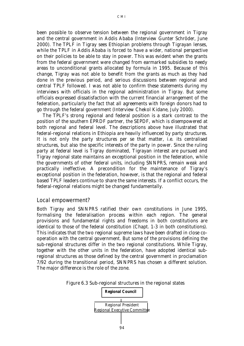been possible to observe tension between the regional government in Tigray and the central government in Addis Ababa (Interview Gunter Schröder, June 2000). The TPLF in Tigray sees Ethiopian problems through Tigrayan lenses, while the TPLF in Addis Ababa is forced to have a wider, national perspective on their policies to be able to stay in power. This was evident when the grants from the federal government were changed from earmarked subsidies to needy areas to unconditional grants allocated by formula in 1995. Because of this change, Tigray was not able to benefit from the grants as much as they had done in the previous period, and serious discussions between regional and central TPLF followed. I was not able to confirm these statements during my interviews with officials in the regional administration in Tigray. But some officials expressed dissatisfaction with the current financial arrangement of the federation, particularly the fact that all agreements with foreign donors had to go through the federal government (Interview Chekol Kidane, July 2000).

The TPLF's strong regional and federal position is a stark contrast to the position of the southern EPRDF partner, the SEPDF, which is disempowered at both regional and federal level. The descriptions above have illustrated that federal-regional relations in Ethiopia are heavily influenced by party structures. It is not only the party structures per se that matter, i.e. its centralised structures, but also the specific interests of the party in power. Since the ruling party at federal level is Tigray dominated, Tigrayan interest are pursued and Tigray regional state maintains an exceptional position in the federation, while the governments of other federal units, including SNNPRS, remain weak and practically ineffective. A precondition for the maintenance of Tigray's exceptional position in the federation, however, is that the regional and federal based TPLF leaders continue to share the same interests. If a conflict occurs, the federal-regional relations might be changed fundamentally.

#### *Local empowerment?*

Both Tigray and SNNPRS ratified their own constitutions in June 1995, formalising the federalisation process within each region. The general provisions and fundamental rights and freedoms in both constitutions are identical to those of the federal constitution (Chapt. 1-3 in both constitutions). This indicates that the two regional supreme laws have been drafted in close cooperation with the central government. But some of the provisions defining the sub-regional structures differ in the two regional constitutions. While Tigray, together with the other units in the federation, have adopted identical subregional structures as those defined by the central government in proclamation 7/92 during the transitional period, SNNPRS has chosen a different solution. The major difference is the role of the zone.



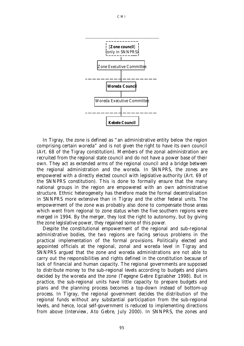

CMI

In Tigray, the zone is defined as "an administrative entity below the region comprising certain woreda" and is not given the right to have its own council (Art. 68 of the Tigray constitution). Members of the zonal administration are recruited from the regional state council and do not have a power base of their own. They act as extended arms of the regional council and a bridge between the regional administration and the woreda. In SNNPRS, the zones are empowered with a directly elected council with legislative authority (Art. 69 of the SNNPRS constitution). This is done to formally ensure that the many national groups in the region are empowered with an own administrative structure. Ethnic heterogeneity has therefore made the formal decentralisation in SNNPRS more extensive than in Tigray and the other federal units. The empowerment of the zone was probably also done to compensate those areas which went from regional to zone status when the five southern regions were merged in 1994. By the merger, they lost the right to autonomy, but by giving the zone legislative power, they regained some of this power.

Despite the constitutional empowerment of the regional and sub-regional administrative bodies, the two regions are facing serious problems in the practical implementation of the formal provisions. Politically elected and appointed officials at the regional, zonal and woreda level in Tigray and SNNPRS argued that the zone and woreda administrations are not able to carry out the responsibilities and rights defined in the constitution because of lack of financial and human capacity. The regional governments are supposed to distribute money to the sub-regional levels according to budgets and plans decided by the woreda and the zone (Tegegne Gebre Egziabher 1998). But in practice, the sub-regional units have little capacity to prepare budgets and plans and the planning process becomes a top-down instead of bottom-up process. In Tigray, the regional government decides the distribution of the regional funds without any substantial participation from the sub-regional levels, and hence, local self-government is reduced to implementing directions from above (Interview, Ato Gebre, July 2000). In SNNPRS, the zones and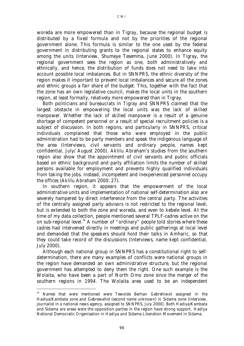woreda are more empowered than in Tigray, because the regional budget is distributed by a fixed formula and not by the priorities of the regional government alone. This formula is similar to the one used by the federal government in distributing grants to the regional states to enhance equity among the units (Interview, Shumeye Tesemma, June 2000). In Tigray, the regional government sees the region as one, both administratively and ethnically, and hence, the distribution of funds does not need to take into account possible local imbalances. But in SNNPRS, the ethnic diversity of the region makes it important to prevent local imbalances and secure all the zones and ethnic groups a fair share of the budget. This, together with the fact that the zone has an own legislative council, makes the local units in the southern region, at least formally, relatively more empowered than in Tigray.

Both politicians and bureaucrats in Tigray and SNNPRS claimed that the largest obstacle in empowering the local units was the lack of skilled manpower. Whether the lack of skilled manpower is a result of a genuine shortage of competent personnel or a result of special recruitment policies is a subject of discussion. In both regions, and particularly in SNNPRS, critical individuals complained that those who were employed in the public administration had to be party members and speak the indigenous language of the area (Interviews, civil servants and ordinary people, names kept confidential, July/ August 2000). Aklilu Abraham's studies from the southern region also show that the appointment of civil servants and public officials based on ethnic background and party affiliation limits the number of skilled persons available for employment and prevents highly qualified individuals from taking the jobs. Instead, incompetent and inexperienced personnel occupy the offices (Aklilu Abraham 2000: 27).

In southern region, it appears that the empowerment of the local administrative units and implementation of national self-determination also are severely hampered by direct interference from the central party. The activities of the centrally assigned party advisors is not restricted to the regional level, but is extended to both the zone and woreda, and even to kebele level. At the time of my data collection, people mentioned several TPLF-cadres active on the on sub-regional level.*<sup>36</sup>* A number of "ordinary" people told stories where these cadres had intervened directly in meetings and public gatherings at local level and demanded that the speakers should hold their talks in Amharic, so that they could take record of the discussions (Interviews, name kept confidential, July 2000).

Although each national group in SNNPRS has a constitutional right to selfdetermination, there are many examples of conflicts were national groups in the region have demanded an own administrative structure, but the regional government has attempted to deny them the right. One such example is the Wolaita, who have been a part of North Omo zone since the merger of the southern regions in 1994. The Wolaita area used to be an independent

Names that were mentioned were Tewolde Berhan Gebrehiwot assigned in the Hadiya/Kambata zone and Gebrewahid (second name unknown) in Sidama zone (Interview, journalist in a national news agency, assigned to SNNPRS, July 2000). Both Hadiya/Kambata and Sidama are areas were the opposition parties in the region have strong support, Hadiya National Democratic Organisation in Hadiya and Sidama Liberation Movement in Sidama.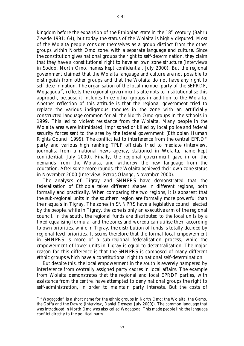kingdom before the expansion of the Ethiopian state in the  $18<sup>th</sup>$  century (Bahru Zewde 1991: 64), but today the status of the Wolaita is highly disputed. Most of the Wolaita people consider themselves as a group distinct from the other groups within North Omo zone, with a separate language and culture. Since the constitution gives national groups the right to self-determination, they claim that they have a constitutional right to have an own zone structure (Interviews in Soddo, North Omo, names kept confidential, July 2000). But the regional government claimed that the Wolaita language and culture are not possible to distinguish from other groups and that the Wolaita do not have any right to self-determination. The organisation of the local member party of the SEPRDF, Wogagoda*<sup>37</sup>*, reflects the regional government's attempts to institutionalise this approach, because it includes three other groups in addition to the Wolaita. Another reflection of this attitude is that the regional government tried to replace the various indigenous tongues in the zone with an artificially constructed language common for all the North Omo groups in the schools in 1999. This led to violent resistance from the Wolaita. Many people in the Wolaita area were intimidated, imprisoned or killed by local police and federal security forces sent to the area by the federal government (Ethiopian Human Rights Council 1999). The conflict led to interference from the central EPRDF party and various high ranking TPLF officials tried to mediate (Interview, journalist from a national news agency, stationed in Wolaita, name kept confidential, July 2000). Finally, the regional government gave in on the demands from the Wolaita, and withdrew the new language from the education. After some more rounds, the Wolaita achieved their own zone status in November 2000 (Interview, Petros Olango, November 2000).

The analyses of Tigray and SNNPRS have demonstrated that the federalisation of Ethiopia takes different shapes in different regions, both formally and practically. When comparing the two regions, it is apparent that the sub-regional units in the southern region are formally more powerful than their equals in Tigray. The zones in SNNPRS have a legislative council elected by the people, while in Tigray, the zone is only an executive arm of the regional council. In the south, the regional funds are distributed to the local units by a fixed equalising formula, and the zones and woreda can utilise them according to own priorities, while in Tigray, the distribution of funds is totally decided by regional level priorities. It seems therefore that the formal local empowerment in SNNPRS is more of a sub-regional federalisation process, while the empowerment of lower units in Tigray is equal to decentralisation. The major reason for this difference is that the SNNPRS is composed of many different ethnic groups which have a constitutional right to national self-determination.

But despite this, the local empowerment in the south is severely hampered by interference from centrally assigned party cadres in local affairs. The example from Wolaita demonstrates that the regional and local EPRDF parties, with assistance from the centre, have attempted to deny national groups the right to self-administration, in order to maintain party interests. But the costs of

<sup>&</sup>lt;sup>37</sup> "Wogagoda" is a short name for the ethnic groups in North Omo: the Wolaita, the Gamo, the Goffa and the Dawro (Interview, Daniel Demese, July 2000)). The common language that was introduced in North Omo was also called Wogagoda. This made people link the language conflict directly to the political party.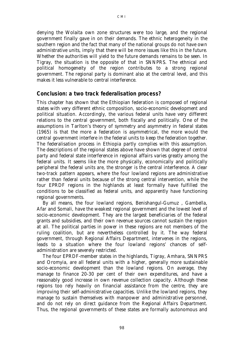denying the Wolaita own zone structures were too large, and the regional government finally gave in on their demands. The ethnic heterogeneity in the southern region and the fact that many of the national groups do not have own administrative units, imply that there will be more issues like this in the future. Whether the authorities will yield to the future demands remains to be seen. In Tigray, the situation is the opposite of that in SNNPRS. The ethnical and political homogeneity of the region contributes to a strong regional government. The regional party is dominant also at the central level, and this makes it less vulnerable to central interference.

#### **Conclusion: a two track federalisation process?**

This chapter has shown that the Ethiopian federation is composed of regional states with very different ethnic composition, socio-economic development and political situation. Accordingly, the various federal units have very different relations to the central government, both fiscally and politically. One of the assumptions in Tarlton's theory of symmetry and asymmetry in federal states (1965) is that the more a federation is asymmetrical, the more would the central government interfere in the federal units to keep the federation together. The federalisation process in Ethiopia partly complies with this assumption. The descriptions of the regional states above have shown that degree of central party and federal state interference in regional affairs varies greatly among the federal units. It seems like the more physically, economically and politically peripheral the federal units are, the stronger is the central interference. A clear two-track pattern appears, where the four lowland regions are administrative rather than federal units because of the strong central intervention, while the four EPRDF regions in the highlands at least formally have fulfilled the conditions to be classified as federal units, and apparently have functioning regional governments.

By all means, the four lowland regions, Benishangul-Gumuz , Gambella, Afar and Somali, have the weakest regional government and the lowest level of socio-economic development. They are the largest beneficiaries of the federal grants and subsidies, and their own revenue sources cannot sustain the region at all. The political parties in power in these regions are not members of the ruling coalition, but are nevertheless controlled by it. The way federal government, through Regional Affairs Department, intervenes in the regions, leads to a situation where the four lowland regions' chances of selfadministration are severely restricted.

The four EPRDF-member states in the highlands, Tigray, Amhara, SNNPRS and Oromyia, are all federal units with a higher, generally more sustainable socio-economic development than the lowland regions. On average, they manage to finance 20-30 per cent of their own expenditures, and have a reasonably good increase in own revenue collection capacity. Although these regions too rely heavily on financial assistance from the centre, they are improving their self-administrative capacities. Unlike the lowland regions, they manage to sustain themselves with manpower and administrative personnel, and do not rely on direct guidance from the Regional Affairs Department. Thus, the regional governments of these states are formally autonomous and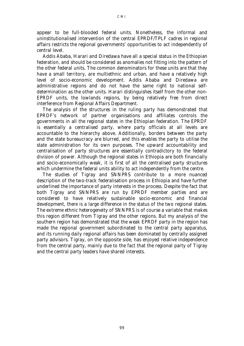appear to be full-blooded federal units. Nonetheless, the informal and uninstitutionalised intervention of the central EPRDF/TPLF cadres in regional affairs restricts the regional governments' opportunities to act independently of central level.

Addis Ababa, Harari and Diredawa have all a special status in the Ethiopian federation, and should be considered as anomalies not fitting into the pattern of the other federal units. The common denominators for these units are that they have a small territory, are multiethnic and urban, and have a relatively high level of socio-economic development. Addis Ababa and Diredawa are administrative regions and do not have the same right to national selfdetermination as the other units. Harari distinguishes itself from the other non-EPRDF units, the lowlands regions, by being relatively free from direct interference from Regional Affairs Department.

The analysis of the structures in the ruling party has demonstrated that EPRDF's network of partner organisations and affiliates controls the governments in all the regional states in the Ethiopian federation. The EPRDF is essentially a centralised party, where party officials at all levels are accountable to the hierarchy above. Additionally, borders between the party and the state bureaucracy are blurred, and this enables the party to utilise the state administration for its own purposes. The upward accountability and centralisation of party structures are essentially contradictory to the federal division of power. Although the regional states in Ethiopia are both financially and socio-economically weak, it is first of all the centralised party structures which undermine the federal units ability to act independently from the centre.

The studies of Tigray and SNNPRS contribute to a more nuanced description of the two-track federalisation process in Ethiopia and have further underlined the importance of party interests in the process. Despite the fact that both Tigray and SNNPRS are run by EPRDF member parties and are considered to have relatively sustainable socio-economic and financial development, there is a large difference in the status of the two regional states. The extreme ethnic heterogeneity of SNNPRS is of course a variable that makes this region different from Tigray and the other regions. But my analysis of the southern region has demonstrated that the weak EPRDF party in the region has made the regional government subordinated to the central party apparatus, and its running daily regional affairs has been dominated by centrally assigned party advisors. Tigray, on the opposite side, has enjoyed relative independence from the central party, mainly due to the fact that the regional party of Tigray and the central party leaders have shared interests.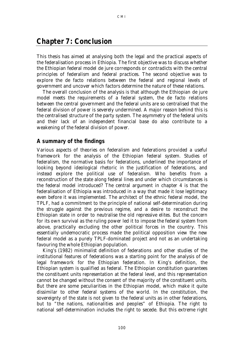# **Chapter 7: Conclusion**

This thesis has aimed at analysing both the legal and the practical aspects of the federalisation process in Ethiopia. The first objective was to discuss whether the Ethiopian federal model *de jure* corresponds or contradicts with the central principles of federalism and federal practices. The second objective was to explore the *de facto* relations between the federal and regional levels of government and uncover which factors determine the nature of these relations.

The overall conclusion of the analysis is that although the Ethiopian *de jure* model meets the requirements of a federal system, the *de facto* relations between the central government and the federal units are so centralised that the federal division of power is severely undermined. A major reason behind this is the centralised structure of the party system. The asymmetry of the federal units and their lack of an independent financial base do also contribute to a weakening of the federal division of power.

#### **A summary of the findings**

Various aspects of theories on federalism and federations provided a useful framework for the analysis of the Ethiopian federal system. Studies of federalism, the normative basis for federations, underlined the importance of looking beyond ideological rhetoric in the justification of federations, and instead explore the political use of federalism. Who benefits from a reconstruction of the state along federal lines and under which circumstances is the federal model introduced? The central argument in chapter 4 is that the federalisation of Ethiopia was introduced in a way that made it lose legitimacy even before it was implemented. The architect of the ethnic federal model, the TPLF, had a commitment to the principle of national self-determination during the struggle against the previous regime, and a desire to reconstruct the Ethiopian state in order to neutralise the old repressive elites. But the concern for its own survival as the ruling power led it to impose the federal system from above, practically excluding the other political forces in the country. This essentially undemocratic process made the political opposition view the new federal model as a purely TPLF-dominated project and not as an undertaking favouring the whole Ethiopian population.

King's (1982) minimalist definition of federations and other studies of the institutional features of federations was a starting point for the analysis of de legal framework for the Ethiopian federation. In King's definition, the Ethiopian system is qualified as federal. The Ethiopian constitution guarantees the constituent units representation at the federal level, and this representation cannot be changed without the consent of the majority of the constituent units. But there are some peculiarities in the Ethiopian model, which make it quite dissimilar to other federal systems of the world. In the constitution, the sovereignty of the state is not given to the federal units as in other federations, but to "the nations, nationalities and peoples" of Ethiopia. The right to national self-determination includes the right to secede. But this extreme right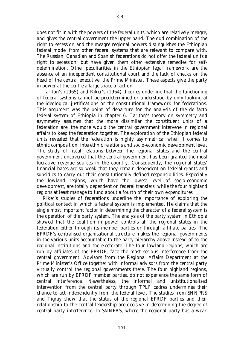does not fit in with the powers of the federal units, which are relatively meagre, and gives the central government the upper hand. The odd combination of the right to secession and the meagre regional powers distinguishes the Ethiopian federal model from other federal systems that are relevant to compare with. The Russian, Canadian and Spanish federations do not offer the federal units a right to secession, but have given them other extensive remedies for selfdetermination. Other peculiarities in the Ethiopian legal framework are the absence of an independent constitutional court and the lack of checks on the head of the central executive, the Prime Minister. These aspects give the party in power at the centre a large space of action.

Tarlton's (1965) and Riker's (1964) theories underline that the functioning of federal systems cannot be predetermined or understood by only looking at the ideological justifications or the constitutional framework for federations. This argument was the point of departure for the analysis of the *de facto* federal system of Ethiopia in chapter 6. Tarlton's theory on symmetry and asymmetry assumes that the more dissimilar the constituent units of a federation are, the more would the central government intervene in regional affairs to keep the federation together. The exploration of the Ethiopian federal units revealed that the federation is highly asymmetrical when it comes to ethnic composition, interethnic relations and socio-economic development level. The study of fiscal relations between the regional states and the central government uncovered that the central government has been granted the most lucrative revenue sources in the country. Consequently, the regional states' financial bases are so weak that they remain dependent on federal grants and subsidies to carry out their constitutionally defined responsibilities. Especially the lowland regions, which have the lowest level of socio-economic development, are totally dependent on federal transfers, while the four highland regions at least manage to fund about a fourth of their own expenditures.

Riker's studies of federations underline the importance of exploring the political context in which a federal system is implemented. He claims that the single most important factor in determining the character of a federal system is the operation of the party system. The analysis of the party system in Ethiopia showed that the coalition in power controls all the regional states in the federation either through its member parties or through affiliate parties. The EPRDF's centralised organisational structure makes the regional governments in the various units accountable to the party hierarchy above instead of to the regional institutions and the electorate. The four lowland regions, which are run by affiliates of the EPRDF, face the most serious interference from the central government. Advisors from the Regional Affairs Department at the Prime Minister's Office together with informal advisors from the central party virtually control the regional governments there. The four highland regions, which are run by EPRDF member parties, do not experience the same form of central interference. Nevertheless, the informal and unistitutionalised intervention from the central party through TPLF cadres undermines their chance to act independently from the federal level. The studies from SNNPRS and Tigray show that the status of the regional EPRDF parties and their relationship to the central leadership are decisive in determining the degree of central party interference. In SNNPRS, where the regional party has a weak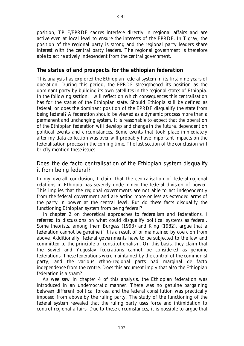position, TPLF/EPRDF cadres interfere directly in regional affairs and are active even at local level to ensure the interests of the EPRDF. In Tigray, the position of the regional party is strong and the regional party leaders share interest with the central party leaders. The regional government is therefore

# **The status of and prospects for the ethiopian federation**

able to act relatively independent from the central government.

This analysis has explored the Ethiopian federal system in its first nine years of operation. During this period, the EPRDF strengthened its position as the dominant party by building its own satellites in the regional states of Ethiopia. In the following section, I will reflect on which consequences this centralisation has for the status of the Ethiopian state. Should Ethiopia still be defined as federal, or does the dominant position of the EPRDF disqualify the state from being federal? A federation should be viewed as a dynamic process more than a permanent and unchanging system. It is reasonable to expect that the operation of the Ethiopian federation will develop and change in the future, dependent on political events and circumstances. Some events that took place immediately after my data collection was over will probably have important impacts on the federalisation process in the coming time. The last section of the conclusion will briefly mention these issues.

# *Does the de facto centralisation of the Ethiopian system disqualify it from being federal?*

In my overall conclusion, I claim that the centralisation of federal-regional relations in Ethiopia has severely undermined the federal division of power. This implies that the regional governments are not able to act independently from the federal government and are acting more or less as extended arms of the party in power at the central level. But do these facts disqualify the functioning Ethiopian system from being federal?

In chapter 2 on theoretical approaches to federalism and federations, I referred to discussions on what could disqualify political systems as federal. Some theorists, among them Burgess (1993) and King (1982), argue that a federation cannot be genuine if it is a result of or maintained by coercion from above. Additionally, federal governments have to be subjected to the law and committed to the principle of constitutionalism. On this basis, they claim that the Soviet and Yugoslav federations cannot be considered as genuine federations. These federations were maintained by the control of the communist party, and the various ethno-regional parts had marginal *de facto* independence from the centre. Does this argument imply that also the Ethiopian federation is a sham?

As wee saw in chapter 4 of this analysis, the Ethiopian federation was introduced in an undemocratic manner. There was no genuine bargaining between different political forces, and the federal constitution was practically imposed from above by the ruling party. The study of the functioning of the federal system revealed that the ruling party uses force and intimidation to control regional affairs. Due to these circumstances, it is possible to argue that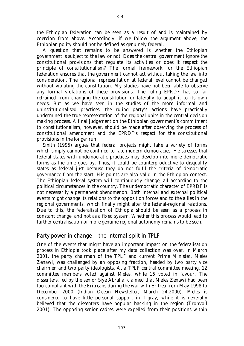the Ethiopian federation can be seen as a result of and is maintained by coercion from above. Accordingly, if we follow the argument above, the Ethiopian polity should not be defined as genuinely federal.

A question that remains to be answered is whether the Ethiopian government is subject to the law or not. Does the central government ignore the constitutional provisions that regulate its activities or does it respect the principle of constitutionalism? The formal framework for the Ethiopian federation ensures that the government cannot act without taking the law into consideration. The regional representation at federal level cannot be changed without violating the constitution. My studies have not been able to observe any *formal* violations of these provisions. The ruling EPRDF has so far refrained from changing the constitution unilaterally to adapt it to its own needs. But as we have seen in the studies of the more *informal* and uninstitutionalised practices, the ruling party's actions have practically undermined the true representation of the regional units in the central decision making process. A final judgement on the Ethiopian government's commitment to constitutionalism, however, should be made after observing the process of constitutional amendment and the EPRDF's respect for the constitutional provisions in the longer run.

Smith (1995) argues that federal projects might take a variety of forms which simply cannot be confined to late modern democracies. He stresses that federal states with undemocratic practices may develop into more democratic forms as the time goes by. Thus, it could be counterproductive to disqualify states as federal just because they do not fulfil the criteria of democratic governance from the start. His points are also valid in the Ethiopian context. The Ethiopian federal system will continuously change, all according to the political circumstances in the country. The undemocratic character of EPRDF is not necessarily a permanent phenomenon. Both internal and external political events might change its relations to the opposition forces and to the allies in the regional governments, which finally might alter the federal-regional relations. Due to this, the federalisation of Ethiopia should be seen as a process in constant change, and not as a fixed system. Whether this process would lead to further centralisation or more genuine regional autonomy remains to be seen.

# *Party power in change – the internal split in TPLF*

One of the events that might have an important impact on the federalisation process in Ethiopia took place after my data collection was over. In March 2001, the party chairman of the TPLF and current Prime Minister, Meles Zenawi, was challenged by an opposing fraction, headed by two party vice chairmen and two party ideologists. At a TPLF central committee meeting, 12 committee members voted against Meles, while 16 voted in favour. The dissenters, led by the senior Siye Abraha, claimed that Meles Zenawi had been too compliant with the Eritreans during the war with Eritrea from May 1998 to December 2000 (Indian Ocean Newsletter, March 24.2000). Meles is considered to have little personal support in Tigray, while it is generally believed that the dissenters have popular backing in the region (Tronvoll 2001). The opposing senior cadres were expelled from their positions within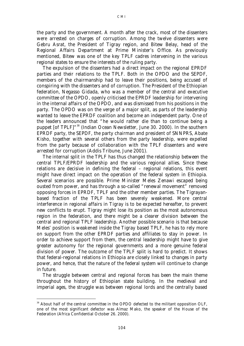the party and the government. A month after the crack, most of the dissenters were arrested on charges of corruption. Among the twelve dissenters were Gebru Asrat, the President of Tigray region, and Bitew Belay, head of the Regional Affairs Department at Prime Minister's Office. As previously mentioned, Bitew was one of the key TPLF cadres intervening in the various regional states to ensure the interests of the ruling party.

The expulsion of the dissenters had a direct impact on the regional EPRDF parties and their relations to the TPLF. Both in the OPDO and the SEPDF, members of the chairmanship had to leave their positions, being accused of conspiring with the dissenters and of corruption. The President of the Ethiopian federation, Negasso Gidada, who was a member of the central and executive committee of the OPDO, openly criticised the EPRDF leadership for intervening in the internal affairs of the OPDO, and was dismissed from his positions in the party. The OPDO was on the verge of a major split, as parts of the leadership wanted to leave the EPRDF coalition and become an independent party. One of the leaders announced that "he would rather die than to continue being a puppet [of TPLF]"<sup>38</sup> (Indian Ocean Newsletter, June 30. 2000). In the southern EPRDF party, the SEPDF, the party chairman and president of SNNPRS, Abate Kisho, together with several others from the party leadership, were expelled from the party because of collaboration with the TPLF dissenters and were arrested for corruption (Addis Tribune, June 2001).

The internal split in the TPLF has thus changed the relationship between the central TPLF/EPRDF leadership and the various regional allies. Since these relations are decisive in defining the federal – regional relations, this event might have direct impact on the operation of the federal system in Ethiopia. Several scenarios are possible. Prime Minister Meles Zenawi escaped being ousted from power, and has through a so-called "renewal movement" removed opposing forces in EPRDF, TPLF and the other member parties. The Tigrayanbased fraction of the TPLF has been severely weakened. More central interference in regional affairs in Tigray is to be expected hereafter, to prevent new conflicts to erupt. Tigray might lose its position as the most autonomous region in the federation, and there might be a clearer division between the central and regional TPLF leadership. Another possible scenario is that because Meles' position is weakened inside the Tigray based TPLF, he has to rely more on support from the other EPRDF parties and affiliates to stay in power. In order to achieve support from them, the central leadership might have to give greater autonomy for the regional governments and a more genuine federal division of power. The outcome of the TPLF split is hard to predict. It shows that federal-regional relations in Ethiopia are closely linked to changes in party power, and hence, that the nature of the federal system will continue to change in future.

The struggle between central and regional forces has been the main theme throughout the history of Ethiopian state building. In the medieval and imperial ages, the struggle was between regional lords and the centrally based

 $\overline{a}$ 

<sup>&</sup>lt;sup>38</sup> About half of the central committee in the OPDO defected to the militant opposition OLF, one of the most significant defector was Almaz Mako, the speaker of the House of the Federation (Africa Confidential October 26. 2000).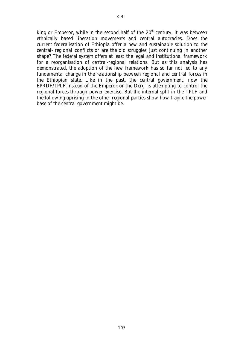king or Emperor, while in the second half of the  $20<sup>th</sup>$  century, it was between ethnically based liberation movements and central autocracies. Does the current federalisation of Ethiopia offer a new and sustainable solution to the central- regional conflicts or are the old struggles just continuing in another shape? The federal system offers at least the legal and institutional framework for a reorganisation of central-regional relations. But as this analysis has demonstrated, the adoption of the new framework has so far not led to any fundamental change in the relationship between regional and central forces in the Ethiopian state. Like in the past, the central government, now the EPRDF/TPLF instead of the Emperor or the Derg, is attempting to control the regional forces through power exercise. But the internal split in the TPLF and the following uprising in the other regional parties show how fragile the power base of the central government might be.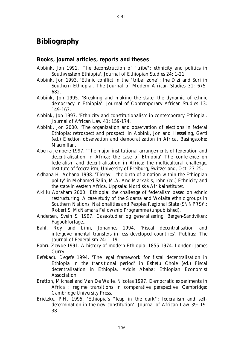# **Bibliography**

### **Books, journal articles, reports and theses**

- Abbink, Jon 1991. 'The deconstruction of "tribe": ethnicity and politics in Southwestern Ethiopia'. *Journal of Ethiopian Studies* 24: 1-21.
- Abbink, Jon 1993. 'Ethnic conflict in the "tribal zone": the Dizi and Suri in Southern Ethiopia'. *The Journal of Modern African Studies* 31: 675- 682.
- Abbink, Jon 1995. 'Breaking and making the state: the dynamic of ethnic democracy in Ethiopia'. *Journal of Contemporary African Studies* 13: 149-163.
- Abbink, Jon 1997. 'Ethnicity and constitutionalism in contemporary Ethiopia'. *Journal of African Law* 41: 159-174.
- Abbink, Jon 2000. 'The organization and observation of elections in federal Ethiopia: retrospect and prospect' in Abbink, Jon and Hesseling, Gerti (ed.) *Election observation and democratization in Africa*. Basingstoke: Macmillan.
- Aberra Jembere 1997. 'The major institutional arrangements of federation and decentralisation in Africa; the case of Ethiopia' *The conference on federalism and decentralisation in Africa: the multicultural challenge*. Institute of federalism, University of Freiburg, Switzerland, Oct. 23-25.
- Adhana H. Adhana 1998. 'Tigray the birth of a nation within the Ethiopian polity' in Mohamed Salih, M.A. And Markakis, John (ed.) *Ethnicity and the state in eastern Africa*. Uppsala: Nordiska Afrikainstitutet.
- Aklilu Abraham 2000. 'Ethiopia: the challenge of federalism based on ethnic restructuring. A case study of the Sidama and Wolaita ethnic groups in Southern Nations, Nationalities and Peoples Regional State (SNNPRS)'.: Robert S. McNamara Fellowship Programme (unpublished).
- Andersen, Svein S. 1997. *Case-studier og generalisering*. Bergen-Sandviken: Fagbokforlaget.
- Bahl, Roy and Linn, Johannes 1994. 'Fiscal decentralisation and intergovernmental transfers in less developed countries'. *Publius: The Journal of Federalism* 24: 1-19.
- Bahru Zewde 1991. *A history of modern Ethiopia: 1855-1974*. London: James Curry.
- Befekadu Degefe 1994. 'The legal framework for fiscal decentralisation in Ethiopia in the transitional period' in Eshetu Chole (ed.) *Fiscal decentralisation in Ethiopia*. Addis Ababa: Ethiopian Economist Association.
- Bratton, Michael and Van De Walle, Nicolas 1997. *Democratic experiments in Africa : regime transitions in comparative perspective*. Cambridge: Cambridge University Press.
- Brietzke, P.H. 1995. 'Ethiopia's "leap in the dark": federalism and selfdetermination in the new constitution'. *Journal of African Law* 39: 19- 38.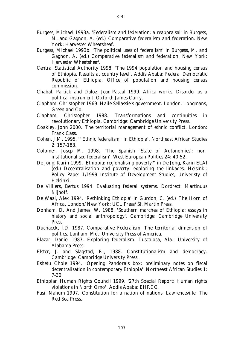- Burgess, Michael 1993a. 'Federalism and federation: a reappraisal' in Burgess, M. and Gagnon, A. (ed.) *Comparative federalism and federation*. New York: Harvester Wheatsheaf.
- Burgess, Michael 1993b. 'The political uses of federalism' in Burgess, M. and Gagnon, A. (ed.) *Comparative federalism and federation*. New York: Harvester Wheatsheaf.
- Central Statistical Authority 1998. 'The 1994 population and housing census of Ethiopia. Results at country level'. Addis Ababa: Federal Democratic Republic of Ethiopia, Office of population and housing census commission.
- Chabal, Partick and Daloz, Jean-Pascal 1999. *Africa works. Disorder as a political instrument*. Oxford: James Curry.
- Clapham, Christopher 1969. *Haile Sellassie's government*. London: Longmans, Green and Co.
- Clapham, Christopher 1988. *Transformations and continuities in revolutionary Ethiopia*. Cambridge: Cambridge University Press.
- Coakley, John 2000. *The territorial management of ethnic conflict*. London: Frank Cass.
- Cohen, J.M. 1995. '"Ethnic federalism" in Ethiopia'. *Northeast African Studies* 2: 157-188.
- Colomer, Josep M. 1998. 'The Spanish 'State of Autonomies': noninstitutionalised federalism'. *West European Politics* 24: 40-52.
- De Jong, Karin 1999. 'Ethiopia: regionalising poverty?' in De Jong, Karin Et.Al (ed.) *Decentralisation and poverty: exploring the linkages*. Helsinki: Policy Paper 1/1999 Institute of Development Studies, Univeristy of Helsinki.
- De Villiers, Bertus 1994. *Evaluating federal systems*. Dordrect: Martinuus Nijhoff.
- De Waal, Alex 1994. 'Rethinking Ethiopia' in Gurdon, C. (ed.) *The Horn of Africa*. London/ New York: UCL Press/ St. Martin Press.
- Donham, D. And James, W. 1988. 'Southern marches of Ethiopia: essays in history and social anthropology'. Cambridge: Cambridge University Press.
- Duchacek, I.D. 1987. *Comparative Federalism: The territorial dimension of politics*. Lanham, Md.: University Press of America.
- Elazar, Daniel 1987. *Exploring federalism*. Tuscalosa, Ala.: University of Alabama Press.
- Elster, J. and Slagstad, R., 1988. *Constitutionalism and democracy*. Cambridge: Cambridge University Press.
- Eshetu Chole 1994. 'Opening Pandora's box: preliminary notes on fiscal decentralisation in contemporary Ethiopia'. *Northeast African Studies* 1: 7-30.
- Ethiopian Human Rights Council 1999. '27th Special Report: Human rights violations in North Omo'. Addis Ababa: EHRCO.
- Fasil Nahum 1997. *Constitution for a nation of nations*. Lawrenceville: The Red Sea Press.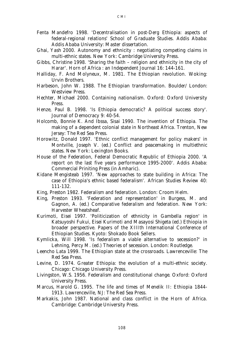- Fenta Mandefro 1998. 'Decentralisation in post-Derg Ethiopia: aspects of federal-regional relations' *School of Graduate Studies*. Addis Ababa: Addis Ababa University: Master dissertation.
- Ghai, Yash 2000. *Autonomy and ethnicity : negotiating competing claims in multi-ethnic states*. New York: Cambridge University Press.
- Gibbs, Christine 1998. 'Sharing the faith religion and ethnicity in the city of Harar'. *Horn of Africa : an Independent Journal* 16: 144-161.
- Halliday, F. And Molyneux, M. 1981. *The Ethiopian revolution*. Woking: Urvin Brothers.
- Harbeson, John W. 1988. *The Ethiopian transformation*. Boulder/ London: Westview Press.
- Hechter, Michael 2000. *Containing nationalism*. Oxford: Oxford University Press.
- Henze, Paul B. 1998. 'Is Ethiopia democratic? A political success story'. *Journal of Democracy* 9: 40-54.
- Holcomb, Bonnie K. And Ibssa, Sisai 1990. *The invention of Ethiopia. The making of a dependent colonial state in Northeast Africa*. Trenton, New Jersey: The Red Sea Press.
- Horowitz, Donald 1997. 'Ethnic conflict management for policy makers' in Montville, Joseph V. (ed.) *Conflict and peacemaking in multiethnic states*. New York: Lexington Books.
- House of the Federation, Federal Democratic Republic of Ethiopia 2000. 'A report on the last five years performance 1995-2000'. Addis Ababa: Commercial Priniting Press (in Amharic).
- Kidane Mengisteab 1997. 'New approaches to state building in Africa: The case of Ethiopia's ethnic based federalism'. *African Studies Review* 40: 111-132.
- King, Preston 1982. *Federalism and federation*. London: Croom Helm.
- King, Preston 1993. 'Federation and representation' in Burgess, M. and Gagnon, A. (ed.) *Comparative federalism and federation*. New York: Harvester Wheatsheaf.
- Kurimoti, Eisei 1997. 'Politicization of ethnicity in Gambella region' in Katsuyoshi Fukui, Eisei Kurimoti and Masayosi Shigeta (ed.) *Ethiopia in broader perspective. Papers of the XIIIth International Conference of Ethiopian Studies*. Kyoto: Shokado Book Sellers.
- Kymlicka, Will 1998. 'Is federalism a viable alternative to secession?' in Lehning, Percy M. (ed.) *Theories of secession*. London: Routledge.
- Leencho Lata 1999. *The Ethiopian state at the crossroads*. Lawrenceville: The Red Sea Press.
- Levine, D. 1974. *Greater Ethiopia: the evolution of a multi-ethnic society*. Chicago: Chicago University Press.
- Livingston, W.S. 1956. *Federalism and constitutional change*. Oxford: Oxford University Press.
- Marcus, Harold G. 1995. *The life and times of Menelik II: Ethiopia 1844- 1913*. Lawrenceville, NJ: The Red Sea Press.
- Markakis, John 1987. *National and class conflict in the Horn of Africa*. Cambridge: Cambridge University Press.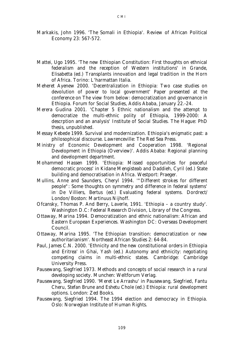Markakis, John 1996. 'The Somali in Ethiopia'. *Review of African Political Economy* 23: 567-572.

- Mattei, Ugo 1995. 'The new Ethiopian Constitution: First thoughts on ethnical federalism and the reception of Western institutions' in Grande, Elisabetta (ed.) *Transplants innovation and legal tradition in the Horn of Africa*. Torino: L'harmattan Italia.
- Meheret Ayenew 2000. 'Decentralization in Ethiopia: Two case studies on devolution of power to local government' Paper presented at the conference on *The view from below: democratization and governance in Ethiopia*. Forum for Social Studies, Addis Ababa, January 22.-24.
- Merera Gudina 2001. 'Chapter 5 Ethnic nationalism and the attempt to democratize the multi-ethnic polity of Ethiopia, 1999-2000: A descrption and an analysis' *Institute of Social Studies*. The Hague: PhD thesis, unpublished.
- Messay Kebede 1999. *Survival and modernization. Ethiopia's enigmatic past: a philosophical discourse*. Lawrenceville: The Red Sea Press.
- Ministry of Economic Development and Cooperation 1998. 'Regional Development in Ethiopia (Overview)'. Addis Ababa: Regional planning and development department.
- Mohammed Hassen 1999. 'Ethiopia: Missed opportunities for peaceful democratic process' in Kidane Mengisteab and Daddieh, Cyril (ed.) *State building and democratisation in Africa*. Westport: Praeger.
- Mullins, Anne and Saunders, Cheryl 1994. '"Different strokes for different people": Some thoughts on symmetry and difference in federal systems' in De Villiers, Bertus (ed.) *Evaluating federal systems*. Dordrect/ London/ Boston: Martinuus Nijhoff.
- Ofcansky, Thomas P. And Berry, Laverle, 1991. 'Ethiopia a country study'. Washington D.C: Federal Research Division, Library of the Congress.
- Ottaway, Marina 1994. *Democratization and ethnic nationalism: African and Eastern European Experiences*. Washington DC: Overseas Development Council.
- Ottaway, Marina 1995. 'The Ethiopian transition: democratization or new authoritarianism'. *Northeast African Studies* 2: 64-84.
- Paul, James C.N. 2000. 'Ethnicity and the new constitutional orders in Ethiopia and Eritrea' in Ghai, Yash (ed.) *Autonomy and ethnicity: negotiating competing claims in multi-ethnic states*. Cambridge: Cambridge University Press.
- Pausewang, Siegfried 1973. *Methods and concepts of social research in a rural developing society*. Munchen: Weltforum Verlag.
- Pausewang, Siegfried 1990. 'Meret Le Arrashu' in Pausewang, Siegfried, Fantu Cheru, Stefan Brune and Eshetu Chole (ed.) *Ethiopia: rural development options*. London: Zed Books.
- Pausewang, Siegfried 1994. *The 1994 election and democracy in Ethiopia*. Oslo: Norwegian Institute of Human Rights.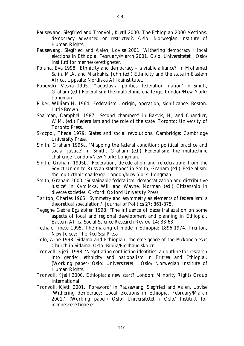- Pausewang, Siegfried and Tronvoll, Kjetil 2000. *The Ethiopian 2000 elections: democracy advanced or restricted?*. Oslo: Norwegian Institute of Human Rights.
- Pausewang, Siegfried and Aalen, Lovise 2001. *Withering democracy : local elections in Ethiopia, February/March 2001*. Oslo: Universitetet i Oslo/ Institutt for menneskerettigheter.
- Poluha, Eva 1998. 'Ethnicity and democracy a viable alliance?' in Mohamed Salih, M.A. and Markakis, John (ed.) *Ethnicity and the state in Eastern Africa*. Uppsala: Nordiska Afrikainstitutet.
- Popovski, Vesna 1995. 'Yugoslavia: politics, federation, nation' in Smith, Graham (ed.) *Federalism: the multiethnic challenge*. London/New York: Longman.
- Riker, William H. 1964. *Federalism : origin, operation, significance*. Boston: Little Brown.
- Sharman, Campbell 1987. 'Second chambers' in Bakvis, H, and Chandler, W.M. (ed.) *Federalism and the role of the state*. Toronto: University of Toronto Press.
- Skocpol, Theda 1979. *States and social revolutions*. Cambridge: Cambridge University Press.
- Smith, Graham 1995a. 'Mapping the federal condition: political practice and social justice' in Smith, Graham (ed.) *Federalism: the multiethnic challenge*. London/New York: Longman.
- Smith, Graham 1995b. 'Federation, defederation and refederation: from the Soviet Union to Russian statehood' in Smith, Graham (ed.) *Federalism: the multiethnic challenge*. London/New York: Longman.
- Smith, Graham 2000. 'Sustainable federalism, democratization and distributive justice' in Kymlicka, Will and Wayne, Norman (ed.) *Citizenship in diverse societies*. Oxford: Oxford University Press.
- Tarlton, Charles 1965. 'Symmetry and asymmetry as elements of federalism: a theoretical speculation.'. *Journal of Politics* 27: 861-875.
- Tegegne Gebre Egziabher 1998. 'The influence of decentraliazation on some aspects of local and regional development and planning in Ethiopia'. *Eastern Africa Social Science Research Review* 14: 33-63.
- Teshale Tibetu 1995. *The making of modern Ethiopia: 1896-1974*. Trenton, New Jersey: The Red Sea Press.
- Tolo, Arne 1998. *Sidama and Ethiopian: the emergence of the Mekane Yesus Church in Sidama*. Oslo: Biblia/Fjellhaug skoler.
- Tronvoll, Kjetil 1998. 'Negotiating conflicting identities: an outline for research into gender, ethnicity and nationalism in Eritrea and Ethiopia'. (Working paper) Oslo: Universitetet i Oslo/ Norwegian Institute of Human Rights.
- Tronvoll, Kjetil 2000. *Ethiopia: a new start?* London: Minority Rights Group International.
- Tronvoll, Kjetil 2001. 'Foreword' in Pausewang, Siegfried and Aalen, Lovise 'Withering democracy: Local elections in Ethiopia, February/March 2001.' (Working paper) Oslo: Universitetet i Oslo/ Institutt for menneskerettigheter.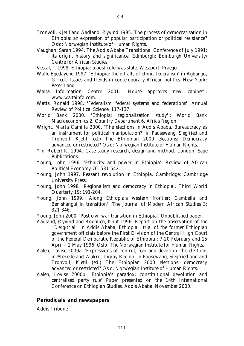- Tronvoll, Kjetil and Aadland, Øyvind 1995. *The process of democratisation in Ethiopia: an expression of popular participation or political resistance?* Oslo: Norwegian Institute of Human Rights.
- Vaughan, Sarah 1994. *The Addis Ababa Transitional Conference of July 1991: its origin, history and significance*. Edinburgh: Edinburgh University/ Centre for African Studies.
- Vestal, T 1999. *Ethiopia: a post cold was state*. Westport: Praeger.
- Walle Egedayehu 1997. 'Ethiopia: the pitfalls of ethnic federalism' in Agbango, G. (ed.) *Issues and trends in contemporary African politics*. New York: Peter Lang.
- Walta Information Centre 2001. 'House approves new cabinet'.: www.waltainfo.com.
- Watts, Ronald 1998. 'Federalism, federal systems and federations'. *Annual Review of Political Science*: 117-137.
- World Bank 2000. 'Ethiopia: regionalization study'.: World Bank Macroeconomics 2, Country Department 6, Africa Region.
- Wright, Marta Camilla 2000. 'The elections in Addis Ababa. Bureaucracy as an instrument for political manipulation?' in Pausewang, Siegfried and Tronvoll, Kjetil (ed.) *The Ethiopian 2000 elections: Democracy advanced or restricted?* Oslo: Norwegian Institute of Human Rights.
- Yin, Robert K. 1994. *Case study research, design and method*. London: Sage Publications.
- Young, John 1996. 'Ethnicity and power in Ethiopia'. *Review of African Political Economy* 70: 531-542.
- Young, John 1997. *Peasant revolution in Ethiopia*. Cambridge: Cambridge University Press.
- Young, John 1998. 'Regionalism and democracy in Ethiopia'. *Third World Quarterly* 19: 191-204.
- Young, John 1999. 'Along Ethiopia's western frontier: Gambella and Benishangul in transition'. *The Journal of Modern African Studies* 3: 321-346.
- Young, John 2000. 'Post civil war transition in Ethiopia'. *Unpublished paper*.
- Aadland, Øyvind and Rognlien, Knut 1996. *Report on the observation of the "Derg-trial" in Addis Ababa, Ethiopia : trial of the former Ethiopian government officials before the First Division of the Central High Court of the Federal Democratic Republic of Ethiopia : 7-20 February and 15 April – 2 May 1996*. Oslo: The Norwegian Institute for Human Rights.
- Aalen, Lovise 2000a. 'Expressions of control, fear and devotion: the elections in Mekelle and Wukro, Tigray Region' in Pausewang, Siegfried and and Tronvoll, Kjetil (ed.) *The Ethiopian 2000 elections: democracy advanced or restricted?* Oslo: Norwegian Institute of Human Rights.
- Aalen, Lovise 2000b. 'Ethiopia's paradox: constitutional devolution and centralised party rule' *Paper presented on the 14th International Conference on Ethiopian Studies*. Addis Ababa, November 2000.

# **Periodicals and newspapers**

Addis Tribune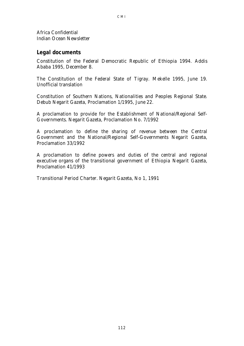Africa Confidential Indian Ocean Newsletter

# **Legal documents**

*Constitution of the Federal Democratic Republic of Ethiopia 1994*. Addis Ababa 1995, December 8.

*The Constitution of the Federal State of Tigray.* Mekelle 1995, June 19. Unofficial translation

*Constitution of Southern Nations, Nationalities and Peoples Regional State.* Debub Negarit Gazeta, Proclamation 1/1995, June 22.

*A proclamation to provide for the Establishment of National/Regional Self-Governments.* Negarit Gazeta, Proclamation No. 7/1992

*A proclamation to define the sharing of revenue between the Central Government and the National/Regional Self-Governments* Negarit Gazeta, Proclamation 33/1992

*A proclamation to define powers and duties of the central and regional executive organs of the transitional government of Ethiopia* Negarit Gazeta, Proclamation 41/1993

*Transitional Period Charter.* Negarit Gazeta, No 1, 1991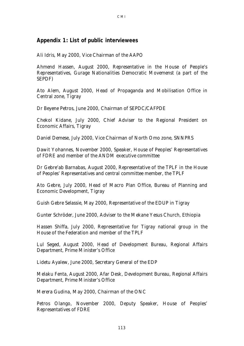# **Appendix 1: List of public interviewees**

Ali Idris, May 2000, Vice Chairman of the AAPO

Ahmend Hassen, August 2000, Representative in the House of People's Representatives, Gurage Nationalities Democratic Movemenst (a part of the SEPDF)

CMI

Ato Alem, August 2000, Head of Propaganda and Mobilisation Office in Central zone, Tigray

Dr Beyene Petros, June 2000, Chairman of SEPDC/CAFPDE

Chekol Kidane, July 2000, Chief Adviser to the Regional President on Economic Affairs, Tigray

Daniel Demese, July 2000, Vice Chairman of North Omo zone, SNNPRS

Dawit Yohannes, November 2000, Speaker, House of Peoples' Representatives of FDRE and member of the ANDM executive committee

Dr Gebre'ab Barnabas, August 2000, Representative of the TPLF in the House of Peoples' Representatives and central committee member, the TPLF

Ato Gebre, July 2000, Head of Macro Plan Office, Bureau of Planning and Economic Development, Tigray

Guish Gebre Selassie, May 2000, Representative of the EDUP in Tigray

Gunter Schröder, June 2000, Adviser to the Mekane Yesus Church, Ethiopia

Hassen Shiffa, July 2000, Representative for Tigray national group in the House of the Federation and member of the TPLF

Lul Seged, August 2000, Head of Development Bureau, Regional Affairs Department, Prime Minister's Office

Lidetu Ayalew, June 2000, Secretary General of the EDP

Melaku Fenta, August 2000, Afar Desk, Development Bureau, Regional Affairs Department, Prime Minister's Office

Merera Gudina, May 2000, Chairman of the ONC

Petros Olango, November 2000, Deputy Speaker, House of Peoples' Representatives of FDRE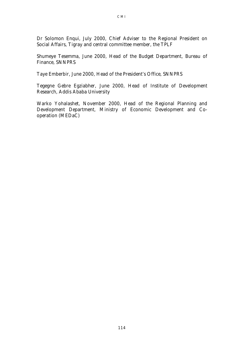Dr Solomon Enqui, July 2000, Chief Adviser to the Regional President on Social Affairs, Tigray and central committee member, the TPLF

Shumeye Tesemma, June 2000, Head of the Budget Department, Bureau of Finance, SNNPRS

Taye Emberbir, June 2000, Head of the President's Office, SNNPRS

Tegegne Gebre Egziabher, June 2000, Head of Institute of Development Research, Addis Ababa University

Warko Yohalashet, November 2000, Head of the Regional Planning and Development Department, Ministry of Economic Development and Cooperation (MEDaC)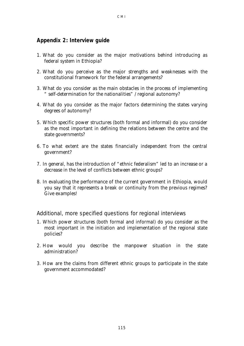# **Appendix 2: Interview guide**

- 1. What do you consider as the major motivations behind introducing as federal system in Ethiopia?
- 2. What do you perceive as the major strengths and weaknesses with the constitutional framework for the federal arrangements?
- 3. What do you consider as the main obstacles in the process of implementing " self-determination for the nationalities" / regional autonomy?
- 4. What do you consider as the major factors determining the states varying degrees of autonomy?
- 5. Which specific power structures (both formal and informal) do you consider as the most important in defining the relations between the centre and the state governments?
- 6. To what extent are the states financially independent from the central government?
- 7. In general, has the introduction of "ethnic federalism" led to an increase or a decrease in the level of conflicts between ethnic groups?
- 8. In evaluating the performance of the current government in Ethiopia, would you say that it represents a break or continuity from the previous regimes? Give examples!

### *Additional, more specified questions for regional interviews*

- 1. Which power structures (both formal and informal) do you consider as the most important in the initiation and implementation of the regional state policies?
- 2. How would you describe the manpower situation in the state administration?
- 3. How are the claims from different ethnic groups to participate in the state government accommodated?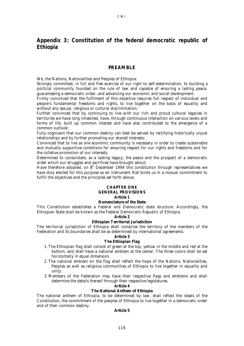# **Appendix 3: Constitution of the federal democratic republic of Ethiopia**

### **PREAMBLE**

We, the Nations, Nationalities and Peoples of Ethiopia:

Strongly committed, in full and free exercise of our right to self-determination, to building a political community founded on the rule of law and capable of ensuring a lasting peace, guaranteeing a democratic order, and advancing our economic and social development.

Firmly convinced that the fulfilment of this objective requires full respect of individual and people's fundamental freedoms and rights, to live together on the basis of equality and without any sexual, religious or cultural discrimination;

Further convinced that by continuing to live with our rich and proud cultural legacies in territories we have long inhabited, have, through continuous interaction on various levels and forms of life, built up common interest and have also contributed to the emergence of a common outlook;

Fully cognizant that our common destiny can best be served by rectifying historically unjust relationships and by further promoting our shared interests;

Convinced that to live as one economic community is necessary in order to create sustainable and mutually supportive conditions for ensuring respect for our rights and freedoms and for the colletive promotion of our interests;

Determined to consolidate, as a lasting legacy, the peace and the prospect of a democratic order which our struggles and sacrifices have brought about;

Have therefore adopted, on  $8<sup>th</sup>$  December 1994 this constitution through representatives we have duly elected for this purpose as an instrument that binds us in a mutual commitment to fulfill the objectives and the principles set forth above.

### **CHAPTER ONE GENERAL PROVISIONS Article 1**

#### **Nomenclature of the State**

This Constitution establishes a Federal and Democratic state structure. Accordingly, the Ethiopian State shall be known as the Federal Democratic Republic of Ethiopia.

**Article 2**

### **Ethiopian Territorial Jurisdiction**

The territorial jurisdiction of Ethiopia shall comprise the territory of the members of the Federation and its boundaries shall be as determined by international agreements.

### **Article 3**

#### **The Ethiopian Flag**

- 1.The Ethiopian flag shall consist of green at the top, yellow in the middle and red at the bottom, and shall have a national emblem at the center. The three colors shall be set horizontally in equal dimension.
- 2.The national emblem on the flag shall reflect the hope of the Nations, Nationalities, Peoples as well as religious communities of Ethiopia to live together in equality and unity.
- 3.Members of the Federation may have their respective flags and emblems and shall determine the details thereof through their respective legislatures.

#### **Article 4**

#### **The National Anthem of Ethiopia**

The national anthem of Ethiopia, to be determined by law, shall reflect the ideals of the Constitution, the commitment of the peoples of Ethiopia to live together in a democratic order and of their common destiny.

#### **Article 5**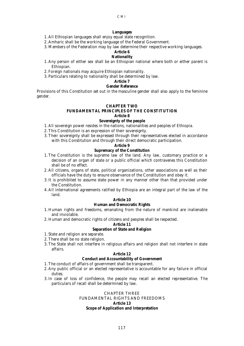#### **Languages**

1. All Ethiopian languages shall enjoy equal state recognition.

2. Amharic shall be the working language of the Federal Government.

3.Members of the Federation may by law determine their respective working languages.

# **Article 6**

### **Nationality**

- 1. Any person of either sex shall be an Ethiopian national where both or either parent is Ethiopian.
- 2. Foreign nationals may acquire Ethiopian nationality.
- 3. Particulars relating to nationality shall be determined by law.

### **Article 7**

### **Gender Reference**

Provisions of this Constitution set out in the masculine gender shall also apply to the feminine gender.

#### **CHAPTER TWO**

#### **FUNDAMENTAL PRINCIPLES OF THE CONSTITUTION Article 8**

# **Sovereignty of the people**

- 1. All sovereign power resides in the nations, nationalities and peoples of Ethiopia.
- 2.This Constitution is an expression of their sovereignty.
- 3.Their sovereignty shall be expressed through their representatives elected in accordance with this Constitution and through their direct democratic participation.

#### **Article 9**

### **Supremacy of the Constitution**

- 1.The Constitution is the supreme law of the land. Any law, customary practice or a decision of an organ of state or a public official which contravenes this Constitution shall be of no effect.
- 2. All citizens, organs of state, political organizations, other associations as well as their officials have the duty to ensure observance of the Constitution and obey it.
- 3.It is prohibited to assume state power in any manner other than that provided under the Constitution.
- 4. All international agreements ratified by Ethiopia are an integral part of the law of the land.

### **Article 10**

### **Human and Democratic Rights**

- 1. Human rights and freedoms, emanating from the nature of mankind are inalienable and inviolable.
- 2. Human and democratic rights of citizens and peoples shall be respected.

#### **Article 11**

#### **Separation of State and Religion**

- 1. State and religion are separate.
- 2.There shall be no state religion.
- 3.The State shall not interfere in religious affairs and religion shall not interfere in state affairs.

### **Article 12**

### **Conduct and Accountability of Government**

- 1.The conduct of affairs of government shall be transparent.
- 2. Any public official or an elected representative is accountable for any failure in official duties.
- 3.In case of loss of confidence, the people may recall an elected representative. The particulars of recall shall be determined by law.

### CHAPTER THREE FUNDAMENTAL RIGHTS AND FREEDOMS **Article 13 Scope of Application and Interpretation**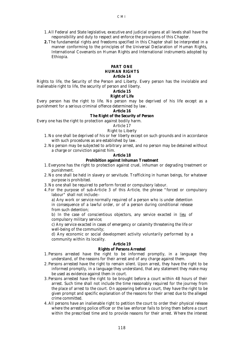- 1. All Federal and State legislative, executive and judicial organs at all levels shall have the responsibility and duty to respect and enforce the provisions of this Chapter.
- **2.**The fundamental rights and freedoms specified in this Chapter shall be interpreted in a manner conforming to the principles of the Universal Declaration of Human Rights, International Covenants on Human Rights and International instruments adopted by Ethiopia.

#### **PART ONE HUMAN RIGHTS Article 14**

Rights to life, the Security of the Person and Liberty. Every person has the inviolable and inalienable right to life, the security of person and liberty.

#### **Article 15 Right of Life**

Every person has the right to life. No person may be deprived of his life except as a punishment for a serious criminal offence determined by law.

#### **Article 16**

### **The Right of the Security of Person**

Every one has the right to protection against bodily harm.

#### Article 17

#### Right to Liberty

- 1. No one shall be deprived of his or her liberty except on such grounds and in accordance with such procedures as are established by law.
- 2. No person may be subjected to arbitrary arrest, and no person may be detained without a charge or conviction against him.

#### **Article 18**

#### **Prohibition against Inhuman Treatment**

- 1. Everyone has the right to protection against cruel, inhuman or degrading treatment or punishment.
- 2. No one shall be held in slavery or servitude. Trafficking in human beings, for whatever purpose is prohibited.
- 3. No one shall be required to perform forced or compulsory labour.
- 4. For the purpose of sub-Article 3 of this Article, the phrase "forced or compulsory labour" shall not include:-

a) Any work or service normally required of a person who is under detention in consequence of a lawful order, or of a person during conditional release from such detention;

b) In the case of conscientious objectors, any service exacted in lieu of compulsory military service;

c) Any service exacted in cases of emergency or calamity threatening the life or well-being of the community;

d) Any economic or social development activity voluntarily performed by a community within its locality.

#### **Article 19**

#### **Rights of Persons Arrested**

- 1. Persons arrested have the right to be informed promptly, in a language they understand, of the reasons for their arrest and of any charge against them.
- 2. Persons arrested have the right to remain silent. Upon arrest, they have the right to be informed promptly, in a language they understand, that any statement they make may be used as evidence against them in court.
- 3. Persons arrested have the right to be brought before a court within 48 hours of their arrest. Such time shall not include the time reasonably required for the journey from the place of arrest to the court. On appearing before a court, they have the right to be given prompt and specific explanation of the reasons for their arrest due to the alleged crime committed.
- 4. All persons have an inalienable right to petition the court to order their physical release where the arresting police officer or the law enforcer fails to bring them before a court within the prescribed time and to provide reasons for their arrest. Where the interest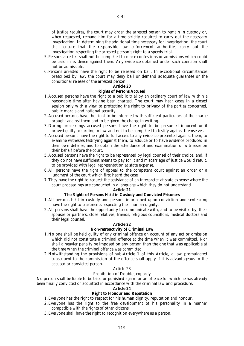of justice requires, the court may order the arrested person to remain in custody or, when requested, remand him for a time strictly required to carry out the necessary investigation. In determining the additional time necessary for investigation, the court shall ensure that the responsible law enforcement authorities carry out the investigation respecting the arrested person's right to a speedy trial.

- 5. Persons arrested shall not be compelled to make confessions or admissions which could be used in evidence against them. Any evidence obtained under such coercion shall not be admissible.
- 6. Persons arrested have the right to be released on bail. In exceptional circumstances prescribed by law, the court may deny bail or demand adequate guarantee or the conditional release of the arrested person.

### **Article 20**

#### **Rights of Persons Accused**

- 1. Accused persons have the right to a public trial by an ordinary court of law within a reasonable time after having been charged. The court may hear cases in a closed session only with a view to protecting the right to privacy of the parties concerned, public morals and national security.
- 2. Accused persons have the right to be informed with sufficient particulars of the charge brought against them and to be given the charge in writing.
- 3.During proceedings accused persons have the right to be presumed innocent until proved guilty according to law and not to be compelled to testify against themselves.
- 4. Accused persons have the right to full access to any evidence presented against them, to examine witnesses testifying against them, to adduce or to have evidence produced in their own defense, and to obtain the attendance of and examination of witnesses on their behalf before the court.
- 5. Accused persons have the right to be represented by legal counsel of their choice, and, if they do not have sufficient means to pay for it and miscarriage of justice would result, to be provided with legal representation at state expense.
- 6. All persons have the right of appeal to the competent court against an order or a judgment of the court which first heard the case.
- 7.They have the right to request the assistance of an interpreter at state expense where the court proceedings are conducted in a language which they do not understand.

#### **Article 21**

#### **The Rights of Persons Held in Custody and Convicted Prisoners**

- 1. All persons held in custody and persons imprisoned upon conviction and sentencing have the right to treatments respecting their human dignity.
- 2. All persons shall have the opportunity to communicate with, and to be visited by, their spouses or partners, close relatives, friends, religious councillors, medical doctors and their legal counsel.

#### **Article 22**

#### **Non-retroactivity of Criminal Law**

- 1. No one shall be held guilty of any criminal offence on account of any act or omission which did not constitute a criminal offence at the time when it was committed. Nor shall a heavier penalty be imposed on any person than the one that was applicable at the time when the criminal offence was committed.
- 2. Notwithstanding the provisions of sub-Article 1 of this Article, a law promulgated subsequent to the commission of the offence shall apply if it is advantageous to the accused or convicted person.

### Article 23

#### Prohibition of Double Jeopardy

No person shall be liable to be tried or punished again for an offence for which he has already been finally convicted or acquitted in accordance with the criminal law and procedure.

#### **Article 24**

#### **Right to Honour and Reputation**

- 1. Everyone has the right to respect for his human dignity, reputation and honour.
- 2. Everyone has the right to the free development of his personality in a manner compatible with the rights of other citizens.
- 3. Everyone shall have the right to recognition everywhere as a person.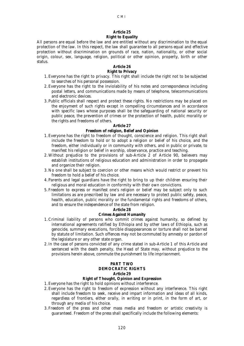C<sub>M</sub><sub>I</sub>

### **Article 25 Right to Equality**

All persons are equal before the law and are entitled without any discrimination to the equal protection of the law. In this respect, the law shall guarantee to all persons equal and effective protection without discrimination on grounds of race, nation, nationality, or other social origin, colour, sex, language, religion, political or other opinion, property, birth or other status.

### **Article 26**

### **Right to Privacy**

- 1. Everyone has the right to privacy. This right shall include the right not to be subjected to searches of his personal possession.
- 2. Everyone has the right to the inviolability of his notes and correspondence including postal letters, and communications made by means of telephone, telecommunications and electronic devices.
- 3. Public officials shall respect and protect these rights. No restrictions may be placed on the enjoyment of such rights except in compelling circumstances and in accordance with specific laws whose purposes shall be the safeguarding of national security or public peace, the prevention of crimes or the protection of health, public morality or the rights and freedoms of others.

### **Article 27**

#### **Freedom of religion, Belief and Opinion**

- 1. Everyone has the right to freedom of thought, conscience and religion. This right shall include the freedom to hold or to adopt a religion or belief of his choice, and the freedom, either individually or in community with others, and in public or private, to manifest his religion or belief in worship, observance, practice and teaching.
- 2.Without prejudice to the provisions of sub-Article 2 of Article 90, believers may establish institutions of religious education and administration in order to propagate and organize their religion.
- 3. No one shall be subject to coercion or other means which would restrict or prevent his freedom to hold a belief of his choice.
- 4. Parents and legal guardians have the right to bring to up their children ensuring their religious and moral education in conformity with their own convictions.
- 5. Freedom to express or manifest one's religion or belief may be subject only to such limitations as are prescribed by law and are necessary to protect public safety, peace, health, education, public morality or the fundamental rights and freedoms of others, and to ensure the independence of the state from religion.

#### **Article 28**

#### **Crimes Against Humanity**

- 1. Criminal liability of persons who commit crimes against humanity, so defined by international agreements ratified by Ethiopia and by other laws of Ethiopia, such as genocide, summary executions, forcible disappearances or torture shall not be barred by statute of limitation. Such offences may not be commuted by amnesty or pardon of the legislature or any other state organ.
- 2.In the case of persons convicted of any crime stated in sub-Article 1 of this Article and sentenced with the death penalty, the Head of State may, without prejudice to the provisions herein above, commute the punishment to life imprisonment.

### **PART TWO DEMOCRATIC RIGHTS Article 29**

#### **Right of Thought, Opinion and Expression**

- 1. Everyone has the right to hold opinions without interference.
- 2. Everyone has the right to freedom of expression without any interference. This right shall include freedom to seek, receive and impart information and ideas of all kinds, regardless of frontiers, either orally, in writing or in print, in the form of art, or through any media of his choice.
- 3. Freedom of the press and other mass media and freedom or artistic creativity is guaranteed. Freedom of the press shall specifically include the following elements: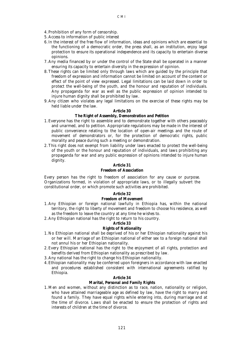- 4. Prohibition of any form of censorship.
- 5. Access to information of public interest
- 6.In the interest of the free flow of information, ideas and opinions which are essential to the functioning of a democratic order, the press shall, as an institution, enjoy legal protection to ensure its operational independence and its capacity to entertain diverse opinions.
- 7. Any media financed by or under the control of the State shall be operated in a manner ensuring its capacity to entertain diversity in the expression of opinion.
- 8.These rights can be limited only through laws which are guided by the principle that freedom of expression and information cannot be limited on account of the content or effect of the point of view expressed. Legal limitations can be laid down in order to protect the well-being of the youth, and the honour and reputation of individuals. Any propaganda for war as well as the public expression of opinion intended to injure human dignity shall be prohibited by law.
- 9. Any citizen who violates any legal limitations on the exercise of these rights may be held liable under the law.

### **Article 30**

### **The Right of Assembly, Demonstration and Petition**

- 1. Everyone has the right to assemble and to demonstrate together with others peaceably and unarmed, and to petition. Appropriate regulations may be made in the interest of public convenience relating to the location of open-air meetings and the route of movement of demonstrators or, for the protection of democratic rights, public morality and peace during such a meeting or demonstration.
- 2.This right does not exempt from liability under laws enacted to protect the well-being of the youth or the honour and reputation of individuals, and laws prohibiting any propaganda for war and any public expression of opinions intended to injure human dignity.

#### **Article 31 Freedom of Association**

Every person has the right to freedom of association for any cause or purpose. Organizations formed, in violation of appropriate laws, or to illegally subvert the constitutional order, or which promote such activities are prohibited.

#### **Article 32**

#### **Freedom of Movement**

- 1. Any Ethiopian or foreign national lawfully in Ethiopia has, within the national territory, the right to liberty of movement and freedom to choose his residence, as well as the freedom to leave the country at any time he wishes to.
- 2. Any Ethiopian national has the right to return to his country.

#### **Article 33**

#### **Rights of Nationality**

- 1. No Ethiopian national shall be deprived of his or her Ethiopian nationality against his or her will. Marriage of an Ethiopian national of either sex to a foreign national shall not annul his or her Ethiopian nationality.
- 2. Every Ethiopian national has the right to the enjoyment of all rights, protection and benefits derived from Ethiopian nationality as prescribed by law.
- 3. Any national has the right to change his Ethiopian nationality.
- 4. Ethiopian nationality may be conferred upon foreigners in accordance with law enacted and procedures established consistent with international agreements ratified by Ethiopia.

#### **Article 34**

### **Marital, Personal and Family Rights**

1.Men and women, without any distinction as to race, nation, nationality or religion, who have attained marriageable age as defined by law, have the right to marry and found a family. They have equal rights while entering into, during marriage and at the time of divorce. Laws shall be enacted to ensure the protection of rights and interests of children at the time of divorce.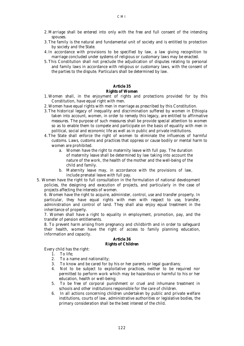- 2.Marriage shall be entered into only with the free and full consent of the intending spouses.
- 3.The family is the natural and fundamental unit of society and is entitled to protection by society and the State.
- 4.In accordance with provisions to be specified by law, a law giving recognition to marriage concluded under systems of religious or customary laws may be enacted.
- 5.This Constitution shall not preclude the adjudication of disputes relating to personal and family laws in accordance with religious or customary laws, with the consent of the parties to the dispute. Particulars shall be determined by law.

#### **Article 35 Rights of Women**

- 1.Women shall, in the enjoyment of rights and protections provided for by this Constitution, have equal right with men.
- 2.Women have equal rights with men in marriage as prescribed by this Constitution.
- 3.The historical legacy of inequality and discrimination suffered by women in Ethiopia taken into account, women, in order to remedy this legacy, are entitled to affirmative measures. The purpose of such measures shall be provide special attention to women so as to enable them to compete and participate on the basis of equality with men in political, social and economic life as well as in public and private institutions.
- 4.The State shall enforce the right of women to eliminate the influences of harmful customs. Laws, customs and practices that oppress or cause bodily or mental harm to women are prohibited.
	- a. Women have the right to maternity leave with full pay. The duration of maternity leave shall be determined by law taking into account the nature of the work, the health of the mother and the well-being of the child and family.
	- b. Maternity leave may, in accordance with the provisions of law, include prenatal leave with full pay.
- 5. Women have the right to full consultation in the formulation of national development policies, the designing and execution of projects, and particularly in the case of projects affecting the interests of women.

6. Women have the right to acquire, administer, control, use and transfer property. In particular, they have equal rights with men with respect to use, transfer, administration and control of land. They shall also enjoy equal treatment in the inheritance of property.

7. Women shall have a right to equality in employment, promotion, pay, and the transfer of pension entitlements.

8. To prevent harm arising from pregnancy and childbirth and in order to safeguard their health, women have the right of access to family planning education, information and capacity.

#### **Article 36 Rights of Children**

Every child has the right:

- 1. To life;
- 2. To a name and nationality;
- 3. To know and be cared for by his or her parents or legal guardians;
- 4. Not to be subject to exploitative practices, neither to be required nor permitted to perform work which may be hazardous or harmful to his or her education, health or well-being;
- 5. To be free of corporal punishment or cruel and inhumane treatment in schools and other institutions responsible for the care of children.
- 6. In all actions concerning children undertaken by public and private welfare institutions, courts of law, administrative authorities or legislative bodies, the primary consideration shall be the best interest of the child.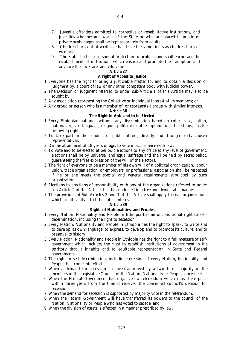- 7. Juvenile offenders admitted to corrective or rehabilitative institutions, and juveniles who become wards of the State or who are placed in public or private orphanages, shall be kept separately from adults.
- 8. Children born out of wedlock shall have the same rights as children born of wedlock.
- 9. The State shall accord special protection to orphans and shall encourage the establishment of institutions which ensure and promote their adoption and advance their welfare, and education.

### **Article 37**

### **A right of Access to Justice**

- 1. Everyone has the right to bring a justiciable matter to, and to obtain a decision or judgment by, a court of law or any other competent body with judicial power.
- 2.The Decision or judgment referred to under sub-Article 1 of this Article may also be sought by:
- 3. Any association representing the Collective or individual interest of its members; or
- 4. Any group or person who is a member of, or represents a group with similar interests.

### **Article 38**

### **The Right to Vote and to be Elected**

- 1. Every Ethiopian national, without any discrimination based on color, race, nation, nationality, sex, language, religion, political or other opinion or other status, has the following rights:
- 2.To take part in the conduct of public affairs, directly and through freely chosen representatives;
- 3. On the attainment of 18 years of age, to vote in accordance with law;
- 4.To vote and to be elected at periodic elections to any office at any level of government; elections shall be by universal and equal suffrage and shall be held by secret ballot, guaranteeing the free expression of the will of the electors.
- 5.The right of everyone to be a member of his own will of a political organization, labour union, trade organization, or employers' or professional association shall be respected if he or she meets the special and general requirements stipulated by such organization.
- 6. Elections to positions of responsibility with any of the organizations referred to under sub-Article 2 of this Article shall be conducted in a free and democratic manner.
- 7.The provisions of Sub-Articles 2 and 3 of this Article shall apply to civic organizations which significantly affect the public interest.

#### **Article 39**

#### **Rights of Nationalities, and Peoples**

- 1. Every Nation, Nationality and People in Ethiopia has an unconditional right to selfdetermination, including the right to secession.
- 2. Every Nation, Nationality and People in Ethiopia has the right to speak, to write and to develop its own language; to express, to develop and to promote its culture; and to preserve its history.
- 3. Every Nation, Nationality and People in Ethiopia has the right to a full measure of selfgovernment which includes the right to establish institutions of government in the territory that it inhabits and to equitable representation in State and Federal governments.
- 4.The right to self-determination, including secession of every Nation, Nationality and People shall come into effect:
- 5.When a demand for secession has been approved by a two-thirds majority of the members of the Legislative Council of the Nation, Nationality or People concerned;
- 6.When the Federal Government has organized a referendum which must take place within three years from the time it received the concerned council's decision for secession;
- 7.When the demand for secession is supported by majority vote in the referendum;
- 8.When the Federal Government will have transferred its powers to the council of the Nation, Nationality or People who has voted to secede; and
- 9.When the division of assets is effected in a manner prescribed by law.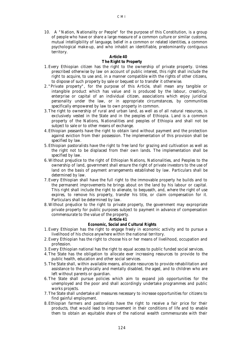10. A "Nation, Nationality or People" for the purpose of this Constitution, is a group of people who have or share a large measure of a common culture or similar customs, mutual intelligibility of language, belief in a common or related identities, a common psychological make-up, and who inhabit an identifiable, predominantly contiguous territory.

# **Article 40**

### **The Right to Property**

- 1. Every Ethiopian citizen has the right to the ownership of private property. Unless prescribed otherwise by law on account of public interest, this right shall include the right to acquire, to use and, in a manner compatible with the rights of other citizens, to dispose of such property by sale or bequest or to transfer it otherwise.
- 2. "Private property", for the purpose of this Article, shall mean any tangible or intangible product which has value and is produced by the labour, creativity, enterprise or capital of an individual citizen, associations which enjoy juridical personality under the law, or in appropriate circumstances, by communities specifically empowered by law to own property in common.
- 3.The right to ownership of rural and urban land, as well as of all natural resources, is exclusively vested in the State and in the peoples of Ethiopia. Land is a common property of the Nations, Nationalities and peoples of Ethiopia and shall not be subject to sale or to other means of exchange.
- 4. Ethiopian peasants have the right to obtain land without payment and the protection against eviction from their possession. The implementation of this provision shall be specified by law.
- 5. Ethiopian pastoralists have the right to free land for grazing and cultivation as well as the right not to be displaced from their own lands. The implementation shall be specified by law.
- 6.Without prejudice to the right of Ethiopian Nations, Nationalities, and Peoples to the ownership of land, government shall ensure the right of private investors to the use of land on the basis of payment arrangements established by law. Particulars shall be determined by law.
- 7. Every Ethiopian shall have the full right to the immovable property he builds and to the permanent improvements he brings about on the land by his labour or capital. This right shall include the right to alienate, to bequeath, and, where the right of use expires, to remove his property, transfer his title, or claim compensation for it. Particulars shall be determined by law.
- 8.Without prejudice to the right to private property, the government may expropriate private property for public purposes subject to payment in advance of compensation commensurate to the value of the property.

#### **Article 41**

#### **Economic, Social and Cultural Rights**

- 1. Every Ethiopian has the right to engage freely in economic activity and to pursue a livelihood of his choice anywhere within the national territory.
- 2. Every Ethiopian has the right to choose his or her means of livelihood, occupation and profession.
- 3. Every Ethiopian national has the right to equal access to public funded social services.
- 4.The State has the obligation to allocate ever increasing resources to provide to the public health, education and other social services.
- 5.The State shall, within available means, allocate resources to provide rehabilitation and assistance to the physically and mentally disabled, the aged, and to children who are left without parents or guardian.
- 6.The State shall pursue policies which aim to expand job opportunities for the unemployed and the poor and shall accordingly undertake programmes and public works projects.
- 7.The State shall undertake all measures necessary to increase opportunities for citizens to find gainful employment.
- 8. Ethiopian farmers and pastoralists have the right to receive a fair price for their products, that would lead to improvement in their conditions of life and to enable them to obtain an equitable share of the national wealth commensurate with their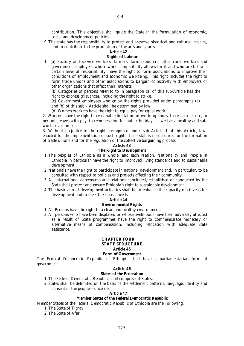contribution. This objective shall guide the State in the formulation of economic, social and development policies.

9.The state has the responsibility to protect and preserve historical and cultural legacies, and to contribute to the promotion of the arts and sports.

### **Article 42**

### **Rights of Labour**

1. (a) Factory and service workers, farmers, farm labourers, other rural workers and government employees whose work compatibility allows for it and who are below a certain level of responsibility, have the right to form associations to improve their conditions of employment and economic well-being. This right includes the right to form trade unions and other associations to bargain collectively with employers or other organizations that affect their interests.

(b) Categories of persons referred to in paragraph (a) of this sub-Article has the right to express grievances, including the right to strike.

(c) Government employees who enjoy the rights provided under paragraphs (a) and (b) of this sub – Article shall be determined by law.

(d) Women workers have the right to equal pay for equal work.

2. Workers have the right to reasonable limitation of working hours, to rest, to leisure, to periodic leaves with pay, to remuneration for public holidays as well as a healthy and safe work environment.

3. Without prejudice to the rights recognized under sub–Article 1 of this Article, laws enacted for the implementation of such rights shall establish procedures for the formation of trade unions and for the regulation of the collective bargaining process.

### **Article 43**

### **The Right to Development**

- 1.The peoples of Ethiopia as a whole, and each Nation, Nationality and People in Ethiopia in particular have the right to improved living standards and to sustainable development.
- 2. Nationals have the right to participate in national development and, in particular, to be consulted with respect to policies and projects affecting their community.
- 3. All international agreements and relations concluded, established or conducted by the State shall protect and ensure Ethiopia's right to sustainable development.
- 4.The basic aim of development activities shall be to enhance the capacity of citizens for development and to meet their basic needs.

#### **Article 44**

#### **Environmental Rights**

- 1. All Persons have the right to a clean and healthy environment.
- 2. All persons who have been displaced or whose livelihoods have been adversely affected as a result of State programmes have the right to commensurate monetary or alternative means of compensation, including relocation with adequate State assistance.

## **CHAPTER FOUR STATE STRUCTURE**

# **Article 45**

### **Form of Government**

The Federal Democratic Republic of Ethiopia shall have a parliamentarian form of government.

### **Article 46**

### **States of the Federation**

- 1.The Federal Democratic Republic shall comprise of States.
- 2. States shall be delimited on the basis of the settlement patterns, language, identity and consent of the peoples concerned.

#### **Article 47**

### **Member States of the Federal Democratic Republic**

Member States of the Federal Democratic Republic of Ethiopia are the Following:

- 1.The State of Tigray
- 2.The State of Afar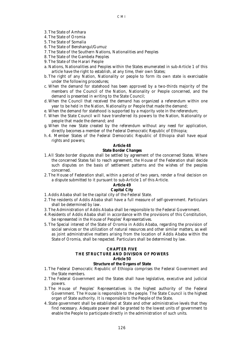- 3.The State of Amhara
- 4.The State of Oromia
- 5.The State of Somalia
- 6.The State of Benshangul/Gumuz
- 7.The State of the Southern Nations, Nationalities and Peoples
- 8.The State of the Gambela Peoples
- 9.The State of the Harari People
- a. Nations, Nationalities and Peoples within the States enumerated in sub-Article 1 of this article have the right to establish, at any time, their own States;
- b.The right of any Nation, Nationality or people to form its own state is exercisable under the following procedures;
- c. When the demand for statehood has been approved by a two-thirds majority of the members of the Council of the Nation, Nationality or People concerned, and the demand is presented in writing to the State Council;
- d.When the Council that received the demand has organized a referendum within one year to be held in the Nation, Nationality or People that made the demand;
- e. When the demand for statehood is supported by a majority vote in the referendum;
- f. When the State Council will have transferred its powers to the Nation, Nationality or people that made the demand; and
- g. When the new State created by the referendum without any need for application, directly becomes a member of the Federal Democratic Republic of Ethiopia;
- h. 4. Member States of the Federal Democratic Republic of Ethiopia shall have equal rights and powers;

### **Article 48**

### **State Border Changes**

- 1. All State border disputes shall be settled by agreement of the concerned States. Where the concerned States fail to reach agreement, the House of the Federation shall decide such disputes on the basis of settlement patterns and the wishes of the peoples concerned.
- 2.The House of Federation shall, within a period of two years, render a final decision on a dispute submitted to it pursuant to sub-Article 1 of this Article.

### **Article 49**

#### **Capital City**

- 1. Addis Ababa shall be the capital city of the Federal State.
- 2.The residents of Addis Ababa shall have a full measure of self-government. Particulars shall be determined by law.
- 3.The Administration of Addis Ababa shall be responsible to the Federal Government.
- 4. Residents of Addis Ababa shall in accordance with the provisions of this Constitution, be represented in the House of Peoples' Representatives.
- 5.The Special interest of the State of Oromia in Addis Ababa, regarding the provision of social services or the utilization of natural resources and other similar matters, as well as joint administrative matters arising from the location of Addis Ababa within the State of Oromia, shall be respected. Particulars shall be determined by law.

### **CHAPTER FIVE THE STRUCTURE AND DIVISION OF POWERS Article 50**

#### **Structure of the Organs of State**

- 1.The Federal Democratic Republic of Ethiopia comprises the Federal Government and the State members.
- 2.The Federal Government and the States shall have legislative, executive and judicial powers.
- 3.The House of Peoples' Representatives is the highest authority of the Federal Government. The House is responsible to the people. The State Council is the highest organ of State authority. It is responsible to the People of the State.
- 4. State government shall be established at State and other administrative levels that they find necessary. Adequate power shall be granted to the lowest units of government to enable the People to participate directly in the administration of such units.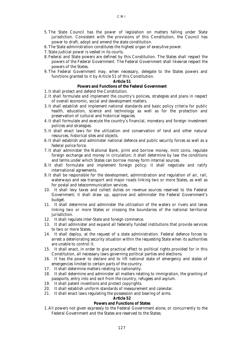- 5.The State Council has the power of legislation on matters falling under State jurisdiction. Consistent with the provisions of this Constitution, the Council has power to draft, adopt and amend the state constitution.
- 6.The State administration constitutes the highest organ of executive power.
- 7. State judicial power is vested in its courts.
- 8. Federal and State powers are defined by this Constitution. The States shall respect the powers of the Federal Government. The Federal Government shall likewise respect the powers of the States.
- 9.The Federal Government may, when necessary, delegate to the States powers and functions granted to it by Article 51 of this Constitution.

#### **Article 51**

### **Powers and Functions of the Federal Government**

- 1.It shall protect and defend the Constitution.
- 2.It shall formulate and implement the country's policies, strategies and plans in respect of overall economic, social and development matters.
- 3.It shall establish and implement national standards and basic policy criteria for public health, education, science and technology as well as for the protection and preservation of cultural and historical legacies.
- 4.It shall formulate and execute the country's financial, monetary and foreign investment policies and strategies.
- 5.It shall enact laws for the utilization and conservation of land and other natural resources, historical sites and objects.
- 6.It shall establish and administer national defence and public security forces as well as a federal police force.
- 7.It shall administer the National Bank, print and borrow money, mint coins, regulate foreign exchange and money in circulation; it shall determine by law the conditions and terms under which States can borrow money form internal sources.
- 8.It shall formulate and implement foreign policy; it shall negotiate and ratify international agreements.
- 9.It shall be responsible for the development, administration and regulation of air, rail, waterways and sea transport and major roads linking two or more States, as well as for postal and telecommunication services.
- 10. It shall levy taxes and collect duties on revenue sources reserved to the Federal Government; it shall draw up, approve and administer the Federal Government's budget.
- 11. It shall determine and administer the utilization of the waters or rivers and lakes linking two or more States or crossing the boundaries of the national territorial jurisdiction.
- 12. It shall regulate inter-State and foreign commerce.
- 13. It shall administer and expand all federally funded institutions that provide services to two or more States.
- 14. It shall deploy, at the request of a state administration. Federal defence forces to arrest a deteriorating security situation within the requesting State when its authorities are unable to control it.
- 15. It shall enact, in order to give practical effect to political rights provided for in this Constitution, all necessary laws governing political parties and elections.
- 16. It has the power to declare and to lift national state of emergency and states of emergencies limited to certain parts of the country.
- 17. It shall determine matters relating to nationality.
- 18. It shall determine and administer all matters relating to immigration, the granting of passports, entry into and exit from the country, refugees and asylum.
- 19. It shall patent inventions and protect copyrights.
- 20. It shall establish uniform standards of measurement and calendar.
- 21. It shall enact laws regulating the possession and bearing of arms.

### **Article 52**

### **Powers and Functions of States**

1. All powers not given expressly to the Federal Government alone, or concurrently to the Federal Government and the States are reserved to the States;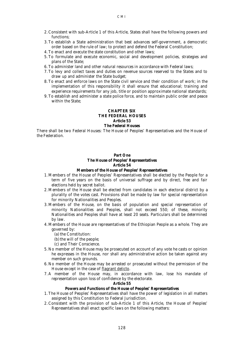- 2. Consistent with sub-Article 1 of this Article, States shall have the following powers and functions;
- 3.To establish a State administration that best advances self-government, a democratic order based on the rule of law; to protect and defend the Federal Constitution;
- 4.To enact and execute the state constitution and other laws;
- 5.To formulate and execute economic, social and development policies, strategies and plans of the State;
- 6.To administer land and other natural resources in accordance with Federal laws;
- 7.To levy and collect taxes and duties on revenue sources reserved to the States and to draw up and administer the State budget;
- 8.To enact and enforce laws on the State civil service and their condition of work; in the implementation of this responsibility it shall ensure that educational; training and experience requirements for any job, title or position approximate national standards;
- 9.To establish and administer a state police force, and to maintain public order and peace within the State;

#### **CHAPTER SIX THE FEDERAL HOUSES Article 53 The Federal Houses**

There shall be two Federal Houses: The House of Peoples' Representatives and the House of the Federation.

### **Part One The House of Peoples' Representatives Article 54**

### **Members of the House of Peoples' Representatives**

- 1.Members of the House of Peoples' Representatives shall be elected by the People for a term of five years on the basis of universal suffrage and by direct, free and fair elections held by secret ballot.
- 2.Members of the House shall be elected from candidates in each electoral district by a plurality of the votes cast. Provisions shall be made by law for special representation for minority Nationalities and Peoples.
- 3.Members of the House, on the basis of population and special representation of minority Nationalities and Peoples, shall not exceed 550; of these, minority Nationalities and Peoples shall have at least 20 seats. Particulars shall be determined by law.
- 4.Members of the House are representatives of the Ethiopian People as a whole. They are governed by:
	- (a) the Constitution:
	- (b) the will of the people;
	- (c) and Their Conscience.
- 5. No member of the House may be prosecuted on account of any vote he casts or opinion he expresses in the House, nor shall any administrative action be taken against any member on such grounds.
- 6. No member of the House may be arrested or prosecuted without the permission of the House except in the case of flagrant delicto.
- 7. A member of the House may, in accordance with law, lose his mandate of representation upon loss of confidence by the electorate.

#### **Article 55**

#### **Powers and Functions of the House of Peoples' Representatives**

- 1.The House of Peoples' Representatives shall have the power of legislation in all matters assigned by this Constitution to Federal Jurisdiction.
- 2. Consistent with the provision of sub-Article 1 of this Article, the House of Peoples' Representatives shall enact specific laws on the following matters: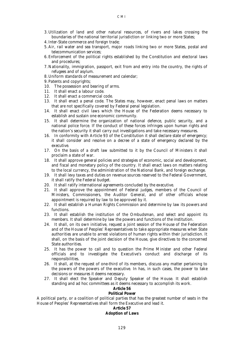3. Utilization of land and other natural resources, of rivers and lakes crossing the boundaries of the national territorial jurisdiction or linking two or more States;

C<sub>M</sub><sub>1</sub>

- 4.Inter-State commerce and foreign trade;
- 5. Air, rail water and sea transport, major roads linking two or more States, postal and telecommunication services;
- 6. Enforcement of the political rights established by the Constitution and electoral laws and procedures;
- 7. Nationality, immigration, passport, exit from and entry into the country, the rights of refugees and of asylum.
- 8. Uniform standards of measurement and calendar;
- 9. Patents and copyrights;
- 10. The possession and bearing of arms.
- 11. It shall enact a labour code.
- 12. It shall enact a commercial code.
- 13. It shall enact a penal code. The States may, however, enact penal laws on matters that are not specifically covered by Federal penal legislation.
- 14. It shall enact civil laws which the House of the Federation deems necessary to establish and sustain one economic community.
- 15. It shall determine the organization of national defence, public security, and a national police force. If the conduct of these forces infringes upon human rights and the nation's security it shall carry out investigations and take necessary measures.
- 16. In conformity with Article 93 of the Constitution it shall declare state of emergency; it shall consider and resolve on a decree of a state of emergency declared by the executive.
- 17. On the basis of a draft law submitted to it by the Council of Ministers it shall proclaim a state of war.
- 18. It shall approve general policies and strategies of economic, social and development, and fiscal and monetary policy of the country. It shall enact laws on matters relating to the local currency, the administration of the National Bank, and foreign exchange.
- 19. It shall levy taxes and duties on revenue sources reserved to the Federal Government, it shall ratify the Federal budget.
- 20. It shall ratify international agreements concluded by the executive.
- 21. It shall approve the appointment of Federal judges, members of the Council of Ministers, Commissioners, the Auditor General, and of other officials whose appointment is required by law to be approved by it.
- 22. It shall establish a Human Rights Commission and determine by law its powers and functions.
- 23. It shall establish the institution of the Ombudsman, and select and appoint its members. It shall determine by law the powers and functions of the institution.
- 24. It shall, on its own initiative, request a joint session of the House of the Federation and of the House of Peoples' Representatives to take appropriate measures when State authorities are unable to arrest violations of human rights within their jurisdiction. It shall, on the basis of the joint decision of the House, give directives to the concerned State authorities.
- 25. It has the power to call and to question the Prime Minister and other Federal officials and to investigate the Executive's conduct and discharge of its responsibilities.
- 26. It shall, at the request of one-third of its members, discuss any matter pertaining to the powers of the powers of the executive. In has, in such cases, the power to take decisions or measures it deems necessary.
- 27. It shall elect the Speaker and Deputy Speaker of the House. It shall establish standing and ad hoc committees as it deems necessary to accomplish its work.

#### **Article 56 Political Power**

A political party, or a coalition of political parties that has the greatest number of seats in the House of Peoples' Representatives shall form the Executive and lead it.

#### **Article 57**

#### **Adoption of Laws**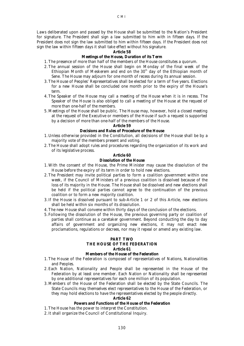Laws deliberated upon and passed by the House shall be submitted to the Nation's President for signature. The President shall sign a law submitted to him with in fifteen days. If the President does not sign the law submitted to him within fifteen days. If the President does not sign the law within fifteen days it shall take effect without his signature.

#### **Article 58**

### **Meetings of the House, Duration of its Term**

- 1.The presence of more than half of the members of the House constitutes a quorum.
- 2.The annual session of the House shall begin on Monday of the final week of the Ethiopian Month of Meskerem and end on the  $30<sup>th</sup>$  day of the Ethiopian month of Sene. The House may adjourn for one month of recess during its annual session.
- 3.The House of Peoples' Representatives shall be elected for a term of five years. Elections for a new House shall be concluded one month prior to the expiry of the House's term.
- 4.The Speaker of the House may call a meeting of the House when it is in recess. The Speaker of the House is also obliged to call a meeting of the House at the request of more than one-half of the members.
- 5.Meetings of the House shall be public. The House may, however, hold a closed meeting at the request of the Executive or members of the House if such a request is supported by a decision of more than one-half of the members of the House.

#### **Article 59**

#### **Decisions and Rules of Procedure of the House**

- 1. Unless otherwise provided in the Constitution, all decisions of the House shall be by a majority vote of the members present and voting.
- 2.The House shall adopt rules and procedures regarding the organization of its work and of its legislative process.

### **Article 60**

### **Dissolution of the House**

- 1.With the consent of the House, the Prime Minister may cause the dissolution of the House before the expiry of its term in order to hold new elections.
- 2.The President may invite political parties to form a coalition government within one week, if the Council of Ministers of a previous coalition is dissolved because of the loss of its majority in the House. The House shall be dissolved and new elections shall be held if the political parties cannot agree to the continuation of the previous coalition or to form a new majority coalition.
- 3.If the House is dissolved pursuant to sub-Article 1 or 2 of this Article, new elections shall be held within six months of its dissolution.
- 4.The new House shall convene within thirty days of the conclusion of the elections.
- 5. Following the dissolution of the House, the previous governing party or coalition of parties shall continue as a caretaker government. Beyond conducting the day to day affairs of government and organizing new elections, it may not enact new proclamations, regulations or decrees, nor may it repeal or amend any existing law.

### **PART TWO THE HOUSE OF THE FEDERATION Article 61**

### **Members of the House of the Federation**

- 1.The House of the Federation is composed of representatives of Nations, Nationalities and Peoples.
- 2. Each Nation, Nationality and People shall be represented in the House of the Federation by at least one member. Each Nation or Nationality shall be represented by one additional representatives for each one million of its population.
- 3.Members of the House of the Federation shall be elected by the State Councils. The State Councils may themselves elect representatives to the House of the Federation, or they may hold elections to have the representatives elected by the people directly.

#### **Article 62**

### **Powers and Functions of the House of the Federation**

- 1.The House has the power to interpret the Constitution.
- 2.It shall organize the Council of Constitutional Inquiry.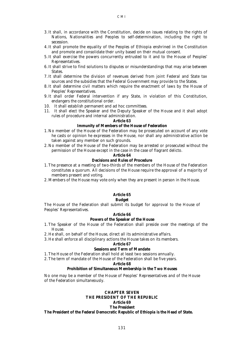- 3.It shall, in accordance with the Constitution, decide on issues relating to the rights of Nations, Nationalities and Peoples to self-determination, including the right to secession.
- 4.It shall promote the equality of the Peoples of Ethiopia enshrined in the Constitution and promote and consolidate their unity based on their mutual consent.
- 5.It shall exercise the powers concurrently entrusted to it and to the House of Peoples' Representatives.
- 6.It shall strive to find solutions to disputes or misunderstandings that may arise between **States**
- 7.It shall determine the division of revenues derived from joint Federal and State tax sources and the subsidies that the Federal Government may provide to the States.
- 8.It shall determine civil matters which require the enactment of laws by the House of Peoples' Representatives.
- 9.It shall order Federal intervention if any State, in violation of this Constitution, endangers the constitutional order.
- 10. It shall establish permanent and ad hoc committees.
- 11. It shall elect the Speaker and the Deputy Speaker of the House and it shall adopt rules of procedure and internal administration.

#### **Article 63**

### **Immunity of Members of the House of Federation**

- 1. No member of the House of the Federation may be prosecuted on account of any vote he casts or opinion he expresses in the House, nor shall any administrative action be taken against any member on such grounds.
- 2. No member of the House of the Federation may be arrested or prosecuted without the permission of the House except in the case in the case of flagrant delicto.

#### **Article 64**

#### **Decisions and Rules of Procedure**

- 1.The presence at a meeting of two-thirds of the members of the House of the Federation constitutes a quorum. All decisions of the House require the approval of a majority of members present and voting.
- 2.Members of the House may vote only when they are present in person in the House.

### **Article 65**

#### **Budget**

The House of the Federation shall submit its budget for approval to the House of Peoples' Representatives.

#### **Article 66**

#### **Powers of the Speaker of the House**

- 1.The Speaker of the House of the Federation shall preside over the meetings of the House.
- 2. He shall, on behalf of the House, direct all its administrative affairs.
- 3. He shall enforce all disciplinary actions the House takes on its members.

#### **Article 67**

#### **Sessions and Term of Mandate**

- 1.The House of the Federation shall hold at least two sessions annually.
- 2.The term of mandate of the House of the Federation shall be five years.

#### **Article 68**

### **Prohibition of Simultaneous Membership in the Two Houses**

No one may be a member of the House of Peoples' Representatives and of the House of the Federation simultaneously.

#### **CHAPTER SEVEN THE PRESIDENT OF THE REPUBLIC Article 69 The President**

#### **The President of the Federal Democratic Republic of Ethiopia is the Head of State.**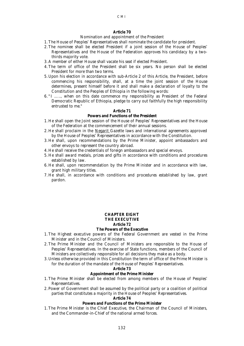#### **Article 70**

### Nomination and appointment of the President

- 1.The House of Peoples' Representatives shall nominate the candidate for president.
- 2.The nominee shall be elected President if a joint session of the House of Peoples' Representatives and the House of the Federation approves his candidacy by a twothirds majority vote.
- 3. A member of either House shall vacate his seat if elected President.
- 4.The term of office of the President shall be six years. No person shall be elected President for more than two terms.
- 5. Upon his election in accordance with sub-Article 2 of this Article, the President, before commencing his responsibility, shall, at a time the joint session of the House determines, present himself before it and shall make a declaration of loyalty to the Constitution and the Peoples of Ethiopia in the following words:
- 6. "I ….., when on this date commence my responsibility as President of the Federal Democratic Republic of Ethiopia, pledge to carry out faithfully the high responsibility entrusted to me."

### **Article 71**

### **Powers and Functions of the President**

- 1. He shall open the Joint session of the House of Peoples' Representatives and the House of the Federation at the commencement of their annual sessions.
- 2. He shall proclaim in the Negarit Gazette laws and international agreements approved by the House of Peoples' Representatives in accordance with the Constitution.
- 3. He shall, upon recommendations by the Prime Minister, appoint ambassadors and other envoys to represent the country abroad.
- 4. He shall receive the credentials of foreign ambassadors and special envoys.
- 5. He shall award medals, prizes and gifts in accordance with conditions and procedures established by law.
- 6. He shall, upon recommendation by the Prime Minister and in accordance with law, grant high military titles.
- 7. He shall, in accordance with conditions and procedures established by law, grant pardon.

### **CHAPTER EIGHT THE EXECUTIVE Article 72**

#### **The Powers of the Executive**

- 1.The Highest executive powers of the Federal Government are vested in the Prime Minister and in the Council of Ministers.
- 2.The Prime Minister and the Council of Ministers are responsible to the House of Peoples' Representatives. In the exercise of State functions, members of the Council of Ministers are collectively responsible for all decisions they make as a body.
- 3. Unless otherwise provided in this Constitution the term of office of the Prime Minister is for the duration of the mandate of the House of Peoples' Representatives.

#### **Article 73**

#### **Appointment of the Prime Minister**

- 1.The Prime Minister shall be elected from among members of the House of Peoples' Representatives.
- 2. Power of Government shall be assumed by the political party or a coalition of political parties that constitutes a majority in the House of Peoples' Representatives.

### **Article 74**

### **Powers and Functions of the Prime Minister**

1.The Prime Minister is the Chief Executive, the Chairman of the Council of Ministers, and the Commander-in-Chief of the national armed forces.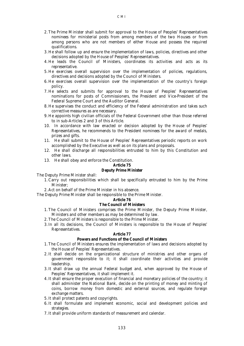2.The Prime Minister shall submit for approval to the House of Peoples' Representatives nominees for ministerial posts from among members of the two Houses or from among persons who are not members of either House and possess the required qualifications.

C<sub>M</sub><sub>I</sub>

- 3. He shall follow up and ensure the implementation of laws, policies, directives and other decisions adopted by the House of Peoples' Representatives.
- 4. He leads the Council of Ministers, coordinates its activities and acts as its representative.
- 5. He exercises overall supervision over the implementation of policies, regulations, directives and decisions adopted by the Council of Ministers.
- 6. He exercises overall supervision over the implementation of the country's foreign policy.
- 7. He selects and submits for approval to the House of Peoples' Representatives nominations for posts of Commissioners, the President and Vice-President of the Federal Supreme Court and the Auditor General.
- 8. He supervises the conduct and efficiency of the Federal administration and takes such corrective measures as are necessary.
- 9. He appoints high civilian officials of the Federal Government other than those referred to in sub-Articles 2 and 3 of this Article.
- 10. In accordance with law enacted or decision adopted by the House of Peoples' Representatives, he recommends to the President nominees for the award of medals, prizes and gifts.
- 11. He shall submit to the House of Peoples' Representatives periodic reports on work accomplished by the Executive as well as on its plans and proposals.
- 12. He shall discharge all responsibilities entrusted to him by this Constitution and other laws.
- 13. He shall obey and enforce the Constitution.

#### **Article 75**

### **Deputy Prime Minister**

The Deputy Prime Minister shall:

- 1. Carry out responsibilities which shall be specifically entrusted to him by the Prime Minister;
- 2. Act on behalf of the Prime Minister in his absence.
- The Deputy Prime Minister shall be responsible to the Prime Minister.

#### **Article 76**

### **The Council of Ministers**

- 1.The Council of Ministers comprises the Prime Minister, the Deputy Prime Minister, Ministers and other members as may be determined by law.
- 2.The Council of Ministers is responsible to the Prime Minister.
- 3.In all its decisions, the Council of Ministers is responsible to the House of Peoples' Representatives.

#### **Article 77**

#### **Powers and Functions of the Council of Ministers**

- 1.The Council of Ministers ensures the implementation of laws and decisions adopted by the House of Peoples' Representatives.
- 2.It shall decide on the organizational structure of ministries and other organs of government responsible to it; it shall coordinate their activities and provide leadership.
- 3.It shall draw up the annual Federal budget and, when approved by the House of Peoples' Representatives, it shall implement it.
- 4.It shall ensure the proper execution of financial and monetary policies of the country; it shall administer the National Bank, decide on the printing of money and minting of coins, borrow money from domestic and external sources, and regulate foreign exchange matters.
- 5.It shall protect patents and copyrights.
- 6.It shall formulate and implement economic, social and development policies and strategies.
- 7.It shall provide uniform standards of measurement and calendar.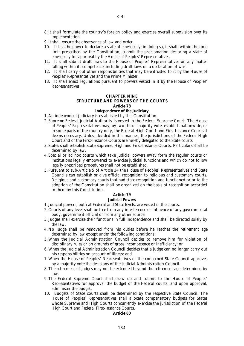- 8.It shall formulate the country's foreign policy and exercise overall supervision over its implementation.
- 9.It shall ensure the observance of law and order.
- 10. It has the power to declare a state of emergency; in doing so, it shall, within the time limit prescribed by the Constitution, submit the proclamation declaring a state of emergency for approval by the House of Peoples' Representatives.
- 11. It shall submit draft laws to the House of Peoples' Representatives on any matter falling within its competence, including draft laws on a declaration of war.
- 12. It shall carry out other responsibilities that may be entrusted to it by the House of Peoples' Representatives and the Prime Minister.
- 13. It shall enact regulations pursuant to powers vested in it by the House of Peoples' Representatives.

#### **CHAPTER NINE**

#### **STRUCTURE AND POWERS OF THE COURTS Article 78**

#### **Independence of the Judiciary**

- 1. An independent judiciary is established by this Constitution.
- 2. Supreme Federal judicial Authority is vested in the Federal Supreme Court. The House of Peoples' Representatives may, by two-thirds majority vote, establish nationwide, or in some parts of the country only, the Federal High Court and First Instance Courts it deems necessary. Unless decided in this manner, the jurisdictions of the Federal High Court and of the First-Instance Courts are hereby delegated to the State courts.
- 3. States shall establish State Supreme, High and First-Instance Courts. Particulars shall be determined by law.
- 4. Special or ad hoc courts which take judicial powers away form the regular courts or institutions legally empowered to exercise judicial functions and which do not follow legally prescribed procedures shall not be established.
- 5. Pursuant to sub-Article 5 of Article 34 the House of Peoples' Representatives and State Councils can establish or give official recognition to religious and customary courts. Religious and customary courts that had state recognition and functioned prior to the adoption of the Constitution shall be organized on the basis of recognition accorded to them by this Constitution.

#### **Article 79 Judicial Powers**

- 1.Judicial powers, both at Federal and State levels, are vested in the courts.
- 2. Courts of any level shall be free from any interference or influence of any governmental body, government official or from any other source.
- 3.Judges shall exercise their functions in full independence and shall be directed solely by the law.
- 4. No judge shall be removed from his duties before he reaches the retirement age determined by law except under the following conditions:
- 5.When the Judicial Administration Council decides to remove him for violation of disciplinary rules or on grounds of gross incompetence or inefficiency; or
- 6.When the Judicial Administration Council decides that a judge can no longer carry out his responsibilities on account of illness; and
- 7.When the House of Peoples' Representatives or the concerned State Council approves by a majority vote the decisions of the Judicial Administration Council.
- 8.The retirement of judges may not be extended beyond the retirement age determined by law.
- 9.The Federal Supreme Court shall draw up and submit to the House of Peoples' Representatives for approval the budget of the Federal courts, and upon approval, administer the budget.
- 10. Budgets of State courts shall be determined by the respective State Council. The House of Peoples' Representatives shall allocate compensatory budgets for States whose Supreme and High Courts concurrently exercise the jurisdiction of the Federal High Court and Federal First-Instance Courts.

#### **Article 80**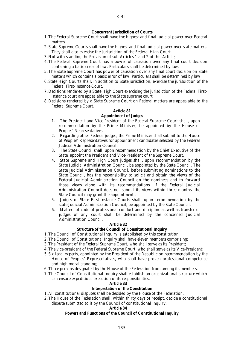#### **Concurrent Jurisdiction of Courts**

- 1.The Federal Supreme Court shall have the highest and final judicial power over Federal matters.
- 2. State Supreme Courts shall have the highest and final judicial power over state matters. They shall also exercise the Jurisdiction of the Federal High Court.
- 3. Not with standing the Provision of sub-Articles 1 and 2 of this Article;
- 4.The Federal Supreme Court has a power of causation over any final court decision containing a basic error of law. Particulars shall be determined by law.
- 5.The State Supreme Court has power of causation over any final court decision on State matters which contains a basic error of law. Particulars shall be determined by law.
- 6. State High Courts shall, in addition to State jurisdiction, exercise the jurisdiction of the Federal First-Instance Court.
- 7.Decisions rendered by a State High Court exercising the jurisdiction of the Federal First-Instance court are appealable to the State supreme court.
- 8.Decisions rendered by a State Supreme Court on Federal matters are appealable to the Federal Supreme Court.

### **Article 81**

### **Appointment of Judges**

- 1. The President and Vice-President of the Federal Supreme Court shall, upon recommendation by the Prime Minister, be appointed by the House of Peoples' Representatives.
- 2. Regarding other Federal judges, the Prime Minister shall submit to the House of Peoples' Representatives for appointment candidates selected by the Federal Judicial Administration Council.
- 3. The State Council shall, upon recommendation by the Chief Executive of the State, appoint the President and Vice-President of the Supreme Court.
- 4. State Supreme and High Court judges shall, upon recommendation by the State Judicial Administration Council, be appointed by the State Council. The State Judicial Administration Council, before submitting nominations to the State Council, has the responsibility to solicit and obtain the views of the Federal Judicial Administration Council on the nominees and to forward those views along with its recommendations. If the Federal Judicial Administration Council does not submit its views within three months, the State Council may grant the appointments.
- 5. Judges of State First-Instance Courts shall, upon recommendation by the state Judicial Administration Council, be appointed by the State Council.
- 6. Matters of code of professional conduct and discipline as well as transfer of judges of any court shall be determined by the concerned Judicial Administration Council.

#### **Article 82**

#### **Structure of the Council of Constitutional Inquiry**

- 1.The Council of Constitutional Inquiry is established by this constitution.
- 2.The Council of Constitutional Inquiry shall have eleven members comprising:
- 3.The President of the Federal Supreme Court, who shall serve as its President;
- 4.The vice-president of the Federal Supreme Court, who shall serve as its Vice-President:
- 5. Six legal experts, appointed by the President of the Republic on recommendation by the House of Peoples' Representatives, who shall have proven professional competence and high moral standing;
- 6.Three persons designated by the House of the Federation from among its members.
- 7.The Council of Constitutional Inquiry shall establish an organizational structure which can ensure expeditious execution of its responsibilities.

#### **Article 83**

### **Interpretation of the Constitution**

- 1. All constitutional disputes shall be decided by the House of the Federation.
- 2.The House of the Federation shall, within thirty days of receipt, decide a constitutional dispute submitted to it by the Council of constitutional Inquiry.

#### **Article 84**

#### **Powers and Functions of the Council of Constitutional Inquiry**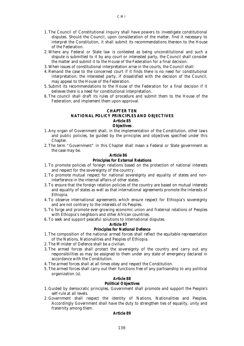- 1.The Council of Constitutional Inquiry shall have powers to investigate constitutional disputes. Should the Council, upon consideration of the matter, find it necessary to interpret the Constitution, it shall submit its recommendations thereon to the House of the Federation.
- 2.Where any Federal or State law is contested as being unconstitutional and such a dispute is submitted to it by any court or interested party, the Council shall consider the matter and submit it to the House of the Federation for a final decision.
- 3.When issues of constitutional interpretation arise in the courts, the Council shall:
- 4. Remand the case to the concerned court if it finds there is no need for constitutional interpretation; the interested party, if dissatisfied with the decision of the Council, may appeal to the House of the Federation.
- 5. Submit its recommendations to the House of the Federation for a final decision if it believes there is a need for constitutional interpretation.
- 6.The council shall draft its rules of procedure and submit them to the House of the Federation; and implement them upon approval.

#### **CHAPTER TEN NATIONAL POLICY PRINCIPLES AND OBJECTIVES Article 85 Objectives**

- 1. Any organ of Government shall, in the implementation of the Constitution, other laws and public policies, be guided by the principles and objectives specified under this Chapter.
- 2.The term "Government" in this Chapter shall mean a Federal or State government as the case may be.

#### **Article 86**

#### **Principles for External Relations**

- 1.To promote policies of foreign relations based on the protection of national interests and respect for the sovereignty of the country.
- 2.To promote mutual respect for national sovereignty and equality of states and noninterference in the internal affairs of other states.
- 3.To ensure that the foreign relation policies of the country are based on mutual interests and equality of states as well as that international agreements promote the interests of Ethiopia.
- 4.To observe international agreements which ensure respect for Ethiopia's sovereignty and are not contrary to the interests of its Peoples.
- 5.To forge and promote ever-growing economic union and fraternal relations of Peoples with Ethiopia's neighbors and other African countries.
- 6.To seek and support peaceful solutions to international disputes.

#### **Article 87**

#### **Principles for National Defence**

- 1.The composition of the national armed forces shall reflect the equitable representation of the Nations, Nationalities and Peoples of Ethiopia.
- 2.The Minister of Defence shall be a civilian.
- 3.The armed forces shall protect the sovereignty of the country and carry out any responsibilities as may be assigned to them under any state of emergency declared in accordance with the Constitution.
- 4.The armed forces shall at all times obey and respect the Constitution.
- 5.The armed forces shall carry out their functions free of any partisanship to any political organization (s).

### **Article 88**

### **Political Objectives**

- 1.Guided by democratic principles, Government shall promote and support the People's self-rule at all levels.
- 2.Government shall respect the identity of Nations, Nationalities and Peoples. Accordingly Government shall have the duty to strengthen ties of equality, unity and fraternity among them.

#### **Article 89**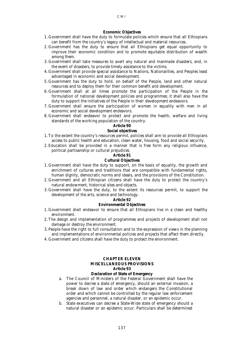#### **Economic Objectives**

- 1.Government shall have the duty to formulate policies which ensure that all Ethiopians can benefit from the country's legacy of intellectual and material resources.
- 2.Government has the duty to ensure that all Ethiopians get equal opportunity to improve their economic condition and to promote equitable distribution of wealth among them.
- 3.Government shall take measures to avert any natural and manmade disasters, and, in the event of disasters, to provide timely assistance to the victims.
- 4.Government shall provide special assistance to Nations, Nationalities, and Peoples least advantaged in economic and social development.
- 5.Government has the duty to hold, on behalf of the People, land and other natural resources and to deploy them for their common benefit and development.
- 6.Government shall at all times promote the participation of the People in the formulation of national development policies and programmes; it shall also have the duty to support the initiatives of the People in their development endeavors.
- 7.Government shall ensure the participation of women in equality with men in all economic and social development endeavors.
- 8.Government shall endeavor to protect and promote the health, welfare and living standards of the working population of the country.

#### **Article 90**

#### **Social objectives**

- 1.To the extent the country's resources permit, policies shall aim to provide all Ethiopians access to public health and education, clean water, housing, food and social security.
- 2. Education shall be provided in a manner that is free form any religious influence, political partisanship or cultural prejudices.

#### **Article 91**

#### **Cultural Objectives**

- 1.Government shall have the duty to support, on the basis of equality, the growth and enrichment of cultures and traditions that are compatible with fundamental rights, human dignity, democratic norms and ideals, and the provisions of the Constitution.
- 2.Government and all Ethiopian citizens shall have the duty to protect the country's natural endowment, historical sites and objects.
- 3.Government shall have the duty, to the extent its resources permit, to support the development of the arts, science and technology.

#### **Article 92**

#### **Environmental Objectives**

- 1.Government shall endeavor to ensure that all Ethiopians live in a clean and healthy environment.
- 2.The design and implementation of programmes and projects of development shall not damage or destroy the environment.
- 3. People have the right to full consultation and to the expression of views in the planning and implementations of environmental policies and projects that affect them directly.
- 4.Government and citizens shall have the duty to protect the environment.

### **CHAPTER ELEVEN MISCELLANEOUS PROVISIONS Article 93**

### **Declaration of State of Emergency**

- a. The Council of Ministers of the Federal Government shall have the power to decree a state of emergency, should an external invasion, a break down of law and order which endangers the Constitutional order and which cannot be controlled by the regular law enforcement agencies and personnel, a natural disaster, or an epidemic occur.
- b. State executives can decree a State-Wide state of emergency should a natural disaster or an epidemic occur. Particulars shall be determined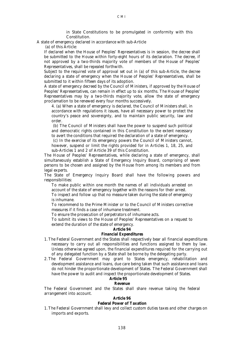in State Constitutions to be promulgated in conformity with this Constitution.

A state of emergency declared in accordance with sub-Article

(a) of this Article:

If declared when the House of Peoples' Representatives is in session, the decree shall be submitted to the House within forty-eight hours of its declaration. The decree, if not approved by a two-thirds majority vote of members of the House of Peoples' Representatives, shall be repealed forthwith.

Subject to the required vote of approval set out in (a) of this sub-Article, the decree declaring a state of emergency when the House of Peoples' Representatives, shall be submitted to it within fifteen days of its adoption.

A state of emergency decreed by the Council of Ministers, if approved by the House of Peoples' Representatives, can remain in effect up to six months. The House of Peoples' Representatives may by a two-thirds majority vote, allow the state of emergency proclamation to be renewed every four months successively.

4. (a) When a state of emergency is declared, the Council of Ministers shall, in accordance with regulations it issues, have all necessary power to protect the country's peace and sovereignty, and to maintain public security, law and order.

 (b) The Council of Ministers shall have the power to suspend such political and democratic rights contained in this Constitution to the extent necessary to avert the conditions that required the declaration of a state of emergency.

 (c) In the exercise of its emergency powers the Council of Ministers cannot, however, suspend or limit the rights provided for in Articles 1, 18, 25, and sub-Articles 1 and 2 of Article 39 of this Constitution.

The House of Peoples' Representatives, while declaring a state of emergency, shall simultaneously establish a State of Emergency Inquiry Board, comprising of seven persons to be chosen and assigned by the House from among its members and from legal experts.

The State of Emergency Inquiry Board shall have the following powers and responsibilities:

To make public within one month the names of all individuals arrested on account of the state of emergency together with the reasons for their arrest.

To inspect and follow up that no measure taken during the state of emergency is inhumane.

To recommend to the Prime Minister or to the Council of Ministers corrective measures if it finds a case of inhumane treatment.

To ensure the prosecution of perpetrators of inhumane acts.

To submit its views to the House of Peoples' Representatives on a request to extend the duration of the state of emergency.

#### **Article 94**

#### **Financial Expenditures**

- 1.The Federal Government and the States shall respectively bear all financial expenditures necessary to carry out all responsibilities and functions assigned to them by law. Unless otherwise agreed upon, the financial expenditures required for the carrying out of any delegated function by a State shall be borne by the delegating party.
- 2.The Federal Government may grant to States emergency, rehabilitation and development assistance and loans, due care being taken that such assistance and loans do not hinder the proportionate development of States. The Federal Government shall have the power to audit and inspect the proportionate development of States. **Article 95**

#### **Revenue**

The Federal Government and the States shall share revenue taking the federal arrangement into account.

#### **Article 96**

#### **Federal Power of Taxation**

1.The Federal Government shall levy and collect custom duties taxes and other charges on imports and exports.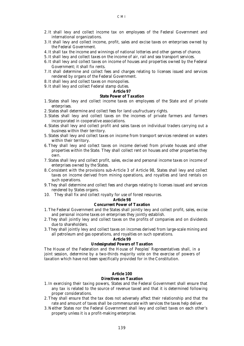- 2.It shall levy and collect income tax on employees of the Federal Government and international organizations.
- 3.It shall levy and collect income, profit, sales and excise taxes on enterprises owned by the Federal Government.
- 4.It shall tax the income and winnings of national lotteries and other games of chance.
- 5.It shall levy and collect taxes on the income of air, rail and sea transport services.
- 6.It shall levy and collect taxes on income of houses and properties owned by the Federal Government; it shall fix rents.
- 7.It shall determine and collect fees and charges relating to licenses issued and services rendered by organs of the Federal Government.
- 8.It shall levy and collect taxes on monopolies.
- 9.It shall levy and collect Federal stamp duties.

#### **Article 97**

#### **State Power of Taxation**

- 1. States shall levy and collect income taxes on employees of the State and of private enterprises.
- 2. States shall determine and collect fees for land usufructuary rights.
- 3. States shall levy and collect taxes on the incomes of private farmers and farmers incorporated in cooperative associations.
- 4. States shall levy and collect profit and sales taxes on individual traders carrying out a business within their territory.
- 5. States shall levy and collect taxes on income from transport services rendered on waters within their territory.
- 6.They shall levy and collect taxes on income derived from private houses and other properties within the State. They shall collect rent on houses and other properties they own.
- 7. States shall levy and collect profit, sales, excise and personal income taxes on income of enterprises owned by the States.
- 8. Consistent with the provisions sub-Article 3 of Article 98, States shall levy and collect taxes on income derived from mining operations, and royalties and land rentals on such operations.
- 9.They shall determine and collect fees and charges relating to licenses issued and services rendered by States organs.
- 10. They shall fix and collect royalty for use of forest resources.

#### **Article 98**

#### **Concurrent Power of Taxation**

- 1.The Federal Government and the States shall jointly levy and collect profit, sales, excise and personal income taxes on enterprises they jointly establish.
- 2.They shall jointly levy and collect taxes on the profits of companies and on dividends due to shareholders.
- 3.They shall jointly levy and collect taxes on incomes derived from large-scale mining and all petroleum and gas operations, and royalties on such operations.

#### **Article 99**

#### **Undesignated Powers of Taxation**

The House of the Federation and the House of Peoples' Representatives shall, in a joint session, determine by a two-thirds majority vote on the exercise of powers of taxation which have not been specifically provided for in the Constitution.

#### **Article 100**

#### **Directives on Taxation**

- 1.In exercising their taxing powers, States and the Federal Government shall ensure that any tax is related to the source of revenue taxed and that it is determined following proper considerations.
- 2.They shall ensure that the tax does not adversely affect their relationship and that the rate and amount of taxes shall be commensurate with services the taxes help deliver.
- 3. Neither States nor the Federal Government shall levy and collect taxes on each other's property unless it is a profit-making enterprise.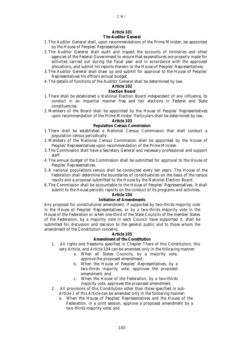#### **Article 101 The Auditor General**

- 1.The Auditor General shall, upon recommendations of the Prime Minister, be appointed by the House of Peoples' Representatives.
- 2.The Auditor General shall audit and inspect the accounts of ministries and other agencies of the Federal Government to ensure that expenditures are properly made for activities carried out during the fiscal year and in accordance with the approved allocations, and submit his reports thereon to the House of Peoples' Representatives.
- 3.The Auditor General shall draw up and submit for approval to the House of Peoples' Representatives his office's annual budget.
- 4.The details of functions of the Auditor General shall be determined by law.

#### **Article 102 Election Board**

- 1.There shall be established a National Election Board independent of any influence, to conduct in an impartial manner free and fair elections in Federal and State constituencies.
- 2.Members of the Board shall be appointed by the House of Peoples' Representatives upon recommendation of the Prime Minister. Particulars shall be determined by law.

#### **Article 103**

#### **Population Census Commission**

- 1.There shall be established a National Census Commission that shall conduct a population census periodically.
- 2.Members of the National Census Commission shall be appointed by the House of Peoples' Representatives upon recommendation of the Prime Minister.
- 3.The Commission shall have a Secretary General and necessary professional and support staff.
- 4.The annual budget of the Commission shall be submitted for approval to the House of Peoples' Representatives.
- 5. A national populations census shall be conducted every ten years. The House of the Federation shall determine the boundaries of constituencies on the basis of the census results and a proposal submitted to the House by the National Election Board.
- 6.The Commission shall be accountable to the House of Peoples' Representatives. It shall submit to the House periodic reports on the conduct of its programs and activities.

#### **Article 104**

#### **Initiation of Amendments**

Any proposal for constitutional amendment, if supported by two-thirds majority vote in the House of Peoples' Representatives, or by a two-thirds majority vote in the House of the Federation or when one-third of the State Councils of the member States of the Federation, by a majority vote in each Council have supported it, shall be submitted for discussion and decision to the general public and to those whom the amendment of the Constitution concerns.

#### **Article 105**

#### **Amendment of the Constitution**

- 1. All rights and freedoms specified in Chapter There of this Constitution, this very Article, and Article 104 can be amended only in the following manner:
	- a. When all States Councils, by a majority vote, approve the proposed amendment;
	- b. When the House of Peoples' Representatives, by a two-thirds majority vote, approves the proposed amendment; and
	- c. When the House of the Federation, by a two-thirds majority vote, approves the proposed amendment.
- 2. All provisions of this Constitution other than those specified in sub-Article 1 of this Article can be amended only in the following manner:
	- a. When the House of Peoples' Representatives and the House of the Federation, in a joint session, approve a proposed amendment by a two-thirds majority vote; and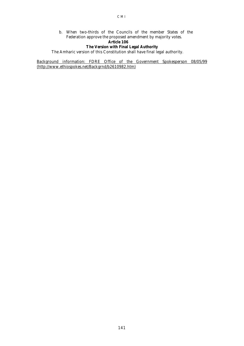b. When two-thirds of the Councils of the member States of the Federation approve the proposed amendment by majority votes.

#### **Article 106**

#### **The Version with Final Legal Authority**

The Amharic version of this Constitution shall have final legal authority.

Background information: FDRE Office of the Government Spokesperson 08/05/99 (http://www.ethiospokes.net/Backgrnd/b2610982.htm)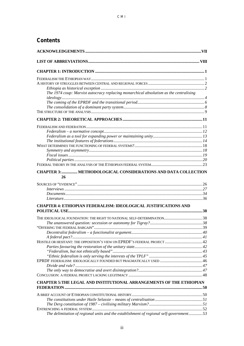| The 1974 coup: Marxist autocracy replacing monarchical absolutism as the centralising  |  |
|----------------------------------------------------------------------------------------|--|
|                                                                                        |  |
|                                                                                        |  |
|                                                                                        |  |
|                                                                                        |  |
|                                                                                        |  |
|                                                                                        |  |
|                                                                                        |  |
|                                                                                        |  |
|                                                                                        |  |
|                                                                                        |  |
|                                                                                        |  |
|                                                                                        |  |
|                                                                                        |  |
|                                                                                        |  |
| <b>CHAPTER 4: ETHIOPIAN FEDERALISM: IDEOLOGICAL JUSTIFICATIONS AND</b>                 |  |
|                                                                                        |  |
|                                                                                        |  |
|                                                                                        |  |
|                                                                                        |  |
|                                                                                        |  |
|                                                                                        |  |
|                                                                                        |  |
|                                                                                        |  |
|                                                                                        |  |
|                                                                                        |  |
|                                                                                        |  |
|                                                                                        |  |
| CHAPTER 5:THE LEGAL AND INSTITUTIONAL ARRANGEMENTS OF THE ETHIOPIAN                    |  |
|                                                                                        |  |
|                                                                                        |  |
|                                                                                        |  |
|                                                                                        |  |
| The delimitation of regional units and the establishment of regional self-government53 |  |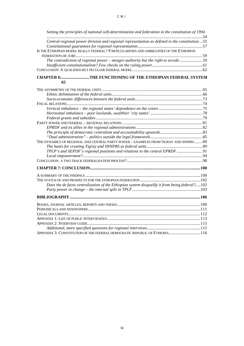| Setting the principles of national self-determination and federation in the constitution of 1994 |  |
|--------------------------------------------------------------------------------------------------|--|
|                                                                                                  |  |
| Central-regional power division and regional representation as defined in the constitution55     |  |
|                                                                                                  |  |
| IS THE ETHIOPIAN MODEL REALLY FEDERAL? PARTICULARITIES AND AMBIGUITIES OF THE ETHIOPIAN          |  |
|                                                                                                  |  |
| The contradiction of regional power – meagre authority but the right to secede59                 |  |
|                                                                                                  |  |
|                                                                                                  |  |

#### 65

| THE DYNAMICS OF REGIONAL AND CENTRAL PARTY POWER - EXAMPLES FROM TIGRAY AND SNNPRS 89         |  |
|-----------------------------------------------------------------------------------------------|--|
|                                                                                               |  |
| TPLP's and SEPDF's regional positions and relations to the central EPRDF  91                  |  |
|                                                                                               |  |
|                                                                                               |  |
|                                                                                               |  |
|                                                                                               |  |
|                                                                                               |  |
| Does the de facto centralisation of the Ethiopian system disqualify it from being federal?102 |  |
|                                                                                               |  |
|                                                                                               |  |
|                                                                                               |  |
|                                                                                               |  |
|                                                                                               |  |
|                                                                                               |  |
|                                                                                               |  |
|                                                                                               |  |
|                                                                                               |  |
| APPENDIX 3: CONSTITUTION OF THE FEDERAL DEMOCRATIC REPUBLIC OF ETHIOPIA 116                   |  |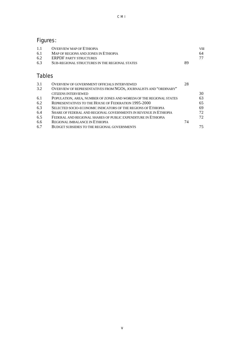## *Figures:*

| 1.1 | OVERVIEW MAP OF ETHIOPIA                       |    | VIII |
|-----|------------------------------------------------|----|------|
| 6.1 | MAP OF REGIONS AND ZONES IN ETHIOPIA           |    | 64   |
| 6.2 | <b>ERPDF PARTY STRUCTURES</b>                  |    |      |
| 6.3 | SUB-REGIONAL STRUCTURES IN THE REGIONAL STATES | 89 |      |

### *Tables*

| 3.1 | <b>OVERVIEW OF GOVERNMENT OFFICIALS INTERVIEWED</b>                 | 28 |    |
|-----|---------------------------------------------------------------------|----|----|
| 3.2 | OVERVIEW OF REPRESENTATIVES FROM NGOS, JOURNALISTS AND "ORDINARY"   |    |    |
|     | <b>CITIZENS INTERVIEWED</b>                                         |    | 30 |
| 6.1 | POPULATION, AREA, NUMBER OF ZONES AND WOREDA OF THE REGIONAL STATES |    | 63 |
| 6.2 | REPRESENTATIVES TO THE HOUSE OF FEDERATION 1995-2000                |    | 65 |
| 6.3 | SELECTED SOCIO-ECONOMIC INDICATORS OF THE REGIONS OF ETHIOPIA       |    | 69 |
| 6.4 | SHARE OF FEDERAL AND REGIONAL GOVERNMENTS IN REVENUE IN ETHIOPIA    |    | 72 |
| 6.5 | FEDERAL AND REGIONAL SHARES OF PUBLIC EXPENDITURE IN ETHIOPIA       |    | 72 |
| 6.6 | REGIONAL IMBALANCE IN ETHIOPIA                                      | 74 |    |
| 6.7 | <b>BUDGET SUBSIDIES TO THE REGIONAL GOVERNMENTS</b>                 |    | 75 |
|     |                                                                     |    |    |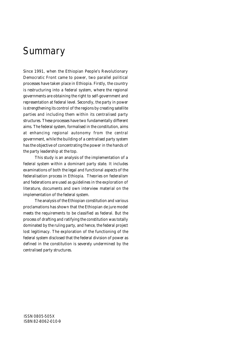# **Summary**

Since 1991, when the Ethiopian People's Revolutionary Democratic Front came to power, two parallel political processes have taken place in Ethiopia. Firstly, the country is restructuring into a federal system, where the regional governments are obtaining the right to self-government and representation at federal level. Secondly, the party in power is strengthening its control of the regions by creating satellite parties and including them within its centralised party structures. These processes have two fundamentally different aims. The federal system, formalised in the constitution, aims at enhancing regional autonomy from the central government, while the building of a centralised party system has the objective of concentrating the power in the hands of the party leadership at the top.

This study is an analysis of the implementation of a federal system within a dominant party state. It includes examinations of both the legal and functional aspects of the federalisation process in Ethiopia. Theories on federalism and federations are used as guidelines in the exploration of literature, documents and own interview material on the implementation of the federal system.

The analysis of the Ethiopian constitution and various proclamations has shown that the Ethiopian de jure model meets the requirements to be classified as federal. But the process of drafting and ratifying the constitution was totally dominated by the ruling party, and hence, the federal project lost legitimacy. The exploration of the functioning of the federal system disclosed that the federal division of power as defined in the constitution is severely undermined by the centralised party structures.